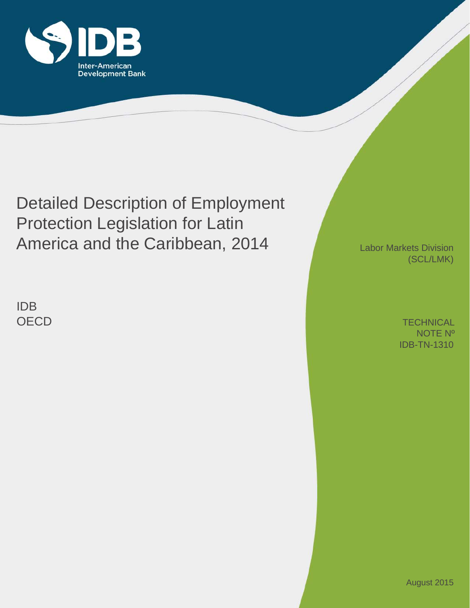

# Detailed Description of Employment Protection Legislation for Latin America and the Caribbean, 2014

IDB **OECD**  Labor Markets Division (SCL/LMK)

> IDB-TN-1310 **TECHNICAL** NOTE Nº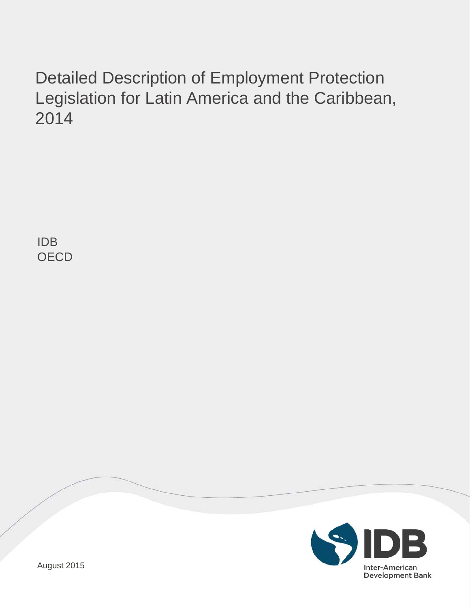# Detailed Description of Employment Protection Legislation for Latin America and the Caribbean, 2014

IDB **OECD** 

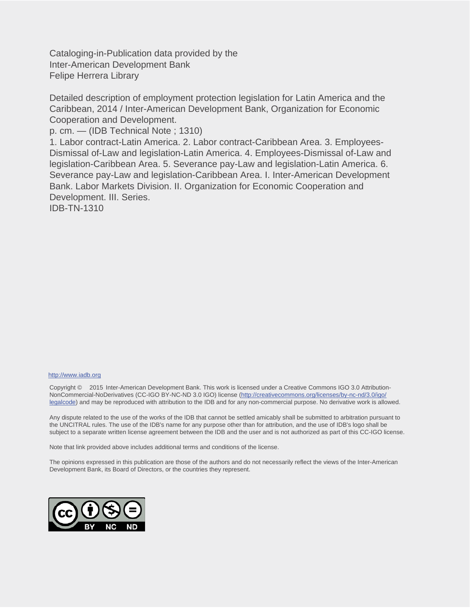Cataloging-in-Publication data provided by the Inter-American Development Bank Felipe Herrera Library

Detailed description of employment protection legislation for Latin America and the Caribbean, 2014 / Inter-American Development Bank, Organization for Economic Cooperation and Development.

p. cm. — (IDB Technical Note ; 1310)

1. Labor contract-Latin America. 2. Labor contract-Caribbean Area. 3. Employees-Dismissal of-Law and legislation-Latin America. 4. Employees-Dismissal of-Law and legislation-Caribbean Area. 5. Severance pay-Law and legislation-Latin America. 6. Severance pay-Law and legislation-Caribbean Area. I. Inter-American Development Bank. Labor Markets Division. II. Organization for Economic Cooperation and Development. III. Series.

IDB-TN-1310

#### http://www.iadb.org

Copyright © 2015 Inter-American Development Bank. This work is licensed under a Creative Commons IGO 3.0 Attribution-NonCommercial-NoDerivatives (CC-IGO BY-NC-ND 3.0 IGO) license (http://creativecommons.org/licenses/by-nc-nd/3.0/igo/ legalcode) and may be reproduced with attribution to the IDB and for any non-commercial purpose. No derivative work is allowed.

Any dispute related to the use of the works of the IDB that cannot be settled amicably shall be submitted to arbitration pursuant to the UNCITRAL rules. The use of the IDB's name for any purpose other than for attribution, and the use of IDB's logo shall be subject to a separate written license agreement between the IDB and the user and is not authorized as part of this CC-IGO license.

Note that link provided above includes additional terms and conditions of the license.

The opinions expressed in this publication are those of the authors and do not necessarily reflect the views of the Inter-American Development Bank, its Board of Directors, or the countries they represent.

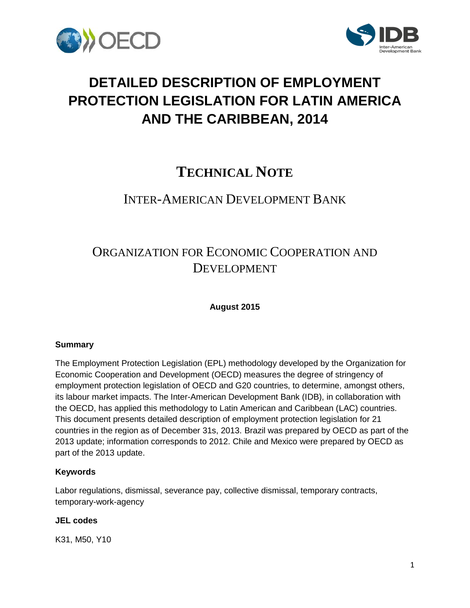



## **DETAILED DESCRIPTION OF EMPLOYMENT PROTECTION LEGISLATION FOR LATIN AMERICA AND THE CARIBBEAN, 2014**

## **TECHNICAL NOTE**

### INTER-AMERICAN DEVELOPMENT BANK

## ORGANIZATION FOR ECONOMIC COOPERATION AND DEVELOPMENT

**August 2015**

#### **Summary**

The Employment Protection Legislation (EPL) methodology developed by the Organization for Economic Cooperation and Development (OECD) measures the degree of stringency of employment protection legislation of OECD and G20 countries, to determine, amongst others, its labour market impacts. The Inter-American Development Bank (IDB), in collaboration with the OECD, has applied this methodology to Latin American and Caribbean (LAC) countries. This document presents detailed description of employment protection legislation for 21 countries in the region as of December 31s, 2013. Brazil was prepared by OECD as part of the 2013 update; information corresponds to 2012. Chile and Mexico were prepared by OECD as part of the 2013 update.

#### **Keywords**

Labor regulations, dismissal, severance pay, collective dismissal, temporary contracts, temporary-work-agency

#### **JEL codes**

K31, M50, Y10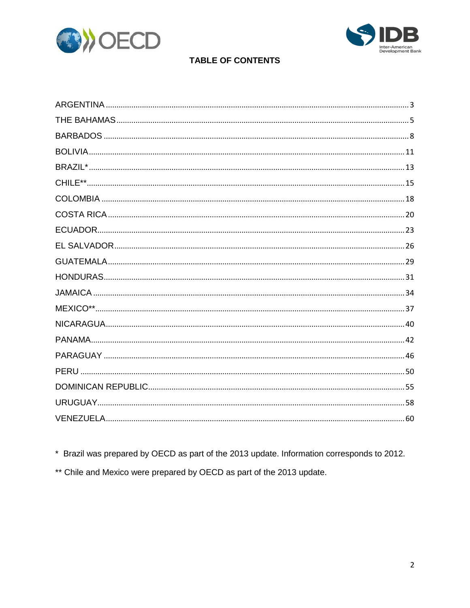



### **TABLE OF CONTENTS**

\* Brazil was prepared by OECD as part of the 2013 update. Information corresponds to 2012.

<span id="page-4-0"></span>\*\* Chile and Mexico were prepared by OECD as part of the 2013 update.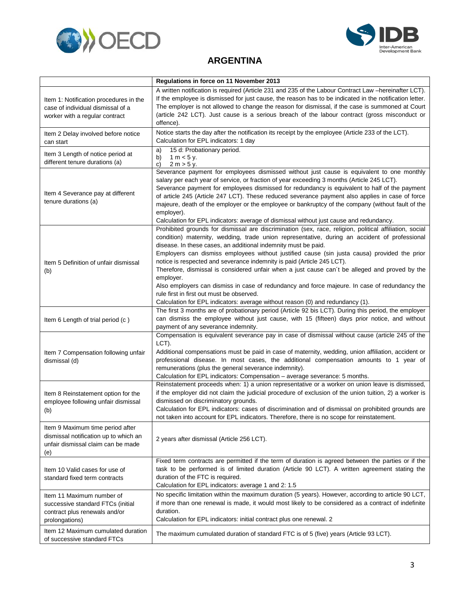



#### **ARGENTINA**

|                                                                                                                        | Regulations in force on 11 November 2013                                                                                                                                                                                                                                                                                                                                                                                                                                                                                                                                                                                                                                                                                                                                                            |
|------------------------------------------------------------------------------------------------------------------------|-----------------------------------------------------------------------------------------------------------------------------------------------------------------------------------------------------------------------------------------------------------------------------------------------------------------------------------------------------------------------------------------------------------------------------------------------------------------------------------------------------------------------------------------------------------------------------------------------------------------------------------------------------------------------------------------------------------------------------------------------------------------------------------------------------|
| Item 1: Notification procedures in the<br>case of individual dismissal of a<br>worker with a regular contract          | A written notification is required (Article 231 and 235 of the Labour Contract Law -hereinafter LCT).<br>If the employee is dismissed for just cause, the reason has to be indicated in the notification letter.<br>The employer is not allowed to change the reason for dismissal, if the case is summoned at Court<br>(article 242 LCT). Just cause is a serious breach of the labour contract (gross misconduct or<br>offence).                                                                                                                                                                                                                                                                                                                                                                  |
| Item 2 Delay involved before notice<br>can start                                                                       | Notice starts the day after the notification its receipt by the employee (Article 233 of the LCT).<br>Calculation for EPL indicators: 1 day                                                                                                                                                                                                                                                                                                                                                                                                                                                                                                                                                                                                                                                         |
| Item 3 Length of notice period at<br>different tenure durations (a)                                                    | 15 d: Probationary period.<br>a)<br>b)<br>1 m $<$ 5 y.<br>2 m > 5 y.<br>C)                                                                                                                                                                                                                                                                                                                                                                                                                                                                                                                                                                                                                                                                                                                          |
| Item 4 Severance pay at different<br>tenure durations (a)                                                              | Severance payment for employees dismissed without just cause is equivalent to one monthly<br>salary per each year of service, or fraction of year exceeding 3 months (Article 245 LCT).<br>Severance payment for employees dismissed for redundancy is equivalent to half of the payment<br>of article 245 (Article 247 LCT). These reduced severance payment also applies in case of force<br>majeure, death of the employer or the employee or bankruptcy of the company (without fault of the<br>employer).<br>Calculation for EPL indicators: average of dismissal without just cause and redundancy.                                                                                                                                                                                           |
| Item 5 Definition of unfair dismissal<br>(b)                                                                           | Prohibited grounds for dismissal are discrimination (sex, race, religion, political affiliation, social<br>condition) maternity, wedding, trade union representative, during an accident of professional<br>disease. In these cases, an additional indemnity must be paid.<br>Employers can dismiss employees without justified cause (sin justa causa) provided the prior<br>notice is respected and severance indemnity is paid (Article 245 LCT).<br>Therefore, dismissal is considered unfair when a just cause can't be alleged and proved by the<br>employer.<br>Also employers can dismiss in case of redundancy and force majeure. In case of redundancy the<br>rule first in first out must be observed.<br>Calculation for EPL indicators: average without reason (0) and redundancy (1). |
| Item 6 Length of trial period (c)                                                                                      | The first 3 months are of probationary period (Article 92 bis LCT). During this period, the employer<br>can dismiss the employee without just cause, with 15 (fifteen) days prior notice, and without<br>payment of any severance indemnity.                                                                                                                                                                                                                                                                                                                                                                                                                                                                                                                                                        |
| Item 7 Compensation following unfair<br>dismissal (d)                                                                  | Compensation is equivalent severance pay in case of dismissal without cause (article 245 of the<br>LCT).<br>Additional compensations must be paid in case of maternity, wedding, union affiliation, accident or<br>professional disease. In most cases, the additional compensation amounts to 1 year of<br>remunerations (plus the general severance indemnity).<br>Calculation for EPL indicators: Compensation - average severance: 5 months.                                                                                                                                                                                                                                                                                                                                                    |
| Item 8 Reinstatement option for the<br>employee following unfair dismissal<br>(b)                                      | Reinstatement proceeds when: 1) a union representative or a worker on union leave is dismissed,<br>if the employer did not claim the judicial procedure of exclusion of the union tuition, 2) a worker is<br>dismissed on discriminatory grounds.<br>Calculation for EPL indicators: cases of discrimination and of dismissal on prohibited grounds are<br>not taken into account for EPL indicators. Therefore, there is no scope for reinstatement.                                                                                                                                                                                                                                                                                                                                               |
| Item 9 Maximum time period after<br>dismissal notification up to which an<br>unfair dismissal claim can be made<br>(e) | 2 years after dismissal (Article 256 LCT).                                                                                                                                                                                                                                                                                                                                                                                                                                                                                                                                                                                                                                                                                                                                                          |
| Item 10 Valid cases for use of<br>standard fixed term contracts                                                        | Fixed term contracts are permitted if the term of duration is agreed between the parties or if the<br>task to be performed is of limited duration (Article 90 LCT). A written agreement stating the<br>duration of the FTC is required.<br>Calculation for EPL indicators: average 1 and 2: 1.5                                                                                                                                                                                                                                                                                                                                                                                                                                                                                                     |
| Item 11 Maximum number of<br>successive standard FTCs (initial<br>contract plus renewals and/or<br>prolongations)      | No specific limitation within the maximum duration (5 years). However, according to article 90 LCT,<br>if more than one renewal is made, it would most likely to be considered as a contract of indefinite<br>duration.<br>Calculation for EPL indicators: initial contract plus one renewal. 2                                                                                                                                                                                                                                                                                                                                                                                                                                                                                                     |
| Item 12 Maximum cumulated duration<br>of successive standard FTCs                                                      | The maximum cumulated duration of standard FTC is of 5 (five) years (Article 93 LCT).                                                                                                                                                                                                                                                                                                                                                                                                                                                                                                                                                                                                                                                                                                               |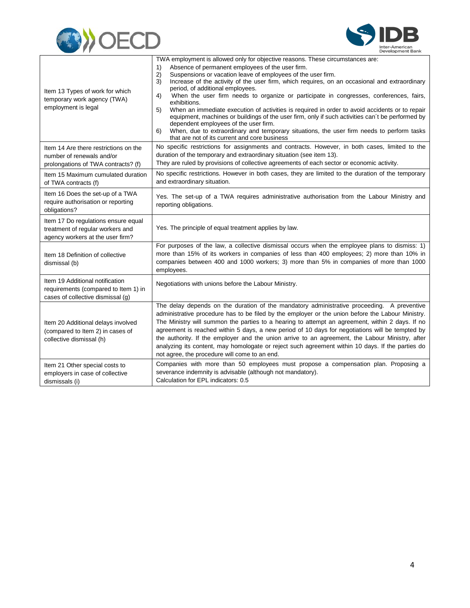



| Item 13 Types of work for which<br>temporary work agency (TWA)<br>employment is legal                        | TWA employment is allowed only for objective reasons. These circumstances are:<br>$\left( \begin{matrix} 1 \end{matrix} \right)$<br>Absence of permanent employees of the user firm.<br>Suspensions or vacation leave of employees of the user firm.<br>2)<br>Increase of the activity of the user firm, which requires, on an occasional and extraordinary<br>3)<br>period, of additional employees.<br>When the user firm needs to organize or participate in congresses, conferences, fairs,<br>4)<br>exhibitions.<br>When an immediate execution of activities is required in order to avoid accidents or to repair<br>5)<br>equipment, machines or buildings of the user firm, only if such activities can't be performed by<br>dependent employees of the user firm.<br>When, due to extraordinary and temporary situations, the user firm needs to perform tasks<br>6)<br>that are not of its current and core business |
|--------------------------------------------------------------------------------------------------------------|--------------------------------------------------------------------------------------------------------------------------------------------------------------------------------------------------------------------------------------------------------------------------------------------------------------------------------------------------------------------------------------------------------------------------------------------------------------------------------------------------------------------------------------------------------------------------------------------------------------------------------------------------------------------------------------------------------------------------------------------------------------------------------------------------------------------------------------------------------------------------------------------------------------------------------|
| Item 14 Are there restrictions on the<br>number of renewals and/or<br>prolongations of TWA contracts? (f)    | No specific restrictions for assignments and contracts. However, in both cases, limited to the<br>duration of the temporary and extraordinary situation (see item 13).<br>They are ruled by provisions of collective agreements of each sector or economic activity.                                                                                                                                                                                                                                                                                                                                                                                                                                                                                                                                                                                                                                                           |
| Item 15 Maximum cumulated duration<br>of TWA contracts (f)                                                   | No specific restrictions. However in both cases, they are limited to the duration of the temporary<br>and extraordinary situation.                                                                                                                                                                                                                                                                                                                                                                                                                                                                                                                                                                                                                                                                                                                                                                                             |
| Item 16 Does the set-up of a TWA<br>require authorisation or reporting<br>obligations?                       | Yes. The set-up of a TWA requires administrative authorisation from the Labour Ministry and<br>reporting obligations.                                                                                                                                                                                                                                                                                                                                                                                                                                                                                                                                                                                                                                                                                                                                                                                                          |
| Item 17 Do regulations ensure equal<br>treatment of regular workers and<br>agency workers at the user firm?  | Yes. The principle of equal treatment applies by law.                                                                                                                                                                                                                                                                                                                                                                                                                                                                                                                                                                                                                                                                                                                                                                                                                                                                          |
| Item 18 Definition of collective<br>dismissal (b)                                                            | For purposes of the law, a collective dismissal occurs when the employee plans to dismiss: 1)<br>more than 15% of its workers in companies of less than 400 employees; 2) more than 10% in<br>companies between 400 and 1000 workers; 3) more than 5% in companies of more than 1000<br>employees.                                                                                                                                                                                                                                                                                                                                                                                                                                                                                                                                                                                                                             |
| Item 19 Additional notification<br>requirements (compared to Item 1) in<br>cases of collective dismissal (g) | Negotiations with unions before the Labour Ministry.                                                                                                                                                                                                                                                                                                                                                                                                                                                                                                                                                                                                                                                                                                                                                                                                                                                                           |
| Item 20 Additional delays involved<br>(compared to Item 2) in cases of<br>collective dismissal (h)           | The delay depends on the duration of the mandatory administrative proceeding. A preventive<br>administrative procedure has to be filed by the employer or the union before the Labour Ministry.<br>The Ministry will summon the parties to a hearing to attempt an agreement, within 2 days. If no<br>agreement is reached within 5 days, a new period of 10 days for negotiations will be tempted by<br>the authority. If the employer and the union arrive to an agreement, the Labour Ministry, after<br>analyzing its content, may homologate or reject such agreement within 10 days. If the parties do<br>not agree, the procedure will come to an end.                                                                                                                                                                                                                                                                  |
| Item 21 Other special costs to<br>employers in case of collective<br>dismissals (i)                          | Companies with more than 50 employees must propose a compensation plan. Proposing a<br>severance indemnity is advisable (although not mandatory).<br>Calculation for EPL indicators: 0.5                                                                                                                                                                                                                                                                                                                                                                                                                                                                                                                                                                                                                                                                                                                                       |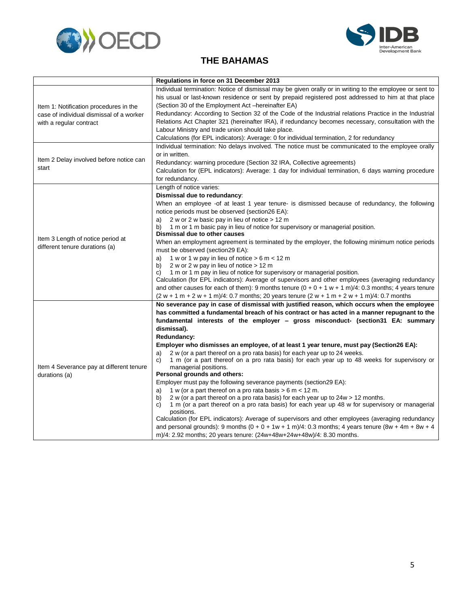<span id="page-7-0"></span>



### **THE BAHAMAS**

|                                                                                                               | Regulations in force on 31 December 2013                                                                                                                                                                                                                                                                                                                                                                                                                                               |
|---------------------------------------------------------------------------------------------------------------|----------------------------------------------------------------------------------------------------------------------------------------------------------------------------------------------------------------------------------------------------------------------------------------------------------------------------------------------------------------------------------------------------------------------------------------------------------------------------------------|
| Item 1: Notification procedures in the<br>case of individual dismissal of a worker<br>with a regular contract | Individual termination: Notice of dismissal may be given orally or in writing to the employee or sent to<br>his usual or last-known residence or sent by prepaid registered post addressed to him at that place<br>(Section 30 of the Employment Act -hereinafter EA)<br>Redundancy: According to Section 32 of the Code of the Industrial relations Practice in the Industrial<br>Relations Act Chapter 321 (hereinafter IRA), if redundancy becomes necessary, consultation with the |
|                                                                                                               | Labour Ministry and trade union should take place.                                                                                                                                                                                                                                                                                                                                                                                                                                     |
|                                                                                                               | Calculations (for EPL indicators): Average: 0 for individual termination, 2 for redundancy                                                                                                                                                                                                                                                                                                                                                                                             |
|                                                                                                               | Individual termination: No delays involved. The notice must be communicated to the employee orally                                                                                                                                                                                                                                                                                                                                                                                     |
| Item 2 Delay involved before notice can                                                                       | or in written.                                                                                                                                                                                                                                                                                                                                                                                                                                                                         |
| start                                                                                                         | Redundancy: warning procedure (Section 32 IRA, Collective agreements)<br>Calculation for (EPL indicators): Average: 1 day for individual termination, 6 days warning procedure<br>for redundancy.                                                                                                                                                                                                                                                                                      |
|                                                                                                               | Length of notice varies:                                                                                                                                                                                                                                                                                                                                                                                                                                                               |
|                                                                                                               | Dismissal due to redundancy:                                                                                                                                                                                                                                                                                                                                                                                                                                                           |
|                                                                                                               | When an employee -of at least 1 year tenure- is dismissed because of redundancy, the following<br>notice periods must be observed (section26 EA):                                                                                                                                                                                                                                                                                                                                      |
|                                                                                                               | 2 w or 2 w basic pay in lieu of notice > 12 m<br>a)                                                                                                                                                                                                                                                                                                                                                                                                                                    |
|                                                                                                               | 1 m or 1 m basic pay in lieu of notice for supervisory or managerial position.<br>b)<br>Dismissal due to other causes                                                                                                                                                                                                                                                                                                                                                                  |
| Item 3 Length of notice period at                                                                             | When an employment agreement is terminated by the employer, the following minimum notice periods                                                                                                                                                                                                                                                                                                                                                                                       |
| different tenure durations (a)                                                                                | must be observed (section 29 EA):                                                                                                                                                                                                                                                                                                                                                                                                                                                      |
|                                                                                                               | 1 w or 1 w pay in lieu of notice $> 6$ m $< 12$ m<br>a)                                                                                                                                                                                                                                                                                                                                                                                                                                |
|                                                                                                               | 2 w or 2 w pay in lieu of notice $> 12$ m<br>b)                                                                                                                                                                                                                                                                                                                                                                                                                                        |
|                                                                                                               | 1 m or 1 m pay in lieu of notice for supervisory or managerial position.<br>C)<br>Calculation (for EPL indicators): Average of supervisors and other employees (averaging redundancy                                                                                                                                                                                                                                                                                                   |
|                                                                                                               | and other causes for each of them): 9 months tenure $(0 + 0 + 1 w + 1 m)/4$ : 0.3 months; 4 years tenure                                                                                                                                                                                                                                                                                                                                                                               |
|                                                                                                               | $(2 w + 1 m + 2 w + 1 m)/4$ : 0.7 months; 20 years tenure $(2 w + 1 m + 2 w + 1 m)/4$ : 0.7 months                                                                                                                                                                                                                                                                                                                                                                                     |
|                                                                                                               | No severance pay in case of dismissal with justified reason, which occurs when the employee                                                                                                                                                                                                                                                                                                                                                                                            |
|                                                                                                               | has committed a fundamental breach of his contract or has acted in a manner repugnant to the                                                                                                                                                                                                                                                                                                                                                                                           |
|                                                                                                               | fundamental interests of the employer - gross misconduct- (section 31 EA: summary                                                                                                                                                                                                                                                                                                                                                                                                      |
|                                                                                                               | dismissal).                                                                                                                                                                                                                                                                                                                                                                                                                                                                            |
|                                                                                                               | Redundancy:                                                                                                                                                                                                                                                                                                                                                                                                                                                                            |
|                                                                                                               | Employer who dismisses an employee, of at least 1 year tenure, must pay (Section26 EA):                                                                                                                                                                                                                                                                                                                                                                                                |
|                                                                                                               | 2 w (or a part thereof on a pro rata basis) for each year up to 24 weeks.<br>a)<br>1 m (or a part thereof on a pro rata basis) for each year up to 48 weeks for supervisory or<br>C)                                                                                                                                                                                                                                                                                                   |
| Item 4 Severance pay at different tenure                                                                      | managerial positions.                                                                                                                                                                                                                                                                                                                                                                                                                                                                  |
| durations (a)                                                                                                 | Personal grounds and others:                                                                                                                                                                                                                                                                                                                                                                                                                                                           |
|                                                                                                               | Employer must pay the following severance payments (section 29 EA):                                                                                                                                                                                                                                                                                                                                                                                                                    |
|                                                                                                               | 1 w (or a part thereof on a pro rata basis $> 6$ m < 12 m.<br>a)                                                                                                                                                                                                                                                                                                                                                                                                                       |
|                                                                                                               | 2 w (or a part thereof on a pro rata basis) for each year up to 24w > 12 months.<br>b)                                                                                                                                                                                                                                                                                                                                                                                                 |
|                                                                                                               | 1 m (or a part thereof on a pro rata basis) for each year up 48 w for supervisory or managerial<br>C)<br>positions.                                                                                                                                                                                                                                                                                                                                                                    |
|                                                                                                               | Calculation (for EPL indicators): Average of supervisors and other employees (averaging redundancy                                                                                                                                                                                                                                                                                                                                                                                     |
|                                                                                                               | and personal grounds): 9 months $(0 + 0 + 1w + 1m)/4$ : 0.3 months; 4 years tenure $(8w + 4m + 8w + 4)$                                                                                                                                                                                                                                                                                                                                                                                |
|                                                                                                               | m)/4: 2.92 months; 20 years tenure: (24w+48w+24w+48w)/4: 8.30 months.                                                                                                                                                                                                                                                                                                                                                                                                                  |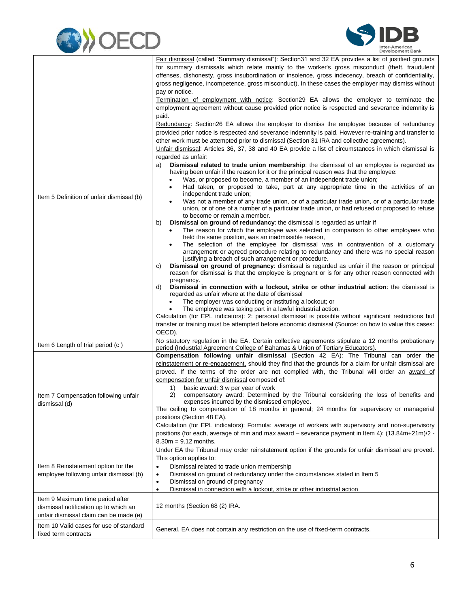



| Item 5 Definition of unfair dismissal (b)                                                                           | Fair dismissal (called "Summary dismissal"): Section 31 and 32 EA provides a list of justified grounds<br>for summary dismissals which relate mainly to the worker's gross misconduct (theft, fraudulent<br>offenses, dishonesty, gross insubordination or insolence, gross indecency, breach of confidentiality,<br>gross negligence, incompetence, gross misconduct). In these cases the employer may dismiss without<br>pay or notice.<br>Termination of employment with notice: Section29 EA allows the employer to terminate the<br>employment agreement without cause provided prior notice is respected and severance indemnity is<br>paid.<br>Redundancy: Section26 EA allows the employer to dismiss the employee because of redundancy<br>provided prior notice is respected and severance indemnity is paid. However re-training and transfer to<br>other work must be attempted prior to dismissal (Section 31 IRA and collective agreements).<br>Unfair dismissal: Articles 36, 37, 38 and 40 EA provide a list of circumstances in which dismissal is<br>regarded as unfair:<br>Dismissal related to trade union membership: the dismissal of an employee is regarded as<br>a)<br>having been unfair if the reason for it or the principal reason was that the employee:<br>Was, or proposed to become, a member of an independent trade union;<br>٠<br>Had taken, or proposed to take, part at any appropriate time in the activities of an<br>independent trade union;<br>Was not a member of any trade union, or of a particular trade union, or of a particular trade<br>union, or of one of a number of a particular trade union, or had refused or proposed to refuse<br>to become or remain a member.<br><b>Dismissal on ground of redundancy:</b> the dismissal is regarded as unfair if<br>b)<br>The reason for which the employee was selected in comparison to other employees who<br>٠<br>held the same position, was an inadmissible reason,<br>The selection of the employee for dismissal was in contravention of a customary<br>arrangement or agreed procedure relating to redundancy and there was no special reason<br>justifying a breach of such arrangement or procedure.<br>Dismissal on ground of pregnancy: dismissal is regarded as unfair if the reason or principal<br>C)<br>reason for dismissal is that the employee is pregnant or is for any other reason connected with<br>pregnancy.<br>Dismissal in connection with a lockout, strike or other industrial action: the dismissal is<br>d)<br>regarded as unfair where at the date of dismissal<br>The employer was conducting or instituting a lockout; or<br>The employee was taking part in a lawful industrial action.<br>Calculation (for EPL indicators): 2: personal dismissal is possible without significant restrictions but<br>transfer or training must be attempted before economic dismissal (Source: on how to value this cases: |
|---------------------------------------------------------------------------------------------------------------------|------------------------------------------------------------------------------------------------------------------------------------------------------------------------------------------------------------------------------------------------------------------------------------------------------------------------------------------------------------------------------------------------------------------------------------------------------------------------------------------------------------------------------------------------------------------------------------------------------------------------------------------------------------------------------------------------------------------------------------------------------------------------------------------------------------------------------------------------------------------------------------------------------------------------------------------------------------------------------------------------------------------------------------------------------------------------------------------------------------------------------------------------------------------------------------------------------------------------------------------------------------------------------------------------------------------------------------------------------------------------------------------------------------------------------------------------------------------------------------------------------------------------------------------------------------------------------------------------------------------------------------------------------------------------------------------------------------------------------------------------------------------------------------------------------------------------------------------------------------------------------------------------------------------------------------------------------------------------------------------------------------------------------------------------------------------------------------------------------------------------------------------------------------------------------------------------------------------------------------------------------------------------------------------------------------------------------------------------------------------------------------------------------------------------------------------------------------------------------------------------------------------------------------------------------------------------------------------------------------------------------------------------------------------------------------------------------------------------------------------------------------------------------------------------------------------------------------------------------------------------------------------------------------------------------------------------|
|                                                                                                                     | OECD).                                                                                                                                                                                                                                                                                                                                                                                                                                                                                                                                                                                                                                                                                                                                                                                                                                                                                                                                                                                                                                                                                                                                                                                                                                                                                                                                                                                                                                                                                                                                                                                                                                                                                                                                                                                                                                                                                                                                                                                                                                                                                                                                                                                                                                                                                                                                                                                                                                                                                                                                                                                                                                                                                                                                                                                                                                                                                                                                         |
| Item 6 Length of trial period (c)                                                                                   | No statutory regulation in the EA. Certain collective agreements stipulate a 12 months probationary<br>period (Industrial Agreement College of Bahamas & Union of Tertiary Educators).                                                                                                                                                                                                                                                                                                                                                                                                                                                                                                                                                                                                                                                                                                                                                                                                                                                                                                                                                                                                                                                                                                                                                                                                                                                                                                                                                                                                                                                                                                                                                                                                                                                                                                                                                                                                                                                                                                                                                                                                                                                                                                                                                                                                                                                                                                                                                                                                                                                                                                                                                                                                                                                                                                                                                         |
| Item 7 Compensation following unfair<br>dismissal (d)                                                               | Compensation following unfair dismissal (Section 42 EA): The Tribunal can order the<br>reinstatement or re-engagement, should they find that the grounds for a claim for unfair dismissal are<br>proved. If the terms of the order are not complied with, the Tribunal will order an award of<br>compensation for unfair dismissal composed of:<br>basic award: 3 w per year of work<br>1)<br>2)<br>compensatory award: Determined by the Tribunal considering the loss of benefits and<br>expenses incurred by the dismissed employee.<br>The ceiling to compensation of 18 months in general; 24 months for supervisory or managerial<br>positions (Section 48 EA).<br>Calculation (for EPL indicators): Formula: average of workers with supervisory and non-supervisory<br>positions (for each, average of min and max award – severance payment in Item 4): (13.84m+21m)/2 -<br>$8.30m = 9.12$ months.                                                                                                                                                                                                                                                                                                                                                                                                                                                                                                                                                                                                                                                                                                                                                                                                                                                                                                                                                                                                                                                                                                                                                                                                                                                                                                                                                                                                                                                                                                                                                                                                                                                                                                                                                                                                                                                                                                                                                                                                                                    |
|                                                                                                                     | Under EA the Tribunal may order reinstatement option if the grounds for unfair dismissal are proved.<br>This option applies to:                                                                                                                                                                                                                                                                                                                                                                                                                                                                                                                                                                                                                                                                                                                                                                                                                                                                                                                                                                                                                                                                                                                                                                                                                                                                                                                                                                                                                                                                                                                                                                                                                                                                                                                                                                                                                                                                                                                                                                                                                                                                                                                                                                                                                                                                                                                                                                                                                                                                                                                                                                                                                                                                                                                                                                                                                |
| Item 8 Reinstatement option for the<br>employee following unfair dismissal (b)                                      | Dismissal related to trade union membership<br>$\bullet$<br>Dismissal on ground of redundancy under the circumstances stated in Item 5<br>٠<br>Dismissal on ground of pregnancy<br>$\bullet$<br>Dismissal in connection with a lockout, strike or other industrial action<br>$\bullet$                                                                                                                                                                                                                                                                                                                                                                                                                                                                                                                                                                                                                                                                                                                                                                                                                                                                                                                                                                                                                                                                                                                                                                                                                                                                                                                                                                                                                                                                                                                                                                                                                                                                                                                                                                                                                                                                                                                                                                                                                                                                                                                                                                                                                                                                                                                                                                                                                                                                                                                                                                                                                                                         |
| Item 9 Maximum time period after<br>dismissal notification up to which an<br>unfair dismissal claim can be made (e) | 12 months (Section 68 (2) IRA.                                                                                                                                                                                                                                                                                                                                                                                                                                                                                                                                                                                                                                                                                                                                                                                                                                                                                                                                                                                                                                                                                                                                                                                                                                                                                                                                                                                                                                                                                                                                                                                                                                                                                                                                                                                                                                                                                                                                                                                                                                                                                                                                                                                                                                                                                                                                                                                                                                                                                                                                                                                                                                                                                                                                                                                                                                                                                                                 |
| Item 10 Valid cases for use of standard<br>fixed term contracts                                                     | General. EA does not contain any restriction on the use of fixed-term contracts.                                                                                                                                                                                                                                                                                                                                                                                                                                                                                                                                                                                                                                                                                                                                                                                                                                                                                                                                                                                                                                                                                                                                                                                                                                                                                                                                                                                                                                                                                                                                                                                                                                                                                                                                                                                                                                                                                                                                                                                                                                                                                                                                                                                                                                                                                                                                                                                                                                                                                                                                                                                                                                                                                                                                                                                                                                                               |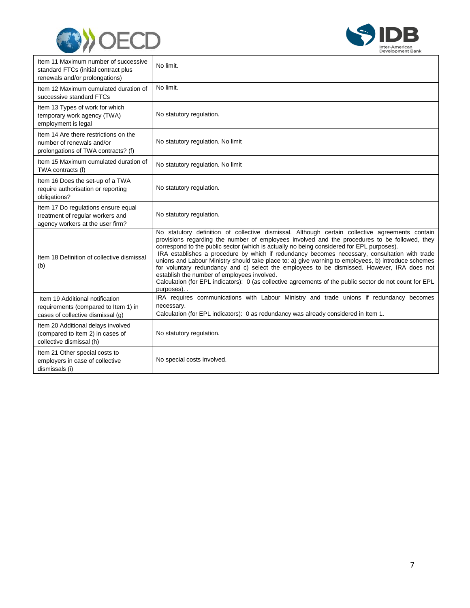



| Item 11 Maximum number of successive<br>standard FTCs (initial contract plus<br>renewals and/or prolongations) | No limit.                                                                                                                                                                                                                                                                                                                                                                                                                                                                                                                                                                                                                                                                                                                                                                   |
|----------------------------------------------------------------------------------------------------------------|-----------------------------------------------------------------------------------------------------------------------------------------------------------------------------------------------------------------------------------------------------------------------------------------------------------------------------------------------------------------------------------------------------------------------------------------------------------------------------------------------------------------------------------------------------------------------------------------------------------------------------------------------------------------------------------------------------------------------------------------------------------------------------|
| Item 12 Maximum cumulated duration of<br>successive standard FTCs                                              | No limit.                                                                                                                                                                                                                                                                                                                                                                                                                                                                                                                                                                                                                                                                                                                                                                   |
| Item 13 Types of work for which<br>temporary work agency (TWA)<br>employment is legal                          | No statutory regulation.                                                                                                                                                                                                                                                                                                                                                                                                                                                                                                                                                                                                                                                                                                                                                    |
| Item 14 Are there restrictions on the<br>number of renewals and/or<br>prolongations of TWA contracts? (f)      | No statutory regulation. No limit                                                                                                                                                                                                                                                                                                                                                                                                                                                                                                                                                                                                                                                                                                                                           |
| Item 15 Maximum cumulated duration of<br>TWA contracts (f)                                                     | No statutory regulation. No limit                                                                                                                                                                                                                                                                                                                                                                                                                                                                                                                                                                                                                                                                                                                                           |
| Item 16 Does the set-up of a TWA<br>require authorisation or reporting<br>obligations?                         | No statutory regulation.                                                                                                                                                                                                                                                                                                                                                                                                                                                                                                                                                                                                                                                                                                                                                    |
| Item 17 Do regulations ensure equal<br>treatment of regular workers and<br>agency workers at the user firm?    | No statutory regulation.                                                                                                                                                                                                                                                                                                                                                                                                                                                                                                                                                                                                                                                                                                                                                    |
| Item 18 Definition of collective dismissal<br>(b)                                                              | No statutory definition of collective dismissal. Although certain collective agreements contain<br>provisions regarding the number of employees involved and the procedures to be followed, they<br>correspond to the public sector (which is actually no being considered for EPL purposes).<br>IRA establishes a procedure by which if redundancy becomes necessary, consultation with trade<br>unions and Labour Ministry should take place to: a) give warning to employees, b) introduce schemes<br>for voluntary redundancy and c) select the employees to be dismissed. However, IRA does not<br>establish the number of employees involved.<br>Calculation (for EPL indicators): 0 (as collective agreements of the public sector do not count for EPL<br>purposes) |
| Item 19 Additional notification<br>requirements (compared to Item 1) in<br>cases of collective dismissal (q)   | IRA requires communications with Labour Ministry and trade unions if redundancy becomes<br>necessary.<br>Calculation (for EPL indicators): 0 as redundancy was already considered in Item 1.                                                                                                                                                                                                                                                                                                                                                                                                                                                                                                                                                                                |
| Item 20 Additional delays involved<br>(compared to Item 2) in cases of<br>collective dismissal (h)             | No statutory regulation.                                                                                                                                                                                                                                                                                                                                                                                                                                                                                                                                                                                                                                                                                                                                                    |
| Item 21 Other special costs to<br>employers in case of collective<br>dismissals (i)                            | No special costs involved.                                                                                                                                                                                                                                                                                                                                                                                                                                                                                                                                                                                                                                                                                                                                                  |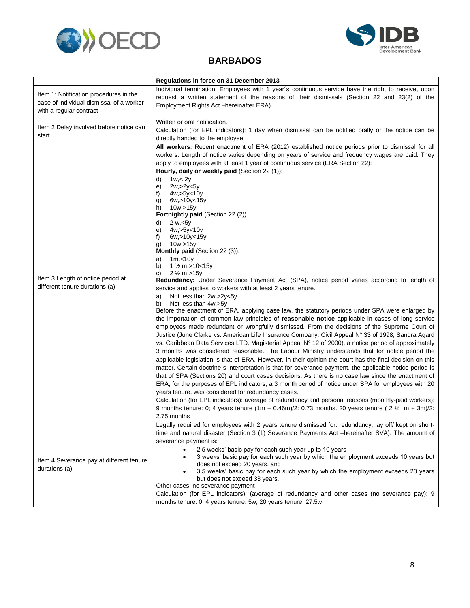<span id="page-10-0"></span>



#### **BARBADOS**

|                                                                                                               | Regulations in force on 31 December 2013                                                                                                                                                                                                                                                                                                                                                                                                                                                                                                                                                                                                                                                                                                                                                                                                                                                                                                                                                                                                                                                                                                                                                                                                                                                                                                                                                                                                                                                                                                                                                                                                                                                                                                                                                                                                                                                                                                                                                                                                                                                                                                                                                                                                                                                                                        |
|---------------------------------------------------------------------------------------------------------------|---------------------------------------------------------------------------------------------------------------------------------------------------------------------------------------------------------------------------------------------------------------------------------------------------------------------------------------------------------------------------------------------------------------------------------------------------------------------------------------------------------------------------------------------------------------------------------------------------------------------------------------------------------------------------------------------------------------------------------------------------------------------------------------------------------------------------------------------------------------------------------------------------------------------------------------------------------------------------------------------------------------------------------------------------------------------------------------------------------------------------------------------------------------------------------------------------------------------------------------------------------------------------------------------------------------------------------------------------------------------------------------------------------------------------------------------------------------------------------------------------------------------------------------------------------------------------------------------------------------------------------------------------------------------------------------------------------------------------------------------------------------------------------------------------------------------------------------------------------------------------------------------------------------------------------------------------------------------------------------------------------------------------------------------------------------------------------------------------------------------------------------------------------------------------------------------------------------------------------------------------------------------------------------------------------------------------------|
| Item 1: Notification procedures in the<br>case of individual dismissal of a worker<br>with a regular contract | Individual termination: Employees with 1 year's continuous service have the right to receive, upon<br>request a written statement of the reasons of their dismissals (Section 22 and 23(2) of the<br>Employment Rights Act -hereinafter ERA).                                                                                                                                                                                                                                                                                                                                                                                                                                                                                                                                                                                                                                                                                                                                                                                                                                                                                                                                                                                                                                                                                                                                                                                                                                                                                                                                                                                                                                                                                                                                                                                                                                                                                                                                                                                                                                                                                                                                                                                                                                                                                   |
| Item 2 Delay involved before notice can<br>start                                                              | Written or oral notification.<br>Calculation (for EPL indicators): 1 day when dismissal can be notified orally or the notice can be<br>directly handed to the employee.                                                                                                                                                                                                                                                                                                                                                                                                                                                                                                                                                                                                                                                                                                                                                                                                                                                                                                                                                                                                                                                                                                                                                                                                                                                                                                                                                                                                                                                                                                                                                                                                                                                                                                                                                                                                                                                                                                                                                                                                                                                                                                                                                         |
| Item 3 Length of notice period at<br>different tenure durations (a)                                           | All workers: Recent enactment of ERA (2012) established notice periods prior to dismissal for all<br>workers. Length of notice varies depending on years of service and frequency wages are paid. They<br>apply to employees with at least 1 year of continuous service (ERA Section 22):<br>Hourly, daily or weekly paid (Section 22 (1)):<br>1w <sub>5</sub><br>d)<br>e)<br>2w, >2y < 5y<br>f)<br>4w, > 5y < 10y<br>6w, > 10y < 15y<br>g)<br>h)<br>10w, > 15y<br>Fortnightly paid (Section 22 (2))<br>2 w, 5y<br>d)<br>e)<br>4w,>5y<10y<br>f)<br>6w, > 10y < 15y<br>10w, > 15y<br>g)<br><b>Monthly paid (Section 22 (3)):</b><br>1m, < 10y<br>a)<br>1 $\frac{1}{2}$ m, > 10 < 15y<br>b)<br>$2\frac{1}{2}$ m, $>15y$<br>C)<br><b>Redundancy:</b> Under Severance Payment Act (SPA), notice period varies according to length of<br>service and applies to workers with at least 2 years tenure.<br>Not less than 2w, > 2y < 5y<br>a)<br>Not less than 4w,>5y<br>b)<br>Before the enactment of ERA, applying case law, the statutory periods under SPA were enlarged by<br>the importation of common law principles of reasonable notice applicable in cases of long service<br>employees made redundant or wrongfully dismissed. From the decisions of the Supreme Court of<br>Justice (June Clarke vs. American Life Insurance Company. Civil Appeal N° 33 of 1998; Sandra Agard<br>vs. Caribbean Data Services LTD. Magisterial Appeal N° 12 of 2000), a notice period of approximately<br>3 months was considered reasonable. The Labour Ministry understands that for notice period the<br>applicable legislation is that of ERA. However, in their opinion the court has the final decision on this<br>matter. Certain doctrine's interpretation is that for severance payment, the applicable notice period is<br>that of SPA (Sections 20) and court cases decisions. As there is no case law since the enactment of<br>ERA, for the purposes of EPL indicators, a 3 month period of notice under SPA for employees with 20<br>years tenure, was considered for redundancy cases.<br>Calculation (for EPL indicators): average of redundancy and personal reasons (monthly-paid workers):<br>9 months tenure: 0; 4 years tenure (1m + 0.46m)/2: 0.73 months. 20 years tenure (2 $\frac{1}{2}$ m + 3m)/2:<br>2.75 months |
| Item 4 Severance pay at different tenure<br>durations (a)                                                     | Legally required for employees with 2 years tenure dismissed for: redundancy, lay off/ kept on short-<br>time and natural disaster (Section 3 (1) Severance Payments Act -hereinafter SVA). The amount of<br>severance payment is:<br>2.5 weeks' basic pay for each such year up to 10 years<br>$\bullet$<br>3 weeks' basic pay for each such year by which the employment exceeds 10 years but<br>does not exceed 20 years, and<br>3.5 weeks' basic pay for each such year by which the employment exceeds 20 years<br>but does not exceed 33 years.<br>Other cases: no severance payment<br>Calculation (for EPL indicators): (average of redundancy and other cases (no severance pay): 9<br>months tenure: 0; 4 years tenure: 5w; 20 years tenure: 27.5w                                                                                                                                                                                                                                                                                                                                                                                                                                                                                                                                                                                                                                                                                                                                                                                                                                                                                                                                                                                                                                                                                                                                                                                                                                                                                                                                                                                                                                                                                                                                                                    |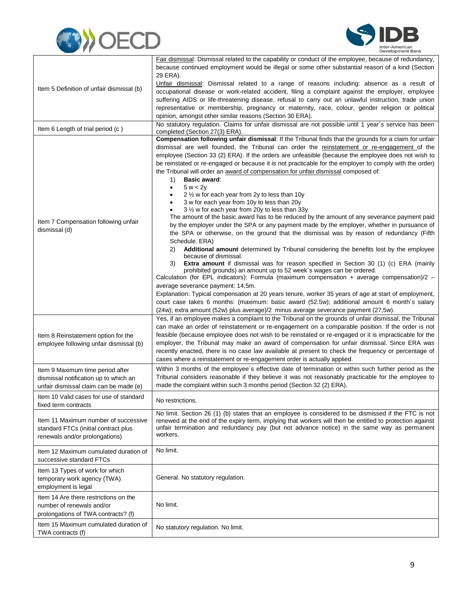



|                                                                                                                     | Fair dismissal: Dismissal related to the capability or conduct of the employee, because of redundancy,                                                                                                                                                                                                                                                                                                                                                                                                                                                                                                                                                                                                                                                                                                                                                                                                                                                                                                                                                                                                                                                                                                                                                                                                                                                                                                                                                                                                                                                                         |
|---------------------------------------------------------------------------------------------------------------------|--------------------------------------------------------------------------------------------------------------------------------------------------------------------------------------------------------------------------------------------------------------------------------------------------------------------------------------------------------------------------------------------------------------------------------------------------------------------------------------------------------------------------------------------------------------------------------------------------------------------------------------------------------------------------------------------------------------------------------------------------------------------------------------------------------------------------------------------------------------------------------------------------------------------------------------------------------------------------------------------------------------------------------------------------------------------------------------------------------------------------------------------------------------------------------------------------------------------------------------------------------------------------------------------------------------------------------------------------------------------------------------------------------------------------------------------------------------------------------------------------------------------------------------------------------------------------------|
|                                                                                                                     | because continued employment would be illegal or some other substantial reason of a kind (Section<br>29 ERA).                                                                                                                                                                                                                                                                                                                                                                                                                                                                                                                                                                                                                                                                                                                                                                                                                                                                                                                                                                                                                                                                                                                                                                                                                                                                                                                                                                                                                                                                  |
|                                                                                                                     | Unfair dismissal: Dismissal related to a range of reasons including: absence as a result of                                                                                                                                                                                                                                                                                                                                                                                                                                                                                                                                                                                                                                                                                                                                                                                                                                                                                                                                                                                                                                                                                                                                                                                                                                                                                                                                                                                                                                                                                    |
| Item 5 Definition of unfair dismissal (b)                                                                           | occupational disease or work-related accident, filing a complaint against the employer, employee                                                                                                                                                                                                                                                                                                                                                                                                                                                                                                                                                                                                                                                                                                                                                                                                                                                                                                                                                                                                                                                                                                                                                                                                                                                                                                                                                                                                                                                                               |
|                                                                                                                     | suffering AIDS or life-threatening disease, refusal to carry out an unlawful instruction, trade union                                                                                                                                                                                                                                                                                                                                                                                                                                                                                                                                                                                                                                                                                                                                                                                                                                                                                                                                                                                                                                                                                                                                                                                                                                                                                                                                                                                                                                                                          |
|                                                                                                                     | representative or membership, pregnancy or maternity, race, colour, gender religion or political                                                                                                                                                                                                                                                                                                                                                                                                                                                                                                                                                                                                                                                                                                                                                                                                                                                                                                                                                                                                                                                                                                                                                                                                                                                                                                                                                                                                                                                                               |
|                                                                                                                     | opinion, amongst other similar reasons (Section 30 ERA).<br>No statutory regulation. Claims for unfair dismissal are not possible until 1 year's service has been                                                                                                                                                                                                                                                                                                                                                                                                                                                                                                                                                                                                                                                                                                                                                                                                                                                                                                                                                                                                                                                                                                                                                                                                                                                                                                                                                                                                              |
| Item 6 Length of trial period (c)                                                                                   | completed (Section 27(3) ERA).                                                                                                                                                                                                                                                                                                                                                                                                                                                                                                                                                                                                                                                                                                                                                                                                                                                                                                                                                                                                                                                                                                                                                                                                                                                                                                                                                                                                                                                                                                                                                 |
| Item 7 Compensation following unfair<br>dismissal (d)                                                               | Compensation following unfair dismissal: If the Tribunal finds that the grounds for a claim for unfair<br>dismissal are well founded, the Tribunal can order the reinstatement or re-engagement of the<br>employee (Section 33 (2) ERA). If the orders are unfeasible (because the employee does not wish to<br>be reinstated or re-engaged or because it is not practicable for the employer to comply with the order)<br>the Tribunal will order an award of compensation for unfair dismissal composed of:<br><b>Basic award:</b><br>1)<br>5 w < 2y<br>2 1/2 w for each year from 2y to less than 10y<br>3 w for each year from 10y to less than 20y<br>3 1/2 w for each year from 20y to less than 33y<br>The amount of the basic award has to be reduced by the amount of any severance payment paid<br>by the employer under the SPA or any payment made by the employer, whether in pursuance of<br>the SPA or otherwise, on the ground that the dismissal was by reason of redundancy (Fifth<br>Schedule, ERA)<br><b>Additional amount</b> determined by Tribunal considering the benefits lost by the employee<br>2)<br>because of dismissal.<br><b>Extra amount</b> if dismissal was for reason specified in Section 30 (1) (c) ERA (mainly<br>3)<br>prohibited grounds) an amount up to 52 week's wages can be ordered.<br>Calculation (for EPL indicators): Formula (maximum compensation + average compensation)/2 -<br>average severance payment: 14,5m.<br>Explanation: Typical compensation at 20 years tenure, worker 35 years of age at start of employment, |
|                                                                                                                     | court case takes 6 months: (maximum: basic award (52.5w); additional amount 6 month's salary<br>(24w); extra amount (52w) plus average)/2 minus average severance payment (27,5w).                                                                                                                                                                                                                                                                                                                                                                                                                                                                                                                                                                                                                                                                                                                                                                                                                                                                                                                                                                                                                                                                                                                                                                                                                                                                                                                                                                                             |
| Item 8 Reinstatement option for the<br>employee following unfair dismissal (b)                                      | Yes, if an employee makes a complaint to the Tribunal on the grounds of unfair dismissal, the Tribunal<br>can make an order of reinstatement or re-engagement on a comparable position. If the order is not<br>feasible (because employee does not wish to be reinstated or re-engaged or it is impracticable for the<br>employer, the Tribunal may make an award of compensation for unfair dismissal. Since ERA was<br>recently enacted, there is no case law available at present to check the frequency or percentage of<br>cases where a reinstatement or re-engagement order is actually applied.                                                                                                                                                                                                                                                                                                                                                                                                                                                                                                                                                                                                                                                                                                                                                                                                                                                                                                                                                                        |
| Item 9 Maximum time period after<br>dismissal notification up to which an<br>unfair dismissal claim can be made (e) | Within 3 months of the employee's effective date of termination or within such further period as the<br>Tribunal considers reasonable if they believe it was not reasonably practicable for the employee to<br>made the complaint within such 3 months period (Section 32 (2) ERA).                                                                                                                                                                                                                                                                                                                                                                                                                                                                                                                                                                                                                                                                                                                                                                                                                                                                                                                                                                                                                                                                                                                                                                                                                                                                                            |
| Item 10 Valid cases for use of standard<br>fixed term contracts                                                     | No restrictions.                                                                                                                                                                                                                                                                                                                                                                                                                                                                                                                                                                                                                                                                                                                                                                                                                                                                                                                                                                                                                                                                                                                                                                                                                                                                                                                                                                                                                                                                                                                                                               |
| Item 11 Maximum number of successive<br>standard FTCs (initial contract plus<br>renewals and/or prolongations)      | No limit. Section 26 (1) (b) states that an employee is considered to be dismissed if the FTC is not<br>renewed at the end of the expiry term, implying that workers will then be entitled to protection against<br>unfair termination and redundancy pay (but not advance notice) in the same way as permanent<br>workers.                                                                                                                                                                                                                                                                                                                                                                                                                                                                                                                                                                                                                                                                                                                                                                                                                                                                                                                                                                                                                                                                                                                                                                                                                                                    |
| Item 12 Maximum cumulated duration of<br>successive standard FTCs                                                   | No limit.                                                                                                                                                                                                                                                                                                                                                                                                                                                                                                                                                                                                                                                                                                                                                                                                                                                                                                                                                                                                                                                                                                                                                                                                                                                                                                                                                                                                                                                                                                                                                                      |
| Item 13 Types of work for which<br>temporary work agency (TWA)<br>employment is legal                               | General. No statutory regulation.                                                                                                                                                                                                                                                                                                                                                                                                                                                                                                                                                                                                                                                                                                                                                                                                                                                                                                                                                                                                                                                                                                                                                                                                                                                                                                                                                                                                                                                                                                                                              |
| Item 14 Are there restrictions on the<br>number of renewals and/or<br>prolongations of TWA contracts? (f)           | No limit.                                                                                                                                                                                                                                                                                                                                                                                                                                                                                                                                                                                                                                                                                                                                                                                                                                                                                                                                                                                                                                                                                                                                                                                                                                                                                                                                                                                                                                                                                                                                                                      |
| Item 15 Maximum cumulated duration of<br>TWA contracts (f)                                                          | No statutory regulation. No limit.                                                                                                                                                                                                                                                                                                                                                                                                                                                                                                                                                                                                                                                                                                                                                                                                                                                                                                                                                                                                                                                                                                                                                                                                                                                                                                                                                                                                                                                                                                                                             |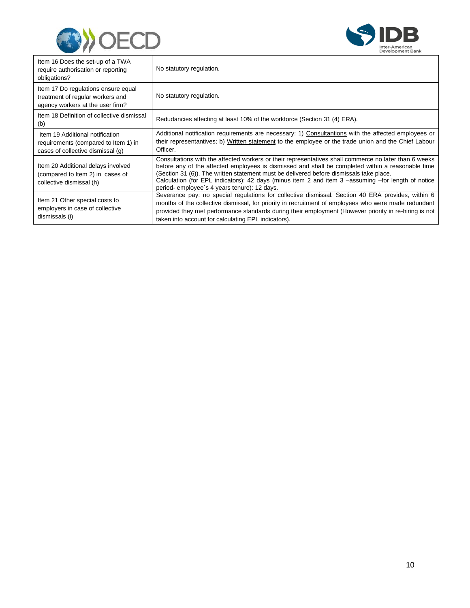



| Item 16 Does the set-up of a TWA<br>require authorisation or reporting<br>obligations?                       | No statutory regulation.                                                                                                                                                                                                                                                                                                                                                                                                                                   |
|--------------------------------------------------------------------------------------------------------------|------------------------------------------------------------------------------------------------------------------------------------------------------------------------------------------------------------------------------------------------------------------------------------------------------------------------------------------------------------------------------------------------------------------------------------------------------------|
| Item 17 Do regulations ensure equal<br>treatment of regular workers and<br>agency workers at the user firm?  | No statutory regulation.                                                                                                                                                                                                                                                                                                                                                                                                                                   |
| Item 18 Definition of collective dismissal<br>(b)                                                            | Redudancies affecting at least 10% of the workforce (Section 31 (4) ERA).                                                                                                                                                                                                                                                                                                                                                                                  |
| Item 19 Additional notification<br>requirements (compared to Item 1) in<br>cases of collective dismissal (q) | Additional notification requirements are necessary: 1) Consultantions with the affected employees or<br>their representantives; b) Written statement to the employee or the trade union and the Chief Labour<br>Officer.                                                                                                                                                                                                                                   |
| Item 20 Additional delays involved<br>(compared to Item 2) in cases of<br>collective dismissal (h)           | Consultations with the affected workers or their representatives shall commerce no later than 6 weeks<br>before any of the affected employees is dismissed and shall be completed within a reasonable time<br>(Section 31 (6)). The written statement must be delivered before dismissals take place.<br>Calculation (for EPL indicators): 42 days (minus item 2 and item 3 -assuming -for length of notice<br>period-employee's 4 years tenure): 12 days. |
| Item 21 Other special costs to<br>employers in case of collective<br>dismissals (i)                          | Severance pay: no special regulations for collective dismissal. Section 40 ERA provides, within 6<br>months of the collective dismissal, for priority in recruitment of employees who were made redundant<br>provided they met performance standards during their employment (However priority in re-hiring is not<br>taken into account for calculating EPL indicators).                                                                                  |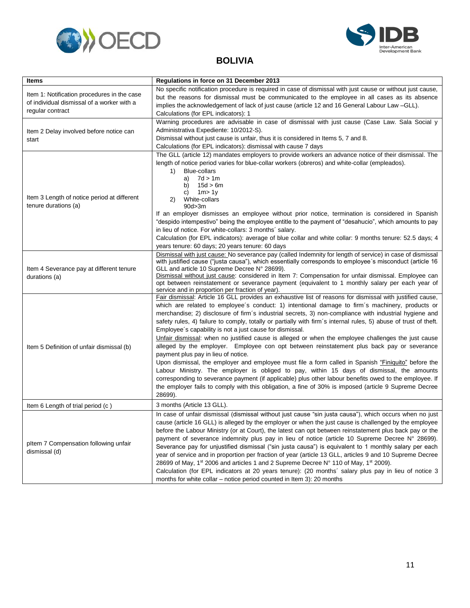<span id="page-13-0"></span>



#### **BOLIVIA**

| Items                                                                                                         | Regulations in force on 31 December 2013                                                                                                                                                                                                                                                                                                                                                                                                                                                                                                                                                                                                                                                                                                                                                                                                                                                                                                                                                                                                                                                                                                                                             |
|---------------------------------------------------------------------------------------------------------------|--------------------------------------------------------------------------------------------------------------------------------------------------------------------------------------------------------------------------------------------------------------------------------------------------------------------------------------------------------------------------------------------------------------------------------------------------------------------------------------------------------------------------------------------------------------------------------------------------------------------------------------------------------------------------------------------------------------------------------------------------------------------------------------------------------------------------------------------------------------------------------------------------------------------------------------------------------------------------------------------------------------------------------------------------------------------------------------------------------------------------------------------------------------------------------------|
| Item 1: Notification procedures in the case<br>of individual dismissal of a worker with a<br>regular contract | No specific notification procedure is required in case of dismissal with just cause or without just cause,<br>but the reasons for dismissal must be communicated to the employee in all cases as its absence<br>implies the acknowledgement of lack of just cause (article 12 and 16 General Labour Law -GLL).<br>Calculations (for EPL indicators): 1                                                                                                                                                                                                                                                                                                                                                                                                                                                                                                                                                                                                                                                                                                                                                                                                                               |
| Item 2 Delay involved before notice can<br>start                                                              | Warning procedures are advisable in case of dismissal with just cause (Case Law. Sala Social y<br>Administrativa Expediente: 10/2012-S).<br>Dismissal without just cause is unfair, thus it is considered in Items 5, 7 and 8.<br>Calculations (for EPL indicators): dismissal with cause 7 days                                                                                                                                                                                                                                                                                                                                                                                                                                                                                                                                                                                                                                                                                                                                                                                                                                                                                     |
| Item 3 Length of notice period at different<br>tenure durations (a)                                           | The GLL (article 12) mandates employers to provide workers an advance notice of their dismissal. The<br>length of notice period varies for blue-collar workers (obreros) and white-collar (empleados).<br><b>Blue-collars</b><br>1)<br>7d > 1m<br>a)<br>15d > 6m<br>b)<br>1m > 1y<br>C)<br>White-collars<br>2)<br>90d > 3m<br>If an employer dismisses an employee without prior notice, termination is considered in Spanish<br>"despido intempestivo" being the employee entitle to the payment of "desahucio", which amounts to pay<br>in lieu of notice. For white-collars: 3 months' salary.<br>Calculation (for EPL indicators): average of blue collar and white collar: 9 months tenure: 52.5 days; 4<br>years tenure: 60 days; 20 years tenure: 60 days                                                                                                                                                                                                                                                                                                                                                                                                                     |
| Item 4 Severance pay at different tenure<br>durations (a)                                                     | Dismissal with just cause: No severance pay (called Indemnity for length of service) in case of dismissal<br>with justified cause ("justa causa"), which essentially corresponds to employee's misconduct (article 16<br>GLL and article 10 Supreme Decree N° 28699).<br>Dismissal without just cause: considered in Item 7: Compensation for unfair dismissal. Employee can<br>opt between reinstatement or severance payment (equivalent to 1 monthly salary per each year of<br>service and in proportion per fraction of year).                                                                                                                                                                                                                                                                                                                                                                                                                                                                                                                                                                                                                                                  |
| Item 5 Definition of unfair dismissal (b)                                                                     | Fair dismissal: Article 16 GLL provides an exhaustive list of reasons for dismissal with justified cause,<br>which are related to employee's conduct: 1) intentional damage to firm's machinery, products or<br>merchandise; 2) disclosure of firm's industrial secrets, 3) non-compliance with industrial hygiene and<br>safety rules, 4) failure to comply, totally or partially with firm's internal rules, 5) abuse of trust of theft.<br>Employee's capability is not a just cause for dismissal.<br>Unfair dismissal: when no justified cause is alleged or when the employee challenges the just cause<br>alleged by the employer. Employee con opt between reinstatement plus back pay or severance<br>payment plus pay in lieu of notice.<br>Upon dismissal, the employer and employee must file a form called in Spanish "Finiquito" before the<br>Labour Ministry. The employer is obliged to pay, within 15 days of dismissal, the amounts<br>corresponding to severance payment (if applicable) plus other labour benefits owed to the employee. If<br>the employer fails to comply with this obligation, a fine of 30% is imposed (article 9 Supreme Decree<br>28699). |
| Item 6 Length of trial period (c)                                                                             | 3 months (Article 13 GLL).                                                                                                                                                                                                                                                                                                                                                                                                                                                                                                                                                                                                                                                                                                                                                                                                                                                                                                                                                                                                                                                                                                                                                           |
| pltem 7 Compensation following unfair<br>dismissal (d)                                                        | In case of unfair dismissal (dismissal without just cause "sin justa causa"), which occurs when no just<br>cause (article 16 GLL) is alleged by the employer or when the just cause is challenged by the employee<br>before the Labour Ministry (or at Court), the latest can opt between reinstatement plus back pay or the<br>payment of severance indemnity plus pay in lieu of notice (article 10 Supreme Decree N° 28699).<br>Severance pay for unjustified dismissal ("sin justa causa") is equivalent to 1 monthly salary per each<br>year of service and in proportion per fraction of year (article 13 GLL, articles 9 and 10 Supreme Decree<br>28699 of May, 1 <sup>st</sup> 2006 and articles 1 and 2 Supreme Decree N° 110 of May, 1 <sup>st</sup> 2009).<br>Calculation (for EPL indicators at 20 years tenure): (20 months' salary plus pay in lieu of notice 3<br>months for white collar – notice period counted in Item 3): 20 months                                                                                                                                                                                                                               |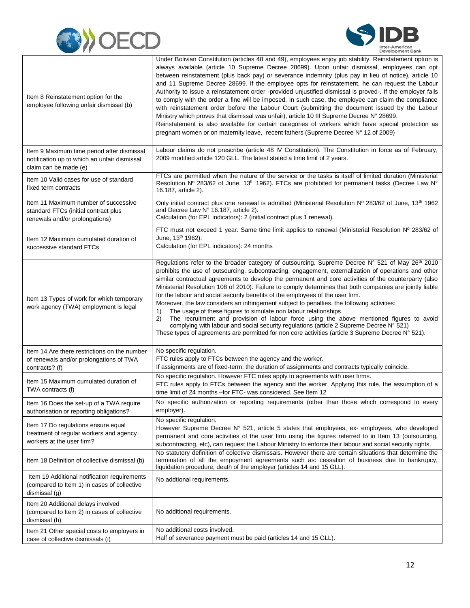



| Item 8 Reinstatement option for the<br>employee following unfair dismissal (b)                                      | Under Bolivian Constitution (articles 48 and 49), employees enjoy job stability. Reinstatement option is<br>always available (article 10 Supreme Decree 28699). Upon unfair dismissal, employees can opt<br>between reinstatement (plus back pay) or severance indemnity (plus pay in lieu of notice), article 10<br>and 11 Supreme Decree 28699. If the employee opts for reinstatement, he can request the Labour<br>Authority to issue a reinstatement order -provided unjustified dismissal is proved-. If the employer fails<br>to comply with the order a fine will be imposed. In such case, the employee can claim the compliance<br>with reinstatement order before the Labour Court (submitting the document issued by the Labour<br>Ministry which proves that dismissal was unfair), article 10 III Supreme Decree N° 28699.<br>Reinstatement is also available for certain categories of workers which have special protection as<br>pregnant women or on maternity leave, recent fathers (Supreme Decree N° 12 of 2009) |
|---------------------------------------------------------------------------------------------------------------------|---------------------------------------------------------------------------------------------------------------------------------------------------------------------------------------------------------------------------------------------------------------------------------------------------------------------------------------------------------------------------------------------------------------------------------------------------------------------------------------------------------------------------------------------------------------------------------------------------------------------------------------------------------------------------------------------------------------------------------------------------------------------------------------------------------------------------------------------------------------------------------------------------------------------------------------------------------------------------------------------------------------------------------------|
| Item 9 Maximum time period after dismissal<br>notification up to which an unfair dismissal<br>claim can be made (e) | Labour claims do not prescribe (article 48 IV Constitution). The Constitution in force as of February,<br>2009 modified article 120 GLL. The latest stated a time limit of 2 years.                                                                                                                                                                                                                                                                                                                                                                                                                                                                                                                                                                                                                                                                                                                                                                                                                                                   |
| Item 10 Valid cases for use of standard<br>fixed term contracts                                                     | FTCs are permitted when the nature of the service or the tasks is itself of limited duration (Ministerial<br>Resolution Nº 283/62 of June, 13 <sup>th</sup> 1962). FTCs are prohibited for permanent tasks (Decree Law N°<br>16.187, article 2).                                                                                                                                                                                                                                                                                                                                                                                                                                                                                                                                                                                                                                                                                                                                                                                      |
| Item 11 Maximum number of successive<br>standard FTCs (initial contract plus<br>renewals and/or prolongations)      | Only initial contract plus one renewal is admitted (Ministerial Resolution $N^{\circ}$ 283/62 of June, 13 <sup>th</sup> 1962<br>and Decree Law N° 16.187, article 2).<br>Calculation (for EPL indicators): 2 (initial contract plus 1 renewal).                                                                                                                                                                                                                                                                                                                                                                                                                                                                                                                                                                                                                                                                                                                                                                                       |
| Item 12 Maximum cumulated duration of<br>successive standard FTCs                                                   | FTC must not exceed 1 year. Same time limit applies to renewal (Ministerial Resolution Nº 283/62 of<br>June, 13 <sup>th</sup> 1962).<br>Calculation (for EPL indicators): 24 months                                                                                                                                                                                                                                                                                                                                                                                                                                                                                                                                                                                                                                                                                                                                                                                                                                                   |
| Item 13 Types of work for which temporary<br>work agency (TWA) employment is legal                                  | Regulations refer to the broader category of outsourcing. Supreme Decree N° 521 of May 26 <sup>th</sup> 2010<br>prohibits the use of outsourcing, subcontracting, engagement, externalization of operations and other<br>similar contractual agreements to develop the permanent and core activities of the counterparty (also<br>Ministerial Resolution 108 of 2010). Failure to comply determines that both companies are jointly liable<br>for the labour and social security benefits of the employees of the user firm.<br>Moreover, the law considers an infringement subject to penalties, the following activities:<br>The usage of these figures to simulate non labour relationships<br>1)<br>The recruitment and provision of labour force using the above mentioned figures to avoid<br>2)<br>complying with labour and social security regulations (article 2 Supreme Decree N° 521)<br>These types of agreements are permitted for non core activities (article 3 Supreme Decree N° 521).                               |
| Item 14 Are there restrictions on the number<br>of renewals and/or prolongations of TWA<br>contracts? (f)           | No specific regulation.<br>FTC rules apply to FTCs between the agency and the worker.<br>If assignments are of fixed-term, the duration of assignments and contracts typically coincide.                                                                                                                                                                                                                                                                                                                                                                                                                                                                                                                                                                                                                                                                                                                                                                                                                                              |
| Item 15 Maximum cumulated duration of<br>TWA contracts (f)                                                          | No specific regulation. However FTC rules apply to agreements with user firms.<br>FTC rules apply to FTCs between the agency and the worker. Applying this rule, the assumption of a<br>time limit of 24 months - for FTC- was considered. See Item 12                                                                                                                                                                                                                                                                                                                                                                                                                                                                                                                                                                                                                                                                                                                                                                                |
| Item 16 Does the set-up of a TWA require<br>authorisation or reporting obligations?                                 | No specific authorization or reporting requirements (other than those which correspond to every<br>employer).                                                                                                                                                                                                                                                                                                                                                                                                                                                                                                                                                                                                                                                                                                                                                                                                                                                                                                                         |
| Item 17 Do regulations ensure equal<br>treatment of regular workers and agency<br>workers at the user firm?         | No specific regulation.<br>However Supreme Decree N° 521, article 5 states that employees, ex- employees, who developed<br>permanent and core activities of the user firm using the figures referred to in Item 13 (outsourcing,<br>subcontracting, etc), can request the Labour Ministry to enforce their labour and social security rights.                                                                                                                                                                                                                                                                                                                                                                                                                                                                                                                                                                                                                                                                                         |
| Item 18 Definition of collective dismissal (b)                                                                      | No statutory definition of colective dismissals. However there are certain situations that determine the<br>termination of all the empoyment agreements such as: cessation of business due to bankrupcy,<br>liquidation procedure, death of the employer (articles 14 and 15 GLL).                                                                                                                                                                                                                                                                                                                                                                                                                                                                                                                                                                                                                                                                                                                                                    |
| Item 19 Additional notification requirements<br>(compared to Item 1) in cases of collective<br>dismissal (g)        | No addtional requirements.                                                                                                                                                                                                                                                                                                                                                                                                                                                                                                                                                                                                                                                                                                                                                                                                                                                                                                                                                                                                            |
| Item 20 Additional delays involved<br>(compared to Item 2) in cases of collective<br>dismissal (h)                  | No additional requirements.                                                                                                                                                                                                                                                                                                                                                                                                                                                                                                                                                                                                                                                                                                                                                                                                                                                                                                                                                                                                           |
| Item 21 Other special costs to employers in<br>case of collective dismissals (i)                                    | No additional costs involved.<br>Half of severance payment must be paid (articles 14 and 15 GLL).                                                                                                                                                                                                                                                                                                                                                                                                                                                                                                                                                                                                                                                                                                                                                                                                                                                                                                                                     |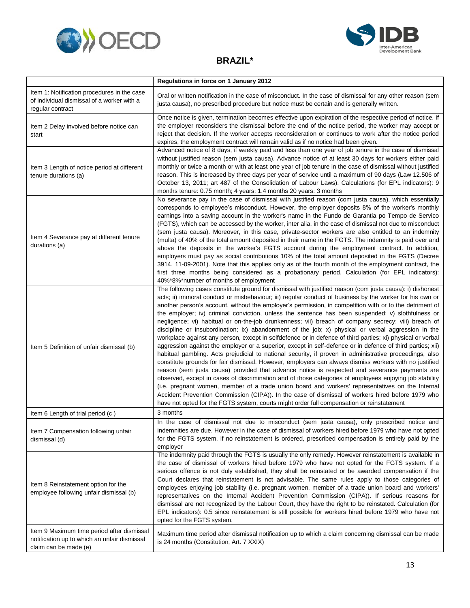<span id="page-15-0"></span>



#### **BRAZIL\***

|                                                                                                                     | Regulations in force on 1 January 2012                                                                                                                                                                                                                                                                                                                                                                                                                                                                                                                                                                                                                                                                                                                                                                                                                                                                                                                                                                                                                                                                                                                                                                                                                                                                                                                                                                                                                                                                                                                                                                                |
|---------------------------------------------------------------------------------------------------------------------|-----------------------------------------------------------------------------------------------------------------------------------------------------------------------------------------------------------------------------------------------------------------------------------------------------------------------------------------------------------------------------------------------------------------------------------------------------------------------------------------------------------------------------------------------------------------------------------------------------------------------------------------------------------------------------------------------------------------------------------------------------------------------------------------------------------------------------------------------------------------------------------------------------------------------------------------------------------------------------------------------------------------------------------------------------------------------------------------------------------------------------------------------------------------------------------------------------------------------------------------------------------------------------------------------------------------------------------------------------------------------------------------------------------------------------------------------------------------------------------------------------------------------------------------------------------------------------------------------------------------------|
| Item 1: Notification procedures in the case<br>of individual dismissal of a worker with a<br>regular contract       | Oral or written notification in the case of misconduct. In the case of dismissal for any other reason (sem<br>justa causa), no prescribed procedure but notice must be certain and is generally written.                                                                                                                                                                                                                                                                                                                                                                                                                                                                                                                                                                                                                                                                                                                                                                                                                                                                                                                                                                                                                                                                                                                                                                                                                                                                                                                                                                                                              |
| Item 2 Delay involved before notice can<br>start                                                                    | Once notice is given, termination becomes effective upon expiration of the respective period of notice. If<br>the employer reconsiders the dismissal before the end of the notice period, the worker may accept or<br>reject that decision. If the worker accepts reconsideration or continues to work after the notice period<br>expires, the employment contract will remain valid as if no notice had been given.                                                                                                                                                                                                                                                                                                                                                                                                                                                                                                                                                                                                                                                                                                                                                                                                                                                                                                                                                                                                                                                                                                                                                                                                  |
| Item 3 Length of notice period at different<br>tenure durations (a)                                                 | Advanced notice of 8 days, if weekly paid and less than one year of job tenure in the case of dismissal<br>without justified reason (sem justa causa). Advance notice of at least 30 days for workers either paid<br>monthly or twice a month or with at least one year of job tenure in the case of dismissal without justified<br>reason. This is increased by three days per year of service until a maximum of 90 days (Law 12.506 of<br>October 13, 2011; art 487 of the Consolidation of Labour Laws). Calculations (for EPL indicators): 9<br>months tenure: 0.75 month; 4 years: 1.4 months 20 years: 3 months                                                                                                                                                                                                                                                                                                                                                                                                                                                                                                                                                                                                                                                                                                                                                                                                                                                                                                                                                                                                |
| Item 4 Severance pay at different tenure<br>durations (a)                                                           | No severance pay in the case of dismissal with justified reason (com justa causa), which essentially<br>corresponds to employee's misconduct. However, the employer deposits 8% of the worker's monthly<br>earnings into a saving account in the worker's name in the Fundo de Garantia po Tempo de Servico<br>(FGTS), which can be accessed by the worker, inter alia, in the case of dismissal not due to misconduct<br>(sem justa causa). Moreover, in this case, private-sector workers are also entitled to an indemnity<br>(multa) of 40% of the total amount deposited in their name in the FGTS. The indemnity is paid over and<br>above the deposits in the worker's FGTS account during the employment contract. In addition,<br>employers must pay as social contributions 10% of the total amount deposited in the FGTS (Decree<br>3914, 11-09-2001). Note that this applies only as of the fourth month of the employment contract, the<br>first three months being considered as a probationary period. Calculation (for EPL indicators):<br>40%*8%*number of months of employment                                                                                                                                                                                                                                                                                                                                                                                                                                                                                                                      |
| Item 5 Definition of unfair dismissal (b)                                                                           | The following cases constitute ground for dismissal with justified reason (com justa causa): i) dishonest<br>acts; ii) immoral conduct or misbehaviour; iii) regular conduct of business by the worker for his own or<br>another person's account, without the employer's permission, in competition with or to the detriment of<br>the employer; iv) criminal conviction, unless the sentence has been suspended; v) slothfulness or<br>negligence; vi) habitual or on-the-job drunkenness; vii) breach of company secrecy; viii) breach of<br>discipline or insubordination; ix) abandonment of the job; x) physical or verbal aggression in the<br>workplace against any person, except in selfdefence or in defence of third parties; xi) physical or verbal<br>aggression against the employer or a superior, except in self-defence or in defence of third parties; xii)<br>habitual gambling. Acts prejudicial to national security, if proven in administrative proceedings, also<br>constitute grounds for fair dismissal. However, employers can always dismiss workers with no justified<br>reason (sem justa causa) provided that advance notice is respected and severance payments are<br>observed, except in cases of discrimination and of those categories of employees enjoying job stability<br>(i.e. pregnant women, member of a trade union board and workers' representatives on the Internal<br>Accident Prevention Commission (CIPA)). In the case of dismissal of workers hired before 1979 who<br>have not opted for the FGTS system, courts might order full compensation or reinstatement |
| Item 6 Length of trial period (c)                                                                                   | 3 months                                                                                                                                                                                                                                                                                                                                                                                                                                                                                                                                                                                                                                                                                                                                                                                                                                                                                                                                                                                                                                                                                                                                                                                                                                                                                                                                                                                                                                                                                                                                                                                                              |
| Item 7 Compensation following unfair<br>dismissal (d)                                                               | In the case of dismissal not due to misconduct (sem justa causa), only prescribed notice and<br>indemnities are due. However in the case of dismissal of workers hired before 1979 who have not opted<br>for the FGTS system, if no reinstatement is ordered, prescribed compensation is entirely paid by the<br>employer                                                                                                                                                                                                                                                                                                                                                                                                                                                                                                                                                                                                                                                                                                                                                                                                                                                                                                                                                                                                                                                                                                                                                                                                                                                                                             |
| Item 8 Reinstatement option for the<br>employee following unfair dismissal (b)                                      | The indemnity paid through the FGTS is usually the only remedy. However reinstatement is available in<br>the case of dismissal of workers hired before 1979 who have not opted for the FGTS system. If a<br>serious offence is not duly established, they shall be reinstated or be awarded compensation if the<br>Court declares that reinstatement is not advisable. The same rules apply to those categories of<br>employees enjoying job stability (i.e. pregnant women, member of a trade union board and workers'<br>representatives on the Internal Accident Prevention Commission (CIPA)). If serious reasons for<br>dismissal are not recognized by the Labour Court, they have the right to be reinstated. Calculation (for<br>EPL indicators): 0.5 since reinstatement is still possible for workers hired before 1979 who have not<br>opted for the FGTS system.                                                                                                                                                                                                                                                                                                                                                                                                                                                                                                                                                                                                                                                                                                                                          |
| Item 9 Maximum time period after dismissal<br>notification up to which an unfair dismissal<br>claim can be made (e) | Maximum time period after dismissal notification up to which a claim concerning dismissal can be made<br>is 24 months (Constitution, Art. 7 XXIX)                                                                                                                                                                                                                                                                                                                                                                                                                                                                                                                                                                                                                                                                                                                                                                                                                                                                                                                                                                                                                                                                                                                                                                                                                                                                                                                                                                                                                                                                     |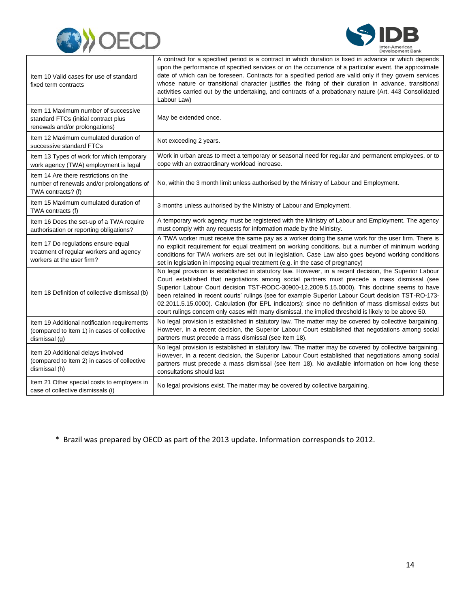



| Item 10 Valid cases for use of standard<br>fixed term contracts                                                | A contract for a specified period is a contract in which duration is fixed in advance or which depends<br>upon the performance of specified services or on the occurrence of a particular event, the approximate<br>date of which can be foreseen. Contracts for a specified period are valid only if they govern services<br>whose nature or transitional character justifies the fixing of their duration in advance, transitional<br>activities carried out by the undertaking, and contracts of a probationary nature (Art. 443 Consolidated<br>Labour Law)                                                                   |
|----------------------------------------------------------------------------------------------------------------|-----------------------------------------------------------------------------------------------------------------------------------------------------------------------------------------------------------------------------------------------------------------------------------------------------------------------------------------------------------------------------------------------------------------------------------------------------------------------------------------------------------------------------------------------------------------------------------------------------------------------------------|
| Item 11 Maximum number of successive<br>standard FTCs (initial contract plus<br>renewals and/or prolongations) | May be extended once.                                                                                                                                                                                                                                                                                                                                                                                                                                                                                                                                                                                                             |
| Item 12 Maximum cumulated duration of<br>successive standard FTCs                                              | Not exceeding 2 years.                                                                                                                                                                                                                                                                                                                                                                                                                                                                                                                                                                                                            |
| Item 13 Types of work for which temporary<br>work agency (TWA) employment is legal                             | Work in urban areas to meet a temporary or seasonal need for regular and permanent employees, or to<br>cope with an extraordinary workload increase.                                                                                                                                                                                                                                                                                                                                                                                                                                                                              |
| Item 14 Are there restrictions on the<br>number of renewals and/or prolongations of<br>TWA contracts? (f)      | No, within the 3 month limit unless authorised by the Ministry of Labour and Employment.                                                                                                                                                                                                                                                                                                                                                                                                                                                                                                                                          |
| Item 15 Maximum cumulated duration of<br>TWA contracts (f)                                                     | 3 months unless authorised by the Ministry of Labour and Employment.                                                                                                                                                                                                                                                                                                                                                                                                                                                                                                                                                              |
| Item 16 Does the set-up of a TWA require<br>authorisation or reporting obligations?                            | A temporary work agency must be registered with the Ministry of Labour and Employment. The agency<br>must comply with any requests for information made by the Ministry.                                                                                                                                                                                                                                                                                                                                                                                                                                                          |
| Item 17 Do regulations ensure equal<br>treatment of regular workers and agency<br>workers at the user firm?    | A TWA worker must receive the same pay as a worker doing the same work for the user firm. There is<br>no explicit requirement for equal treatment on working conditions, but a number of minimum working<br>conditions for TWA workers are set out in legislation. Case Law also goes beyond working conditions<br>set in legislation in imposing equal treatment (e.g. in the case of pregnancy)                                                                                                                                                                                                                                 |
| Item 18 Definition of collective dismissal (b)                                                                 | No legal provision is established in statutory law. However, in a recent decision, the Superior Labour<br>Court established that negotiations among social partners must precede a mass dismissal (see<br>Superior Labour Court decision TST-RODC-30900-12.2009.5.15.0000). This doctrine seems to have<br>been retained in recent courts' rulings (see for example Superior Labour Court decision TST-RO-173-<br>02.2011.5.15.0000). Calculation (for EPL indicators): since no definition of mass dismissal exists but<br>court rulings concern only cases with many dismissal, the implied threshold is likely to be above 50. |
| Item 19 Additional notification requirements<br>(compared to Item 1) in cases of collective<br>dismissal (g)   | No legal provision is established in statutory law. The matter may be covered by collective bargaining.<br>However, in a recent decision, the Superior Labour Court established that negotiations among social<br>partners must precede a mass dismissal (see Item 18).                                                                                                                                                                                                                                                                                                                                                           |
| Item 20 Additional delays involved<br>(compared to Item 2) in cases of collective<br>dismissal (h)             | No legal provision is established in statutory law. The matter may be covered by collective bargaining.<br>However, in a recent decision, the Superior Labour Court established that negotiations among social<br>partners must precede a mass dismissal (see Item 18). No available information on how long these<br>consultations should last                                                                                                                                                                                                                                                                                   |
| Item 21 Other special costs to employers in<br>case of collective dismissals (i)                               | No legal provisions exist. The matter may be covered by collective bargaining.                                                                                                                                                                                                                                                                                                                                                                                                                                                                                                                                                    |

\* Brazil was prepared by OECD as part of the 2013 update. Information corresponds to 2012.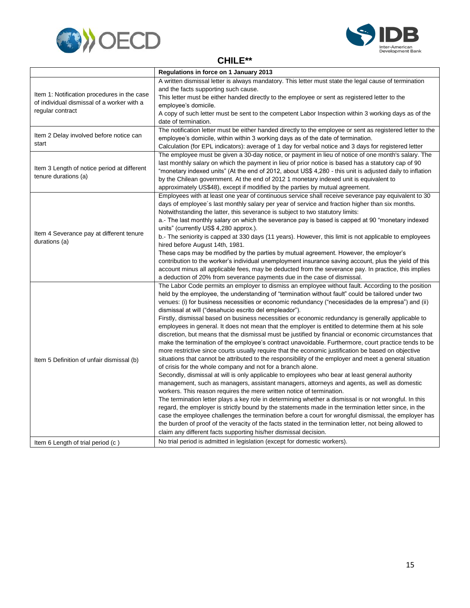



**CHILE\*\***

<span id="page-17-0"></span>

|                                                                                                               | Regulations in force on 1 January 2013                                                                     |
|---------------------------------------------------------------------------------------------------------------|------------------------------------------------------------------------------------------------------------|
| Item 1: Notification procedures in the case<br>of individual dismissal of a worker with a<br>regular contract | A written dismissal letter is always mandatory. This letter must state the legal cause of termination      |
|                                                                                                               | and the facts supporting such cause.                                                                       |
|                                                                                                               | This letter must be either handed directly to the employee or sent as registered letter to the             |
|                                                                                                               | employee's domicile.                                                                                       |
|                                                                                                               | A copy of such letter must be sent to the competent Labor Inspection within 3 working days as of the       |
|                                                                                                               | date of termination.                                                                                       |
|                                                                                                               | The notification letter must be either handed directly to the employee or sent as registered letter to the |
| Item 2 Delay involved before notice can                                                                       | employee's domicile, within within 3 working days as of the date of termination.                           |
| start                                                                                                         | Calculation (for EPL indicators): average of 1 day for verbal notice and 3 days for registered letter      |
|                                                                                                               | The employee must be given a 30-day notice, or payment in lieu of notice of one month's salary. The        |
|                                                                                                               | last monthly salary on which the payment in lieu of prior notice is based has a statutory cap of 90        |
| Item 3 Length of notice period at different                                                                   | "monetary indexed units" (At the end of 2012, about US\$ 4,280 - this unit is adjusted daily to inflation  |
| tenure durations (a)                                                                                          | by the Chilean government. At the end of 2012 1 monetary indexed unit is equivalent to                     |
|                                                                                                               | approximately US\$48), except if modified by the parties by mutual agreement.                              |
|                                                                                                               | Employees with at least one year of continuous service shall receive severance pay equivalent to 30        |
|                                                                                                               | days of employee's last monthly salary per year of service and fraction higher than six months.            |
|                                                                                                               | Notwithstanding the latter, this severance is subject to two statutory limits:                             |
|                                                                                                               | a.- The last monthly salary on which the severance pay is based is capped at 90 "monetary indexed          |
|                                                                                                               | units" (currently US\$ 4,280 approx.).                                                                     |
| Item 4 Severance pay at different tenure                                                                      | b.- The seniority is capped at 330 days (11 years). However, this limit is not applicable to employees     |
| durations (a)                                                                                                 | hired before August 14th, 1981.                                                                            |
|                                                                                                               | These caps may be modified by the parties by mutual agreement. However, the employer's                     |
|                                                                                                               | contribution to the worker's individual unemployment insurance saving account, plus the yield of this      |
|                                                                                                               | account minus all applicable fees, may be deducted from the severance pay. In practice, this implies       |
|                                                                                                               | a deduction of 20% from severance payments due in the case of dismissal.                                   |
|                                                                                                               | The Labor Code permits an employer to dismiss an employee without fault. According to the position         |
|                                                                                                               | held by the employee, the understanding of "termination without fault" could be tailored under two         |
|                                                                                                               | venues: (i) for business necessities or economic redundancy ("necesidades de la empresa") and (ii)         |
|                                                                                                               | dismissal at will ("desahucio escrito del empleador").                                                     |
|                                                                                                               | Firstly, dismissal based on business necessities or economic redundancy is generally applicable to         |
|                                                                                                               | employees in general. It does not mean that the employer is entitled to determine them at his sole         |
|                                                                                                               | discretion, but means that the dismissal must be justified by financial or economic circumstances that     |
|                                                                                                               | make the termination of the employee's contract unavoidable. Furthermore, court practice tends to be       |
|                                                                                                               | more restrictive since courts usually require that the economic justification be based on objective        |
| Item 5 Definition of unfair dismissal (b)                                                                     | situations that cannot be attributed to the responsibility of the employer and meet a general situation    |
|                                                                                                               | of crisis for the whole company and not for a branch alone.                                                |
|                                                                                                               | Secondly, dismissal at will is only applicable to employees who bear at least general authority            |
|                                                                                                               | management, such as managers, assistant managers, attorneys and agents, as well as domestic                |
|                                                                                                               | workers. This reason requires the mere written notice of termination.                                      |
|                                                                                                               | The termination letter plays a key role in determining whether a dismissal is or not wrongful. In this     |
|                                                                                                               | regard, the employer is strictly bound by the statements made in the termination letter since, in the      |
|                                                                                                               | case the employee challenges the termination before a court for wrongful dismissal, the employer has       |
|                                                                                                               | the burden of proof of the veracity of the facts stated in the termination letter, not being allowed to    |
|                                                                                                               | claim any different facts supporting his/her dismissal decision.                                           |
| Item 6 Length of trial period (c)                                                                             | No trial period is admitted in legislation (except for domestic workers).                                  |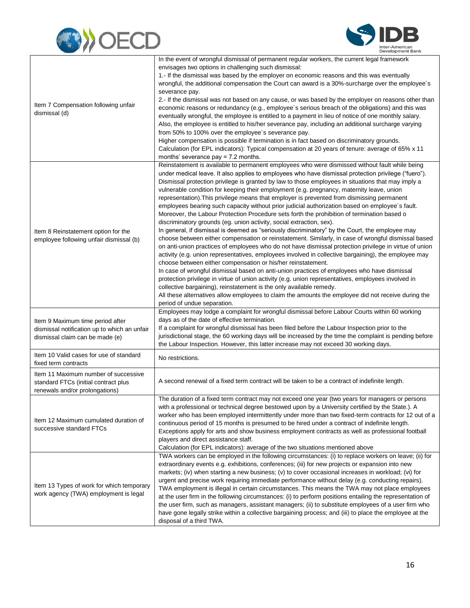



|                                                                                                                     | In the event of wrongful dismissal of permanent regular workers, the current legal framework                                                                                                                                                                                                                                                                                                                                                                                                                                                                                                                                                                                                                                                                                                                                                                                                                                                                                                                                                                                                                                                                                                                                                                                                                                                                                                                                                                                                                                                                                                                                                                                                     |
|---------------------------------------------------------------------------------------------------------------------|--------------------------------------------------------------------------------------------------------------------------------------------------------------------------------------------------------------------------------------------------------------------------------------------------------------------------------------------------------------------------------------------------------------------------------------------------------------------------------------------------------------------------------------------------------------------------------------------------------------------------------------------------------------------------------------------------------------------------------------------------------------------------------------------------------------------------------------------------------------------------------------------------------------------------------------------------------------------------------------------------------------------------------------------------------------------------------------------------------------------------------------------------------------------------------------------------------------------------------------------------------------------------------------------------------------------------------------------------------------------------------------------------------------------------------------------------------------------------------------------------------------------------------------------------------------------------------------------------------------------------------------------------------------------------------------------------|
| Item 7 Compensation following unfair<br>dismissal (d)                                                               | envisages two options in challenging such dismissal:<br>1.- If the dismissal was based by the employer on economic reasons and this was eventually<br>wrongful, the additional compensation the Court can award is a 30%-surcharge over the employee's<br>severance pay.<br>2.- If the dismissal was not based on any cause, or was based by the employer on reasons other than<br>economic reasons or redundancy (e.g., employee's serious breach of the obligations) and this was<br>eventually wrongful, the employee is entitled to a payment in lieu of notice of one monthly salary.<br>Also, the employee is entitled to his/her severance pay, including an additional surcharge varying<br>from 50% to 100% over the employee's severance pay.<br>Higher compensation is possible if termination is in fact based on discriminatory grounds.<br>Calculation (for EPL indicators): Typical compensation at 20 years of tenure: average of 65% x 11<br>months' severance $pay = 7.2$ months.                                                                                                                                                                                                                                                                                                                                                                                                                                                                                                                                                                                                                                                                                              |
| Item 8 Reinstatement option for the<br>employee following unfair dismissal (b)                                      | Reinstatement is available to permanent employees who were dismissed without fault while being<br>under medical leave. It also applies to employees who have dismissal protection privilege ("fuero").<br>Dismissal protection privilege is granted by law to those employees in situations that may imply a<br>vulnerable condition for keeping their employment (e.g. pregnancy, maternity leave, union<br>representation). This privilege means that employer is prevented from dismissing permanent<br>employees bearing such capacity without prior judicial authorization based on employee's fault.<br>Moreover, the Labour Protection Procedure sets forth the prohibition of termination based o<br>discriminatory grounds (eg. union activity, social extraction, sex).<br>In general, if dismissal is deemed as "seriously discriminatory" by the Court, the employee may<br>choose between either compensation or reinstatement. Similarly, in case of wrongful dismissal based<br>on anti-union practices of employees who do not have dismissal protection privilege in virtue of union<br>activity (e.g. union representatives, employees involved in collective bargaining), the employee may<br>choose between either compensation or his/her reinstatement.<br>In case of wrongful dismissal based on anti-union practices of employees who have dismissal<br>protection privilege in virtue of union activity (e.g. union representatives, employees involved in<br>collective bargaining), reinstatement is the only available remedy.<br>All these alternatives allow employees to claim the amounts the employee did not receive during the<br>period of undue separation. |
| Item 9 Maximum time period after<br>dismissal notification up to which an unfair<br>dismissal claim can be made (e) | Employees may lodge a complaint for wrongful dismissal before Labour Courts within 60 working<br>days as of the date of effective termination.<br>If a complaint for wrongful dismissal has been filed before the Labour Inspection prior to the<br>jurisdictional stage, the 60 working days will be increased by the time the complaint is pending before<br>the Labour Inspection. However, this latter increase may not exceed 30 working days.                                                                                                                                                                                                                                                                                                                                                                                                                                                                                                                                                                                                                                                                                                                                                                                                                                                                                                                                                                                                                                                                                                                                                                                                                                              |
| Item 10 Valid cases for use of standard<br>fixed term contracts                                                     | No restrictions.                                                                                                                                                                                                                                                                                                                                                                                                                                                                                                                                                                                                                                                                                                                                                                                                                                                                                                                                                                                                                                                                                                                                                                                                                                                                                                                                                                                                                                                                                                                                                                                                                                                                                 |
| Item 11 Maximum number of successive<br>standard FTCs (initial contract plus<br>renewals and/or prolongations)      | A second renewal of a fixed term contract will be taken to be a contract of indefinite length.                                                                                                                                                                                                                                                                                                                                                                                                                                                                                                                                                                                                                                                                                                                                                                                                                                                                                                                                                                                                                                                                                                                                                                                                                                                                                                                                                                                                                                                                                                                                                                                                   |
| Item 12 Maximum cumulated duration of<br>successive standard FTCs                                                   | The duration of a fixed term contract may not exceed one year (two years for managers or persons<br>with a professional or technical degree bestowed upon by a University certified by the State.). A<br>worker who has been employed intermittently under more than two fixed-term contracts for 12 out of a<br>continuous period of 15 months is presumed to be hired under a contract of indefinite length.<br>Exceptions apply for arts and show business employment contracts as well as professional football<br>players and direct assistance staff.<br>Calculation (for EPL indicators): average of the two situations mentioned above                                                                                                                                                                                                                                                                                                                                                                                                                                                                                                                                                                                                                                                                                                                                                                                                                                                                                                                                                                                                                                                   |
| Item 13 Types of work for which temporary<br>work agency (TWA) employment is legal                                  | TWA workers can be employed in the following circumstances: (i) to replace workers on leave; (ii) for<br>extraordinary events e.g. exhibitions, conferences; (iii) for new projects or expansion into new<br>markets; (iv) when starting a new business; (v) to cover occasional increases in workload; (vi) for<br>urgent and precise work requiring immediate performance without delay (e.g. conducting repairs).<br>TWA employment is illegal in certain circumstances. This means the TWA may not place employees<br>at the user firm in the following circumstances: (i) to perform positions entailing the representation of<br>the user firm, such as managers, assistant managers; (ii) to substitute employees of a user firm who<br>have gone legally strike within a collective bargaining process; and (iii) to place the employee at the<br>disposal of a third TWA.                                                                                                                                                                                                                                                                                                                                                                                                                                                                                                                                                                                                                                                                                                                                                                                                               |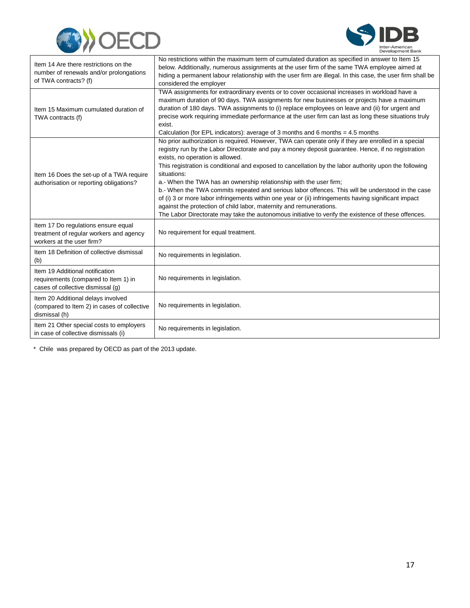



| Item 14 Are there restrictions on the<br>number of renewals and/or prolongations<br>of TWA contracts? (f)    | No restrictions within the maximum term of cumulated duration as specified in answer to Item 15<br>below. Additionally, numerous assignments at the user firm of the same TWA employee aimed at<br>hiding a permanent labour relationship with the user firm are illegal. In this case, the user firm shall be<br>considered the employer                                                                                                                                                                                                                                                                                                                                                                                                                                                                                               |
|--------------------------------------------------------------------------------------------------------------|-----------------------------------------------------------------------------------------------------------------------------------------------------------------------------------------------------------------------------------------------------------------------------------------------------------------------------------------------------------------------------------------------------------------------------------------------------------------------------------------------------------------------------------------------------------------------------------------------------------------------------------------------------------------------------------------------------------------------------------------------------------------------------------------------------------------------------------------|
| Item 15 Maximum cumulated duration of<br>TWA contracts (f)                                                   | TWA assignments for extraordinary events or to cover occasional increases in workload have a<br>maximum duration of 90 days. TWA assignments for new businesses or projects have a maximum<br>duration of 180 days. TWA assignments to (i) replace employees on leave and (ii) for urgent and<br>precise work requiring immediate performance at the user firm can last as long these situations truly<br>exist.<br>Calculation (for EPL indicators): average of 3 months and 6 months = $4.5$ months                                                                                                                                                                                                                                                                                                                                   |
| Item 16 Does the set-up of a TWA require<br>authorisation or reporting obligations?                          | No prior authorization is required. However, TWA can operate only if they are enrolled in a special<br>registry run by the Labor Directorate and pay a money deposit guarantee. Hence, if no registration<br>exists, no operation is allowed.<br>This registration is conditional and exposed to cancellation by the labor authority upon the following<br>situations:<br>a.- When the TWA has an ownership relationship with the user firm;<br>b.- When the TWA commits repeated and serious labor offences. This will be understood in the case<br>of (i) 3 or more labor infringements within one year or (ii) infringements having significant impact<br>against the protection of child labor, maternity and remunerations.<br>The Labor Directorate may take the autonomous initiative to verify the existence of these offences. |
| Item 17 Do regulations ensure equal<br>treatment of regular workers and agency<br>workers at the user firm?  | No requirement for equal treatment.                                                                                                                                                                                                                                                                                                                                                                                                                                                                                                                                                                                                                                                                                                                                                                                                     |
| Item 18 Definition of collective dismissal<br>(b)                                                            | No requirements in legislation.                                                                                                                                                                                                                                                                                                                                                                                                                                                                                                                                                                                                                                                                                                                                                                                                         |
| Item 19 Additional notification<br>requirements (compared to Item 1) in<br>cases of collective dismissal (g) | No requirements in legislation.                                                                                                                                                                                                                                                                                                                                                                                                                                                                                                                                                                                                                                                                                                                                                                                                         |
| Item 20 Additional delays involved<br>(compared to Item 2) in cases of collective<br>dismissal (h)           | No requirements in legislation.                                                                                                                                                                                                                                                                                                                                                                                                                                                                                                                                                                                                                                                                                                                                                                                                         |
| Item 21 Other special costs to employers<br>in case of collective dismissals (i)                             | No requirements in legislation.                                                                                                                                                                                                                                                                                                                                                                                                                                                                                                                                                                                                                                                                                                                                                                                                         |

\* Chile was prepared by OECD as part of the 2013 update.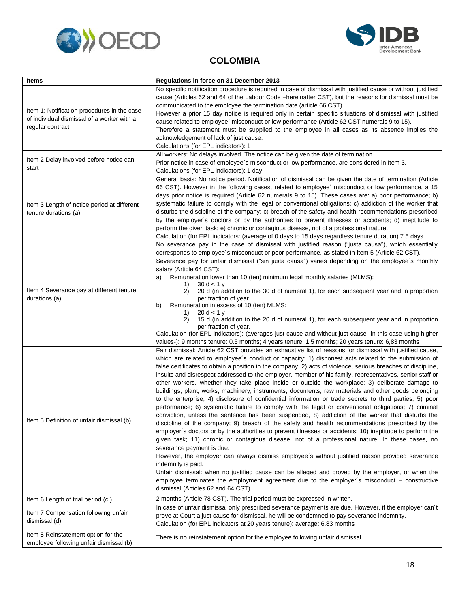<span id="page-20-0"></span>



### **COLOMBIA**

| <b>Items</b>                                                                                                  | Regulations in force on 31 December 2013                                                                                                                                                                                                                                                                                                                                                                                                                                                                                                                                                                                                                                                                                                                                                                                                                                                                                                                                                                                                                                                                                                                                                                                                                                                                                                                                                                                                                                                                                                                                                                                                                                                            |
|---------------------------------------------------------------------------------------------------------------|-----------------------------------------------------------------------------------------------------------------------------------------------------------------------------------------------------------------------------------------------------------------------------------------------------------------------------------------------------------------------------------------------------------------------------------------------------------------------------------------------------------------------------------------------------------------------------------------------------------------------------------------------------------------------------------------------------------------------------------------------------------------------------------------------------------------------------------------------------------------------------------------------------------------------------------------------------------------------------------------------------------------------------------------------------------------------------------------------------------------------------------------------------------------------------------------------------------------------------------------------------------------------------------------------------------------------------------------------------------------------------------------------------------------------------------------------------------------------------------------------------------------------------------------------------------------------------------------------------------------------------------------------------------------------------------------------------|
| Item 1: Notification procedures in the case<br>of individual dismissal of a worker with a<br>regular contract | No specific notification procedure is required in case of dismissal with justified cause or without justified<br>cause (Articles 62 and 64 of the Labour Code –hereinafter CST), but the reasons for dismissal must be<br>communicated to the employee the termination date (article 66 CST).<br>However a prior 15 day notice is required only in certain specific situations of dismissal with justified<br>cause related to employee' misconduct or low performance (Article 62 CST numerals 9 to 15).<br>Therefore a statement must be supplied to the employee in all cases as its absence implies the<br>acknowledgement of lack of just cause.<br>Calculations (for EPL indicators): 1                                                                                                                                                                                                                                                                                                                                                                                                                                                                                                                                                                                                                                                                                                                                                                                                                                                                                                                                                                                                       |
| Item 2 Delay involved before notice can<br>start                                                              | All workers: No delays involved. The notice can be given the date of termination.<br>Prior notice in case of employee's misconduct or low performance, are considered in Item 3.<br>Calculations (for EPL indicators): 1 day                                                                                                                                                                                                                                                                                                                                                                                                                                                                                                                                                                                                                                                                                                                                                                                                                                                                                                                                                                                                                                                                                                                                                                                                                                                                                                                                                                                                                                                                        |
| Item 3 Length of notice period at different<br>tenure durations (a)                                           | General basis: No notice period. Notification of dismissal can be given the date of termination (Article<br>66 CST). However in the following cases, related to employee' misconduct or low performance, a 15<br>days prior notice is required (Article 62 numerals 9 to 15). These cases are: a) poor performance; b)<br>systematic failure to comply with the legal or conventional obligations; c) addiction of the worker that<br>disturbs the discipline of the company; c) breach of the safety and health recommendations prescribed<br>by the employer's doctors or by the authorities to prevent illnesses or accidents; d) ineptitude to<br>perform the given task; e) chronic or contagious disease, not of a professional nature.<br>Calculation (for EPL indicators: (average of 0 days to 15 days regardless tenure duration) 7.5 days.                                                                                                                                                                                                                                                                                                                                                                                                                                                                                                                                                                                                                                                                                                                                                                                                                                               |
| Item 4 Severance pay at different tenure<br>durations (a)                                                     | No severance pay in the case of dismissal with justified reason ("justa causa"), which essentially<br>corresponds to employee's misconduct or poor performance, as stated in Item 5 (Article 62 CST).<br>Severance pay for unfair dismissal ("sin justa causa") varies depending on the employee's monthly<br>salary (Article 64 CST):<br>Remuneration lower than 10 (ten) minimum legal monthly salaries (MLMS):<br>a)<br>30 d < 1 v<br>1)<br>2)<br>20 d (in addition to the 30 d of numeral 1), for each subsequent year and in proportion<br>per fraction of year.<br>b)<br>Remuneration in excess of 10 (ten) MLMS:<br>20 d < 1 y<br>1)<br>15 d (in addition to the 20 d of numeral 1), for each subsequent year and in proportion<br>2)<br>per fraction of year.<br>Calculation (for EPL indicators): (averages just cause and without just cause -in this case using higher<br>values-): 9 months tenure: 0.5 months; 4 years tenure: 1.5 months; 20 years tenure: 6,83 months                                                                                                                                                                                                                                                                                                                                                                                                                                                                                                                                                                                                                                                                                                                |
| Item 5 Definition of unfair dismissal (b)                                                                     | Fair dismissal: Article 62 CST provides an exhaustive list of reasons for dismissal with justified cause,<br>which are related to employee's conduct or capacity: 1) dishonest acts related to the submission of<br>false certificates to obtain a position in the company, 2) acts of violence, serious breaches of discipline,<br>insults and disrespect addressed to the employer, member of his family, representatives, senior staff or<br>other workers, whether they take place inside or outside the workplace; 3) deliberate damage to<br>buildings, plant, works, machinery, instruments, documents, raw materials and other goods belonging<br>to the enterprise, 4) disclosure of confidential information or trade secrets to third parties, 5) poor<br>performance; 6) systematic failure to comply with the legal or conventional obligations; 7) criminal<br>conviction, unless the sentence has been suspended, 8) addiction of the worker that disturbs the<br>discipline of the company; 9) breach of the safety and health recommendations prescribed by the<br>employer's doctors or by the authorities to prevent illnesses or accidents; 10) ineptitude to perform the<br>given task; 11) chronic or contagious disease, not of a professional nature. In these cases, no<br>severance payment is due.<br>However, the employer can always dismiss employee's without justified reason provided severance<br>indemnity is paid.<br>Unfair dismissal: when no justified cause can be alleged and proved by the employer, or when the<br>employee terminates the employment agreement due to the employer's misconduct $-$ constructive<br>dismissal (Articles 62 and 64 CST). |
| Item 6 Length of trial period (c)                                                                             | 2 months (Article 78 CST). The trial period must be expressed in written.                                                                                                                                                                                                                                                                                                                                                                                                                                                                                                                                                                                                                                                                                                                                                                                                                                                                                                                                                                                                                                                                                                                                                                                                                                                                                                                                                                                                                                                                                                                                                                                                                           |
| Item 7 Compensation following unfair<br>dismissal (d)                                                         | In case of unfair dismissal only prescribed severance payments are due. However, if the employer can't<br>prove at Court a just cause for dismissal, he will be condemned to pay severance indemnity.<br>Calculation (for EPL indicators at 20 years tenure): average: 6.83 months                                                                                                                                                                                                                                                                                                                                                                                                                                                                                                                                                                                                                                                                                                                                                                                                                                                                                                                                                                                                                                                                                                                                                                                                                                                                                                                                                                                                                  |
| Item 8 Reinstatement option for the<br>employee following unfair dismissal (b)                                | There is no reinstatement option for the employee following unfair dismissal.                                                                                                                                                                                                                                                                                                                                                                                                                                                                                                                                                                                                                                                                                                                                                                                                                                                                                                                                                                                                                                                                                                                                                                                                                                                                                                                                                                                                                                                                                                                                                                                                                       |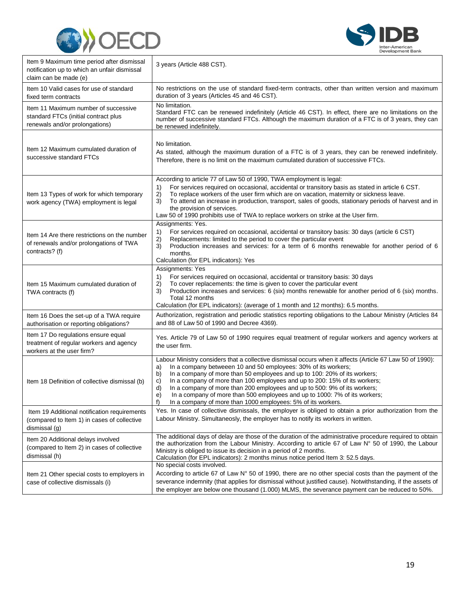



| Item 9 Maximum time period after dismissal<br>notification up to which an unfair dismissal<br>claim can be made (e) | 3 years (Article 488 CST).                                                                                                                                                                                                                                                                                                                                                                                                                                                                                                                                                                            |
|---------------------------------------------------------------------------------------------------------------------|-------------------------------------------------------------------------------------------------------------------------------------------------------------------------------------------------------------------------------------------------------------------------------------------------------------------------------------------------------------------------------------------------------------------------------------------------------------------------------------------------------------------------------------------------------------------------------------------------------|
| Item 10 Valid cases for use of standard<br>fixed term contracts                                                     | No restrictions on the use of standard fixed-term contracts, other than written version and maximum<br>duration of 3 years (Articles 45 and 46 CST).                                                                                                                                                                                                                                                                                                                                                                                                                                                  |
| Item 11 Maximum number of successive<br>standard FTCs (initial contract plus<br>renewals and/or prolongations)      | No limitation.<br>Standard FTC can be renewed indefinitely (Article 46 CST). In effect, there are no limitations on the<br>number of successive standard FTCs. Although the maximum duration of a FTC is of 3 years, they can<br>be renewed indefinitely.                                                                                                                                                                                                                                                                                                                                             |
| Item 12 Maximum cumulated duration of<br>successive standard FTCs                                                   | No limitation.<br>As stated, although the maximum duration of a FTC is of 3 years, they can be renewed indefinitely.<br>Therefore, there is no limit on the maximum cumulated duration of successive FTCs.                                                                                                                                                                                                                                                                                                                                                                                            |
| Item 13 Types of work for which temporary<br>work agency (TWA) employment is legal                                  | According to article 77 of Law 50 of 1990, TWA employment is legal:<br>For services required on occasional, accidental or transitory basis as stated in article 6 CST.<br>1)<br>To replace workers of the user firm which are on vacation, maternity or sickness leave.<br>2)<br>3)<br>To attend an increase in production, transport, sales of goods, stationary periods of harvest and in<br>the provision of services.<br>Law 50 of 1990 prohibits use of TWA to replace workers on strike at the User firm.                                                                                       |
| Item 14 Are there restrictions on the number<br>of renewals and/or prolongations of TWA<br>contracts? (f)           | Assignments: Yes.<br>1)<br>For services required on occasional, accidental or transitory basis: 30 days (article 6 CST)<br>2)<br>Replacements: limited to the period to cover the particular event<br>3)<br>Production increases and services: for a term of 6 months renewable for another period of 6<br>months.<br>Calculation (for EPL indicators): Yes                                                                                                                                                                                                                                           |
| Item 15 Maximum cumulated duration of<br>TWA contracts (f)                                                          | Assignments: Yes<br>1)<br>For services required on occasional, accidental or transitory basis: 30 days<br>To cover replacements: the time is given to cover the particular event<br>2)<br>Production increases and services: 6 (six) months renewable for another period of 6 (six) months.<br>3)<br>Total 12 months<br>Calculation (for EPL indicators): (average of 1 month and 12 months): 6.5 months.                                                                                                                                                                                             |
| Item 16 Does the set-up of a TWA require<br>authorisation or reporting obligations?                                 | Authorization, registration and periodic statistics reporting obligations to the Labour Ministry (Articles 84<br>and 88 of Law 50 of 1990 and Decree 4369).                                                                                                                                                                                                                                                                                                                                                                                                                                           |
| Item 17 Do regulations ensure equal<br>treatment of regular workers and agency<br>workers at the user firm?         | Yes. Article 79 of Law 50 of 1990 requires equal treatment of regular workers and agency workers at<br>the user firm.                                                                                                                                                                                                                                                                                                                                                                                                                                                                                 |
| Item 18 Definition of collective dismissal (b)                                                                      | Labour Ministry considers that a collective dismissal occurs when it affects (Article 67 Law 50 of 1990):<br>In a company betweeen 10 and 50 employees: 30% of its workers;<br>a)<br>b)<br>In a company of more than 50 employees and up to 100: 20% of its workers;<br>In a company of more than 100 employees and up to 200: 15% of its workers;<br>C)<br>d)<br>In a company of more than 200 employees and up to 500: 9% of its workers;<br>e)<br>In a company of more than 500 employees and up to 1000: 7% of its workers;<br>f)<br>In a company of more than 1000 employees: 5% of its workers. |
| Item 19 Additional notification requirements<br>(compared to Item 1) in cases of collective<br>dismissal (g)        | Yes. In case of collective dismissals, the employer is obliged to obtain a prior authorization from the<br>Labour Ministry. Simultaneosly, the employer has to notify its workers in written.                                                                                                                                                                                                                                                                                                                                                                                                         |
| Item 20 Additional delays involved<br>(compared to Item 2) in cases of collective<br>dismissal (h)                  | The additional days of delay are those of the duration of the administrative procedure required to obtain<br>the authorization from the Labour Ministry. According to article 67 of Law N° 50 of 1990, the Labour<br>Ministry is obliged to issue its decision in a period of 2 months.<br>Calculation (for EPL indicators): 2 months minus notice period Item 3: 52.5 days.                                                                                                                                                                                                                          |
| Item 21 Other special costs to employers in<br>case of collective dismissals (i)                                    | No special costs involved.<br>According to article 67 of Law $N^{\circ}$ 50 of 1990, there are no other special costs than the payment of the<br>severance indemnity (that applies for dismissal without justified cause). Notwithstanding, if the assets of<br>the employer are below one thousand (1.000) MLMS, the severance payment can be reduced to 50%.                                                                                                                                                                                                                                        |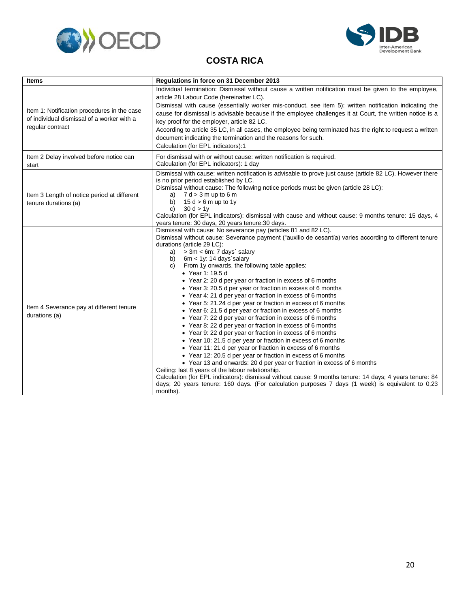<span id="page-22-0"></span>



### **COSTA RICA**

| <b>Items</b>                                                                                                  | Regulations in force on 31 December 2013                                                                                                                                                                                                                                                                                                                                                                                                                                                                                                                                                                                                                                                                                                                                                                                                                                                                                                                                                                                                                                                                                                                                                                                                                                                                                                                                                                                      |
|---------------------------------------------------------------------------------------------------------------|-------------------------------------------------------------------------------------------------------------------------------------------------------------------------------------------------------------------------------------------------------------------------------------------------------------------------------------------------------------------------------------------------------------------------------------------------------------------------------------------------------------------------------------------------------------------------------------------------------------------------------------------------------------------------------------------------------------------------------------------------------------------------------------------------------------------------------------------------------------------------------------------------------------------------------------------------------------------------------------------------------------------------------------------------------------------------------------------------------------------------------------------------------------------------------------------------------------------------------------------------------------------------------------------------------------------------------------------------------------------------------------------------------------------------------|
| Item 1: Notification procedures in the case<br>of individual dismissal of a worker with a<br>regular contract | Individual termination: Dismissal without cause a written notification must be given to the employee,<br>article 28 Labour Code (hereinafter LC).<br>Dismissal with cause (essentially worker mis-conduct, see item 5): written notification indicating the<br>cause for dismissal is advisable because if the employee challenges it at Court, the written notice is a<br>key proof for the employer, article 82 LC.<br>According to article 35 LC, in all cases, the employee being terminated has the right to request a written<br>document indicating the termination and the reasons for such.<br>Calculation (for EPL indicators):1                                                                                                                                                                                                                                                                                                                                                                                                                                                                                                                                                                                                                                                                                                                                                                                    |
| Item 2 Delay involved before notice can<br>start                                                              | For dismissal with or without cause: written notification is required.<br>Calculation (for EPL indicators): 1 day                                                                                                                                                                                                                                                                                                                                                                                                                                                                                                                                                                                                                                                                                                                                                                                                                                                                                                                                                                                                                                                                                                                                                                                                                                                                                                             |
| Item 3 Length of notice period at different<br>tenure durations (a)                                           | Dismissal with cause: written notification is advisable to prove just cause (article 82 LC). However there<br>is no prior period established by LC.<br>Dismissal without cause: The following notice periods must be given (article 28 LC):<br>a) $7 d > 3 m$ up to 6 m<br>$15 d > 6 m$ up to 1y<br>b)<br>30 d > 1v<br>C)<br>Calculation (for EPL indicators): dismissal with cause and without cause: 9 months tenure: 15 days, 4<br>years tenure: 30 days, 20 years tenure: 30 days.                                                                                                                                                                                                                                                                                                                                                                                                                                                                                                                                                                                                                                                                                                                                                                                                                                                                                                                                        |
| Item 4 Severance pay at different tenure<br>durations (a)                                                     | Dismissal with cause: No severance pay (articles 81 and 82 LC).<br>Dismissal without cause: Severance payment ("auxilio de cesantía) varies according to different tenure<br>durations (article 29 LC):<br>> 3m < 6m: 7 days' salary<br>a)<br>b) $6m < 1y$ : 14 days salary<br>From 1y onwards, the following table applies:<br>C)<br>• Year 1: 19.5 d<br>• Year 2: 20 d per year or fraction in excess of 6 months<br>• Year 3: 20.5 d per year or fraction in excess of 6 months<br>• Year 4: 21 d per year or fraction in excess of 6 months<br>• Year 5: 21.24 d per year or fraction in excess of 6 months<br>• Year 6: 21.5 d per year or fraction in excess of 6 months<br>• Year 7: 22 d per year or fraction in excess of 6 months<br>• Year 8: 22 d per year or fraction in excess of 6 months<br>• Year 9: 22 d per year or fraction in excess of 6 months<br>• Year 10: 21.5 d per year or fraction in excess of 6 months<br>• Year 11: 21 d per year or fraction in excess of 6 months<br>• Year 12: 20.5 d per year or fraction in excess of 6 months<br>• Year 13 and onwards: 20 d per year or fraction in excess of 6 months<br>Ceiling: last 8 years of the labour relationship.<br>Calculation (for EPL indicators): dismissal without cause: 9 months tenure: 14 days; 4 years tenure: 84<br>days; 20 years tenure: 160 days. (For calculation purposes 7 days (1 week) is equivalent to 0,23<br>months). |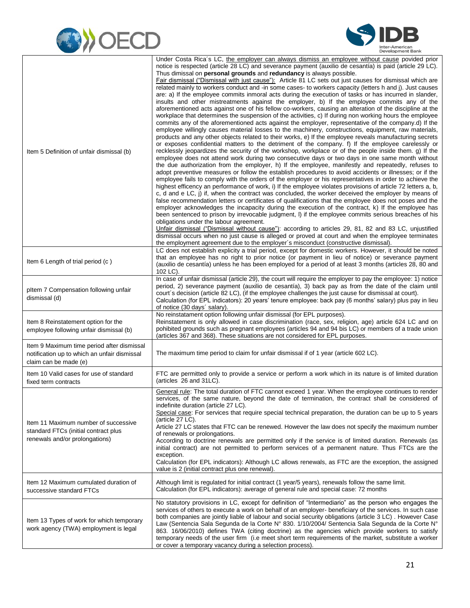



| Item 5 Definition of unfair dismissal (b)                                                                           | Under Costa Rica's LC, the employer can always dismiss an employee without cause povided prior<br>notice is respected (article 28 LC) and severance payment (auxilio de cesantía) is paid (article 29 LC).<br>Thus dimissal on <b>personal grounds</b> and <b>redundancy</b> is always possible.<br>Fair dismissal ("Dismissal with just cause"): Article 81 LC sets out just causes for dismissal which are<br>related mainly to workers conduct and -in some cases- to workers capacity (letters h and j). Just causes<br>are: a) If the employee commits inmoral acts during the execution of tasks or has incurred in slander,<br>insults and other mistreatments against the employer, b) If the employee commits any of the<br>aforementioned acts against one of his fellow co-workers, causing an alteration of the discipline at the<br>workplace that determines the suspension of the activities, c) If during non working hours the employee<br>commits any of the aforementioned acts against the employer, representative of the company.d) If the<br>employee willingly causes material losses to the machinery, constructions, equipment, raw materials,<br>products and any other objects related to their works, e) If the employee reveals manufacturing secrets<br>or exposes confidential matters to the detriment of the company. f) If the employee carelessly or<br>recklessly jeopardizes the security of the workshop, workplace or of the people inside them. g) If the<br>employee does not attend work during two consecutive days or two days in one same month without<br>the due authorization from the employer, h) If the employee, manifestly and repeatedly, refuses to<br>adopt preventive measures or follow the establish procedures to avoid accidents or illnesses; or if the<br>employee fails to comply with the orders of the employer or his representatives in order to achieve the<br>highest efficency an performance of work, i) If the employee violates provisions of article 72 letters a, b,<br>c, d and e LC, j) if, when the contract was concluded, the worker deceived the employer by means of<br>false recommendation letters or certificates of qualifications that the employee does not poses and the<br>employer acknowledges the incapacity during the execution of the contract, k) If the employee has<br>been sentenced to prison by irrevocable judgment, I) if the employee commits serious breaches of his<br>obligations under the labour agreement.<br>Unfair dismissal ("Dismissal without cause"): according to articles 29, 81, 82 and 83 LC, unjustified<br>dismissal occurs when no just cause is alleged or proved at court and when the employee terminates<br>the employment agreement due to the employer's misconduct (constructive dismissal). |
|---------------------------------------------------------------------------------------------------------------------|-----------------------------------------------------------------------------------------------------------------------------------------------------------------------------------------------------------------------------------------------------------------------------------------------------------------------------------------------------------------------------------------------------------------------------------------------------------------------------------------------------------------------------------------------------------------------------------------------------------------------------------------------------------------------------------------------------------------------------------------------------------------------------------------------------------------------------------------------------------------------------------------------------------------------------------------------------------------------------------------------------------------------------------------------------------------------------------------------------------------------------------------------------------------------------------------------------------------------------------------------------------------------------------------------------------------------------------------------------------------------------------------------------------------------------------------------------------------------------------------------------------------------------------------------------------------------------------------------------------------------------------------------------------------------------------------------------------------------------------------------------------------------------------------------------------------------------------------------------------------------------------------------------------------------------------------------------------------------------------------------------------------------------------------------------------------------------------------------------------------------------------------------------------------------------------------------------------------------------------------------------------------------------------------------------------------------------------------------------------------------------------------------------------------------------------------------------------------------------------------------------------------------------------------------------------------------------------------------------------------------------------------------------------------------------------------------------------------------------------------------------------------------------------------------------------------------------------|
| Item 6 Length of trial period (c)                                                                                   | LC does not establish explicity a trial period, except for domestic workers. However, it should be noted<br>that an employee has no right to prior notice (or payment in lieu of notice) or severance payment<br>(auxilio de cesantía) unless he has been employed for a period of at least 3 months (articles 28, 80 and<br>102 LC).                                                                                                                                                                                                                                                                                                                                                                                                                                                                                                                                                                                                                                                                                                                                                                                                                                                                                                                                                                                                                                                                                                                                                                                                                                                                                                                                                                                                                                                                                                                                                                                                                                                                                                                                                                                                                                                                                                                                                                                                                                                                                                                                                                                                                                                                                                                                                                                                                                                                                             |
| pltem 7 Compensation following unfair<br>dismissal (d)                                                              | In case of unfair dismissal (article 29), the court will require the employer to pay the employee: 1) notice<br>period, 2) severance payment (auxilio de cesantía), 3) back pay as from the date of the claim until<br>court's decision (article 82 LC), (if the employee challenges the just cause for dismissal at court).<br>Calculation (for EPL indicators): 20 years' tenure employee: back pay (6 months' salary) plus pay in lieu<br>of notice (30 days' salary).                                                                                                                                                                                                                                                                                                                                                                                                                                                                                                                                                                                                                                                                                                                                                                                                                                                                                                                                                                                                                                                                                                                                                                                                                                                                                                                                                                                                                                                                                                                                                                                                                                                                                                                                                                                                                                                                                                                                                                                                                                                                                                                                                                                                                                                                                                                                                         |
| Item 8 Reinstatement option for the<br>employee following unfair dismissal (b)                                      | No reinstatament option following unfair dismissal (for EPL purposes).<br>Reinstatement is only allowed in case discrimination (race, sex, religion, age) article 624 LC and on<br>pohibited grounds such as pregnant employees (articles 94 and 94 bis LC) or members of a trade union<br>(articles 367 and 368). These situations are not considered for EPL purposes.                                                                                                                                                                                                                                                                                                                                                                                                                                                                                                                                                                                                                                                                                                                                                                                                                                                                                                                                                                                                                                                                                                                                                                                                                                                                                                                                                                                                                                                                                                                                                                                                                                                                                                                                                                                                                                                                                                                                                                                                                                                                                                                                                                                                                                                                                                                                                                                                                                                          |
| Item 9 Maximum time period after dismissal<br>notification up to which an unfair dismissal<br>claim can be made (e) | The maximum time period to claim for unfair dismissal if of 1 year (article 602 LC).                                                                                                                                                                                                                                                                                                                                                                                                                                                                                                                                                                                                                                                                                                                                                                                                                                                                                                                                                                                                                                                                                                                                                                                                                                                                                                                                                                                                                                                                                                                                                                                                                                                                                                                                                                                                                                                                                                                                                                                                                                                                                                                                                                                                                                                                                                                                                                                                                                                                                                                                                                                                                                                                                                                                              |
| Item 10 Valid cases for use of standard<br>fixed term contracts                                                     | FTC are permitted only to provide a service or perform a work which in its nature is of limited duration<br>(articles 26 and 31LC).                                                                                                                                                                                                                                                                                                                                                                                                                                                                                                                                                                                                                                                                                                                                                                                                                                                                                                                                                                                                                                                                                                                                                                                                                                                                                                                                                                                                                                                                                                                                                                                                                                                                                                                                                                                                                                                                                                                                                                                                                                                                                                                                                                                                                                                                                                                                                                                                                                                                                                                                                                                                                                                                                               |
| Item 11 Maximum number of successive<br>standard FTCs (initial contract plus<br>renewals and/or prolongations)      | General rule: The total duration of FTC cannot exceed 1 year. When the employee continues to render<br>services, of the same nature, bevond the date of termination, the contract shall be considered of<br>indefinite duration (article 27 LC).<br>Special case: For services that require special technical preparation, the duration can be up to 5 years<br>(article $27$ LC).<br>Article 27 LC states that FTC can be renewed. However the law does not specify the maximum number<br>of renewals or prolongations.<br>According to doctrine renewals are permitted only if the service is of limited duration. Renewals (as<br>initial contract) are not permitted to perform services of a permanent nature. Thus FTCs are the<br>exception.<br>Calculation (for EPL indicators): Although LC allows renewals, as FTC are the exception, the assigned<br>value is 2 (initial contract plus one renewal).                                                                                                                                                                                                                                                                                                                                                                                                                                                                                                                                                                                                                                                                                                                                                                                                                                                                                                                                                                                                                                                                                                                                                                                                                                                                                                                                                                                                                                                                                                                                                                                                                                                                                                                                                                                                                                                                                                                   |
| Item 12 Maximum cumulated duration of<br>successive standard FTCs                                                   | Although limit is regulated for initial contract (1 year/5 years), renewals follow the same limit.<br>Calculation (for EPL indicators): average of general rule and special case: 72 months                                                                                                                                                                                                                                                                                                                                                                                                                                                                                                                                                                                                                                                                                                                                                                                                                                                                                                                                                                                                                                                                                                                                                                                                                                                                                                                                                                                                                                                                                                                                                                                                                                                                                                                                                                                                                                                                                                                                                                                                                                                                                                                                                                                                                                                                                                                                                                                                                                                                                                                                                                                                                                       |
| Item 13 Types of work for which temporary<br>work agency (TWA) employment is legal                                  | No statutory provisions in LC, except for definition of "Intermediario" as the person who engages the<br>services of others to execute a work on behalf of an employer- beneficiary of the services. In such case<br>both companies are jointly liable of labour and social security obligations (article 3 LC). However Case<br>Law (Sentencia Sala Segunda de la Corte N° 830. 1/10/2004/ Sentencia Sala Segunda de la Corte N°<br>863. 16/06/2010) defines TWA (citing doctrine) as the agencies which provide workers to satisfy<br>temporary needs of the user firm (i.e meet short term requirements of the market, substitute a worker<br>or cover a temporary vacancy during a selection process).                                                                                                                                                                                                                                                                                                                                                                                                                                                                                                                                                                                                                                                                                                                                                                                                                                                                                                                                                                                                                                                                                                                                                                                                                                                                                                                                                                                                                                                                                                                                                                                                                                                                                                                                                                                                                                                                                                                                                                                                                                                                                                                        |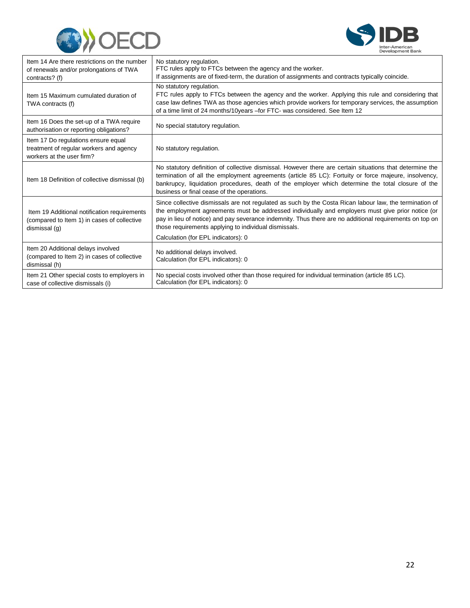



| Item 14 Are there restrictions on the number<br>of renewals and/or prolongations of TWA<br>contracts? (f)    | No statutory regulation.<br>FTC rules apply to FTCs between the agency and the worker.<br>If assignments are of fixed-term, the duration of assignments and contracts typically coincide.                                                                                                                                                                                                                               |
|--------------------------------------------------------------------------------------------------------------|-------------------------------------------------------------------------------------------------------------------------------------------------------------------------------------------------------------------------------------------------------------------------------------------------------------------------------------------------------------------------------------------------------------------------|
| Item 15 Maximum cumulated duration of<br>TWA contracts (f)                                                   | No statutory regulation.<br>FTC rules apply to FTCs between the agency and the worker. Applying this rule and considering that<br>case law defines TWA as those agencies which provide workers for temporary services, the assumption<br>of a time limit of 24 months/10years - for FTC- was considered. See Item 12                                                                                                    |
| Item 16 Does the set-up of a TWA require<br>authorisation or reporting obligations?                          | No special statutory regulation.                                                                                                                                                                                                                                                                                                                                                                                        |
| Item 17 Do regulations ensure equal<br>treatment of regular workers and agency<br>workers at the user firm?  | No statutory regulation.                                                                                                                                                                                                                                                                                                                                                                                                |
| Item 18 Definition of collective dismissal (b)                                                               | No statutory definition of collective dismissal. However there are certain situations that determine the<br>termination of all the employment agreements (article 85 LC): Fortuity or force majeure, insolvency,<br>bankrupcy, liquidation procedures, death of the employer which determine the total closure of the<br>business or final cease of the operations.                                                     |
| Item 19 Additional notification requirements<br>(compared to Item 1) in cases of collective<br>dismissal (g) | Since collective dismissals are not regulated as such by the Costa Rican labour law, the termination of<br>the employment agreements must be addressed individually and employers must give prior notice (or<br>pay in lieu of notice) and pay severance indemnity. Thus there are no additional requirements on top on<br>those requirements applying to individual dismissals.<br>Calculation (for EPL indicators): 0 |
| Item 20 Additional delays involved<br>(compared to Item 2) in cases of collective<br>dismissal (h)           | No additional delays involved.<br>Calculation (for EPL indicators): 0                                                                                                                                                                                                                                                                                                                                                   |
| Item 21 Other special costs to employers in<br>case of collective dismissals (i)                             | No special costs involved other than those required for individual termination (article 85 LC).<br>Calculation (for EPL indicators): 0                                                                                                                                                                                                                                                                                  |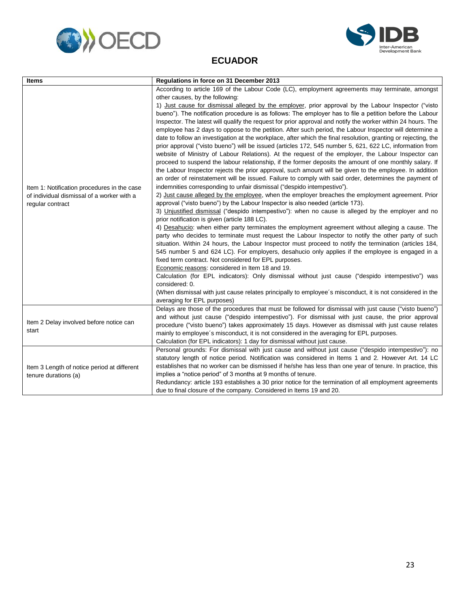<span id="page-25-0"></span>



#### **ECUADOR**

| <b>Items</b>                                                                                                  | Regulations in force on 31 December 2013                                                                                                                                                                                                                                                                                                                                                                                                                                                                                                                                                                                                                                                                                                                                                                                                                                                                                                                                                                                                                                                                                                                                                                                                                                                                                                                                                                                                                                                                                                                                                                                                                                                                                                                                                                                                                                                                                                                                                          |
|---------------------------------------------------------------------------------------------------------------|---------------------------------------------------------------------------------------------------------------------------------------------------------------------------------------------------------------------------------------------------------------------------------------------------------------------------------------------------------------------------------------------------------------------------------------------------------------------------------------------------------------------------------------------------------------------------------------------------------------------------------------------------------------------------------------------------------------------------------------------------------------------------------------------------------------------------------------------------------------------------------------------------------------------------------------------------------------------------------------------------------------------------------------------------------------------------------------------------------------------------------------------------------------------------------------------------------------------------------------------------------------------------------------------------------------------------------------------------------------------------------------------------------------------------------------------------------------------------------------------------------------------------------------------------------------------------------------------------------------------------------------------------------------------------------------------------------------------------------------------------------------------------------------------------------------------------------------------------------------------------------------------------------------------------------------------------------------------------------------------------|
| Item 1: Notification procedures in the case<br>of individual dismissal of a worker with a<br>regular contract | According to article 169 of the Labour Code (LC), employment agreements may terminate, amongst<br>other causes, by the following:<br>1) Just cause for dismissal alleged by the employer, prior approval by the Labour Inspector ("visto<br>bueno"). The notification procedure is as follows: The employer has to file a petition before the Labour<br>Inspector. The latest will qualify the request for prior approval and notify the worker within 24 hours. The<br>employee has 2 days to oppose to the petition. After such period, the Labour Inspector will determine a<br>date to follow an investigation at the workplace, after which the final resolution, granting or rejecting, the<br>prior approval ("visto bueno") will be issued (articles 172, 545 number 5, 621, 622 LC, information from<br>website of Ministry of Labour Relations). At the request of the employer, the Labour Inspector can<br>proceed to suspend the labour relationship, if the former deposits the amount of one monthly salary. If<br>the Labour Inspector rejects the prior approval, such amount will be given to the employee. In addition<br>an order of reinstatement will be issued. Failure to comply with said order, determines the payment of<br>indemnities corresponding to unfair dismissal ("despido intempestivo").<br>2) Just cause alleged by the employee, when the employer breaches the employment agreement. Prior<br>approval ("visto bueno") by the Labour Inspector is also needed (article 173).<br>3) Unjustified dismissal ("despido intempestivo"): when no cause is alleged by the employer and no<br>prior notification is given (article 188 LC).<br>4) Desahucio: when either party terminates the employment agreement without alleging a cause. The<br>party who decides to terminate must request the Labour Inspector to notify the other party of such<br>situation. Within 24 hours, the Labour Inspector must proceed to notify the termination (articles 184, |
|                                                                                                               | 545 number 5 and 624 LC). For employers, desahucio only applies if the employee is engaged in a<br>fixed term contract. Not considered for EPL purposes.<br>Economic reasons: considered in Item 18 and 19.<br>Calculation (for EPL indicators): Only dismissal without just cause ("despido intempestivo") was<br>considered: 0.<br>(When dismissal with just cause relates principally to employee's misconduct, it is not considered in the                                                                                                                                                                                                                                                                                                                                                                                                                                                                                                                                                                                                                                                                                                                                                                                                                                                                                                                                                                                                                                                                                                                                                                                                                                                                                                                                                                                                                                                                                                                                                    |
|                                                                                                               | averaging for EPL purposes)                                                                                                                                                                                                                                                                                                                                                                                                                                                                                                                                                                                                                                                                                                                                                                                                                                                                                                                                                                                                                                                                                                                                                                                                                                                                                                                                                                                                                                                                                                                                                                                                                                                                                                                                                                                                                                                                                                                                                                       |
| Item 2 Delay involved before notice can<br>start                                                              | Delays are those of the procedures that must be followed for dismissal with just cause ("visto bueno")<br>and without just cause ("despido intempestivo"). For dismissal with just cause, the prior approval<br>procedure ("visto bueno") takes approximately 15 days. However as dismissal with just cause relates<br>mainly to employee's misconduct, it is not considered in the averaging for EPL purposes.<br>Calculation (for EPL indicators): 1 day for dismissal without just cause.                                                                                                                                                                                                                                                                                                                                                                                                                                                                                                                                                                                                                                                                                                                                                                                                                                                                                                                                                                                                                                                                                                                                                                                                                                                                                                                                                                                                                                                                                                      |
| Item 3 Length of notice period at different<br>tenure durations (a)                                           | Personal grounds: For dismissal with just cause and without just cause ("despido intempestivo"): no<br>statutory length of notice period. Notification was considered in Items 1 and 2. However Art. 14 LC<br>establishes that no worker can be dismissed if he/she has less than one year of tenure. In practice, this<br>implies a "notice period" of 3 months at 9 months of tenure.<br>Redundancy: article 193 establishes a 30 prior notice for the termination of all employment agreements<br>due to final closure of the company. Considered in Items 19 and 20.                                                                                                                                                                                                                                                                                                                                                                                                                                                                                                                                                                                                                                                                                                                                                                                                                                                                                                                                                                                                                                                                                                                                                                                                                                                                                                                                                                                                                          |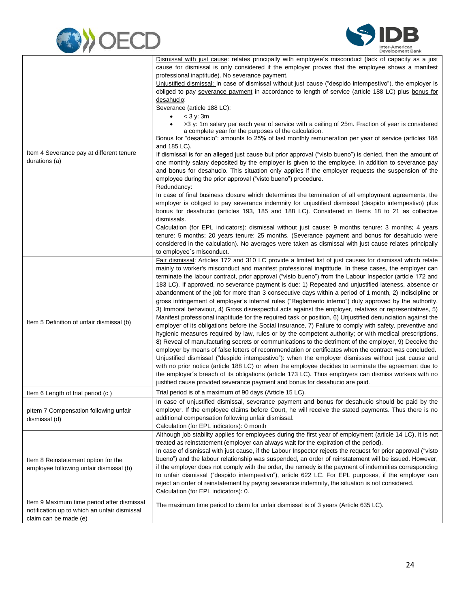



| Item 4 Severance pay at different tenure<br>durations (a)                                                           | Dismissal with just cause: relates principally with employee's misconduct (lack of capacity as a just<br>cause for dismissal is only considered if the employer proves that the employee shows a manifest<br>professional inaptitude). No severance payment.<br>Unjustified dismissal: In case of dismissal without just cause ("despido intempestivo"), the employer is                                                                                                                                                                                                                                                                                                                                                                                                                                                                                                                                                                                                                                                                                                                                                                                                                                                                                                                                                                                                                                                          |
|---------------------------------------------------------------------------------------------------------------------|-----------------------------------------------------------------------------------------------------------------------------------------------------------------------------------------------------------------------------------------------------------------------------------------------------------------------------------------------------------------------------------------------------------------------------------------------------------------------------------------------------------------------------------------------------------------------------------------------------------------------------------------------------------------------------------------------------------------------------------------------------------------------------------------------------------------------------------------------------------------------------------------------------------------------------------------------------------------------------------------------------------------------------------------------------------------------------------------------------------------------------------------------------------------------------------------------------------------------------------------------------------------------------------------------------------------------------------------------------------------------------------------------------------------------------------|
|                                                                                                                     | obliged to pay severance payment in accordance to length of service (article 188 LC) plus bonus for<br>desahucio:<br>Severance (article 188 LC):                                                                                                                                                                                                                                                                                                                                                                                                                                                                                                                                                                                                                                                                                                                                                                                                                                                                                                                                                                                                                                                                                                                                                                                                                                                                                  |
|                                                                                                                     | $<$ 3 y: 3m<br>$\bullet$<br>>3 y: 1m salary per each year of service with a ceiling of 25m. Fraction of year is considered<br>a complete year for the purposes of the calculation.<br>Bonus for "desahucio": amounts to 25% of last monthly remuneration per year of service (articles 188                                                                                                                                                                                                                                                                                                                                                                                                                                                                                                                                                                                                                                                                                                                                                                                                                                                                                                                                                                                                                                                                                                                                        |
|                                                                                                                     | and 185 LC).<br>If dismissal is for an alleged just cause but prior approval ("visto bueno") is denied, then the amount of<br>one monthly salary deposited by the employer is given to the employee, in addition to severance pay<br>and bonus for desahucio. This situation only applies if the employer requests the suspension of the                                                                                                                                                                                                                                                                                                                                                                                                                                                                                                                                                                                                                                                                                                                                                                                                                                                                                                                                                                                                                                                                                          |
|                                                                                                                     | employee during the prior approval ("visto bueno") procedure.<br>Redundancy:                                                                                                                                                                                                                                                                                                                                                                                                                                                                                                                                                                                                                                                                                                                                                                                                                                                                                                                                                                                                                                                                                                                                                                                                                                                                                                                                                      |
| Item 5 Definition of unfair dismissal (b)                                                                           | In case of final business closure which determines the termination of all employment agreements, the<br>employer is obliged to pay severance indemnity for unjustified dismissal (despido intempestivo) plus<br>bonus for desahucio (articles 193, 185 and 188 LC). Considered in Items 18 to 21 as collective<br>dismissals.                                                                                                                                                                                                                                                                                                                                                                                                                                                                                                                                                                                                                                                                                                                                                                                                                                                                                                                                                                                                                                                                                                     |
|                                                                                                                     | Calculation (for EPL indicators): dismissal without just cause: 9 months tenure: 3 months; 4 years<br>tenure: 5 months; 20 years tenure: 25 months. (Severance payment and bonus for desahucio were<br>considered in the calculation). No averages were taken as dismissal with just cause relates principally<br>to employee's misconduct.                                                                                                                                                                                                                                                                                                                                                                                                                                                                                                                                                                                                                                                                                                                                                                                                                                                                                                                                                                                                                                                                                       |
|                                                                                                                     | Fair dismissal: Articles 172 and 310 LC provide a limited list of just causes for dismissal which relate<br>mainly to worker's misconduct and manifest professional inaptitude. In these cases, the employer can<br>terminate the labour contract, prior approval ("visto bueno") from the Labour Inspector (article 172 and<br>183 LC). If approved, no severance payment is due: 1) Repeated and unjustified lateness, absence or<br>abandonment of the job for more than 3 consecutive days within a period of 1 month, 2) Indiscipline or<br>gross infringement of employer's internal rules ("Reglamento interno") duly approved by the authority,<br>3) Immoral behaviour, 4) Gross disrespectful acts against the employer, relatives or representatives, 5)<br>Manifest professional inaptitude for the required task or position, 6) Unjustified denunciation against the<br>employer of its obligations before the Social Insurance, 7) Failure to comply with safety, preventive and<br>hygienic measures required by law, rules or by the competent authority; or with medical prescriptions,<br>8) Reveal of manufacturing secrets or communications to the detriment of the employer, 9) Deceive the<br>employer by means of false letters of recommendation or certificates when the contract was concluded.<br>Unjustified dismissal ("despido intempestivo"): when the employer dismisses without just cause and |
|                                                                                                                     | with no prior notice (article 188 LC) or when the employee decides to terminate the agreement due to<br>the employer's breach of its obligations (article 173 LC). Thus employers can dismiss workers with no<br>justified cause provided severance payment and bonus for desahucio are paid.                                                                                                                                                                                                                                                                                                                                                                                                                                                                                                                                                                                                                                                                                                                                                                                                                                                                                                                                                                                                                                                                                                                                     |
| Item 6 Length of trial period (c)                                                                                   | Trial period is of a maximum of 90 days (Article 15 LC).                                                                                                                                                                                                                                                                                                                                                                                                                                                                                                                                                                                                                                                                                                                                                                                                                                                                                                                                                                                                                                                                                                                                                                                                                                                                                                                                                                          |
| pltem 7 Compensation following unfair<br>dismissal (d)                                                              | In case of unjustified dismissal, severance payment and bonus for desahucio should be paid by the<br>employer. If the employee claims before Court, he will receive the stated payments. Thus there is no<br>additional compensation following unfair dismissal.<br>Calculation (for EPL indicators): 0 month                                                                                                                                                                                                                                                                                                                                                                                                                                                                                                                                                                                                                                                                                                                                                                                                                                                                                                                                                                                                                                                                                                                     |
| Item 8 Reinstatement option for the<br>employee following unfair dismissal (b)                                      | Although job stability applies for employees during the first year of employment (article 14 LC), it is not<br>treated as reinstatement (employer can always wait for the expiration of the period).<br>In case of dismissal with just cause, if the Labour Inspector rejects the request for prior approval ("visto<br>bueno") and the labour relationship was suspended, an order of reinstatement will be issued. However,<br>if the employer does not comply with the order, the remedy is the payment of indemnities corresponding<br>to unfair dismissal ("despido intempestivo"), article 622 LC. For EPL purposes, if the employer can<br>reject an order of reinstatement by paying severance indemnity, the situation is not considered.<br>Calculation (for EPL indicators): 0.                                                                                                                                                                                                                                                                                                                                                                                                                                                                                                                                                                                                                                        |
| Item 9 Maximum time period after dismissal<br>notification up to which an unfair dismissal<br>claim can be made (e) | The maximum time period to claim for unfair dismissal is of 3 years (Article 635 LC).                                                                                                                                                                                                                                                                                                                                                                                                                                                                                                                                                                                                                                                                                                                                                                                                                                                                                                                                                                                                                                                                                                                                                                                                                                                                                                                                             |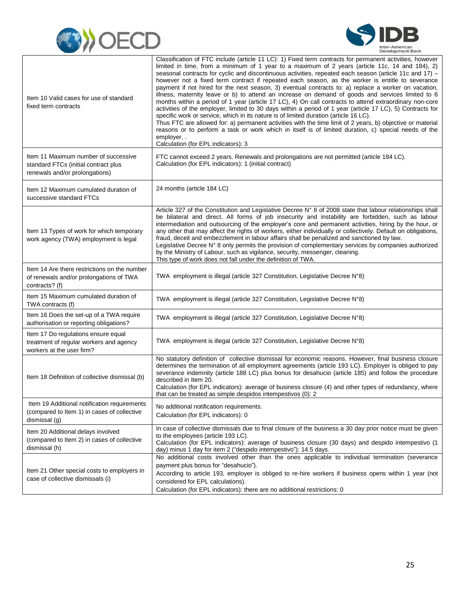



| Item 10 Valid cases for use of standard<br>fixed term contracts                                                | Classification of FTC include (article 11 LC): 1) Fixed term contracts for permanent activities, however<br>limited in time, from a minimum of 1 year to a maximum of 2 years (article 11c, 14 and 184), 2)<br>seasonal contracts for cyclic and discontinuous activities, repeated each season (article 11c and 17) –<br>however not a fixed term contract if repeated each season, as the worker is entitle to severance<br>payment if not hired for the next season, 3) eventual contracts to: a) replace a worker on vacation,<br>illness, maternity leave or b) to attend an increase on demand of goods and services limited to 6<br>months within a period of 1 year (article 17 LC), 4) On call contracts to attend extraordinary non-core<br>activities of the employer, limited to 30 days within a period of 1 year (article 17 LC), 5) Contracts for<br>specific work or service, which in its nature is of limited duration (article 16 LC).<br>Thus FTC are allowed for: a) permanent activities with the time limit of 2 years, b) objective or material<br>reasons or to perform a task or work which in itself is of limited duration, c) special needs of the<br>employer, .<br>Calculation (for EPL indicators): 3 |
|----------------------------------------------------------------------------------------------------------------|---------------------------------------------------------------------------------------------------------------------------------------------------------------------------------------------------------------------------------------------------------------------------------------------------------------------------------------------------------------------------------------------------------------------------------------------------------------------------------------------------------------------------------------------------------------------------------------------------------------------------------------------------------------------------------------------------------------------------------------------------------------------------------------------------------------------------------------------------------------------------------------------------------------------------------------------------------------------------------------------------------------------------------------------------------------------------------------------------------------------------------------------------------------------------------------------------------------------------------------|
| Item 11 Maximum number of successive<br>standard FTCs (initial contract plus<br>renewals and/or prolongations) | FTC cannot exceed 2 years. Renewals and prolongations are not permitted (article 184 LC).<br>Calculation (for EPL indicators): 1 (initial contract)                                                                                                                                                                                                                                                                                                                                                                                                                                                                                                                                                                                                                                                                                                                                                                                                                                                                                                                                                                                                                                                                                   |
| Item 12 Maximum cumulated duration of<br>successive standard FTCs                                              | 24 months (article 184 LC)                                                                                                                                                                                                                                                                                                                                                                                                                                                                                                                                                                                                                                                                                                                                                                                                                                                                                                                                                                                                                                                                                                                                                                                                            |
| Item 13 Types of work for which temporary<br>work agency (TWA) employment is legal                             | Article 327 of the Constitution and Legislative Decree N° 8 of 2008 state that labour relationships shall<br>be bilateral and direct. All forms of job insecurity and instability are forbidden, such as labour<br>intermediation and outsourcing of the employer's core and permanent activities, hiring by the hour, or<br>any other that may affect the rights of workers, either individually or collectively. Default on obligations,<br>fraud, deceit and embezzlement in labour affairs shall be penalized and sanctioned by law.<br>Legislative Decree N° 8 only permits the provision of complementary services by companies authorized<br>by the Ministry of Labour, such as vigilance, security, messenger, cleaning.<br>This type of work does not fall under the definition of TWA.                                                                                                                                                                                                                                                                                                                                                                                                                                      |
| Item 14 Are there restrictions on the number<br>of renewals and/or prolongations of TWA<br>contracts? (f)      | TWA employment is illegal (article 327 Constitution, Legislative Decree N°8)                                                                                                                                                                                                                                                                                                                                                                                                                                                                                                                                                                                                                                                                                                                                                                                                                                                                                                                                                                                                                                                                                                                                                          |
| Item 15 Maximum cumulated duration of<br>TWA contracts (f)                                                     | TWA employment is illegal (article 327 Constitution, Legislative Decree N°8)                                                                                                                                                                                                                                                                                                                                                                                                                                                                                                                                                                                                                                                                                                                                                                                                                                                                                                                                                                                                                                                                                                                                                          |
| Item 16 Does the set-up of a TWA require<br>authorisation or reporting obligations?                            | TWA employment is illegal (article 327 Constitution, Legislative Decree N°8)                                                                                                                                                                                                                                                                                                                                                                                                                                                                                                                                                                                                                                                                                                                                                                                                                                                                                                                                                                                                                                                                                                                                                          |
| Item 17 Do regulations ensure equal<br>treatment of regular workers and agency<br>workers at the user firm?    | TWA employment is illegal (article 327 Constitution, Legislative Decree N°8)                                                                                                                                                                                                                                                                                                                                                                                                                                                                                                                                                                                                                                                                                                                                                                                                                                                                                                                                                                                                                                                                                                                                                          |
| Item 18 Definition of collective dismissal (b)                                                                 | No statutory definition of collective dismissal for economic reasons. However, final business closure<br>determines the termination of all employment agreements (article 193 LC). Employer is obliged to pay<br>severance indemnity (article 188 LC) plus bonus for desahucio (article 185) and follow the procedure<br>described in Item 20.<br>Calculation (for EPL indicators): average of business closure (4) and other types of redundancy, where<br>that can be treated as simple despidos intempestivos (0): 2                                                                                                                                                                                                                                                                                                                                                                                                                                                                                                                                                                                                                                                                                                               |
| Item 19 Additional notification requirements<br>(compared to Item 1) in cases of collective<br>dismissal (g)   | No additional notification requirements.<br>Calculation (for EPL indicators): 0                                                                                                                                                                                                                                                                                                                                                                                                                                                                                                                                                                                                                                                                                                                                                                                                                                                                                                                                                                                                                                                                                                                                                       |
| Item 20 Additional delays involved<br>(compared to Item 2) in cases of collective<br>dismissal (h)             | In case of collective dismissals due to final closure of the business a 30 day prior notice must be given<br>to the employees (article 193 LC).<br>Calculation (for EPL indicators): average of business closure (30 days) and despido intempestivo (1<br>day) minus 1 day for item 2 ("despido intempestivo"): 14.5 days.                                                                                                                                                                                                                                                                                                                                                                                                                                                                                                                                                                                                                                                                                                                                                                                                                                                                                                            |
| Item 21 Other special costs to employers in<br>case of collective dismissals (i)                               | No additional costs involved other than the ones applicable to individual termination (severance<br>payment plus bonus for "desahucio").<br>According to article 193, employer is obliged to re-hire workers if business opens within 1 year (not<br>considered for EPL calculations).<br>Calculation (for EPL indicators): there are no additional restrictions: 0                                                                                                                                                                                                                                                                                                                                                                                                                                                                                                                                                                                                                                                                                                                                                                                                                                                                   |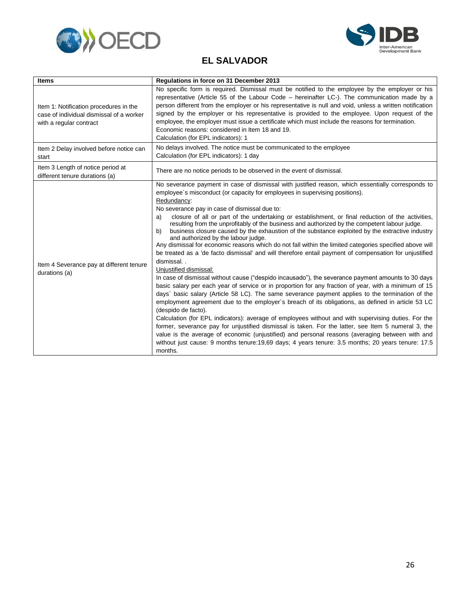



#### **EL SALVADOR**

<span id="page-28-0"></span>

| <b>Items</b>                                                                                                  | Regulations in force on 31 December 2013                                                                                                                                                                                                                                                                                                                                                                                                                                                                                                                                                                                                                                                                                                                                                                                                                                                                                                                                                                                                                                                                                                                                                                                                                                                                                                                                                                                                                                                                                                                                                                                                                                                                                                                  |
|---------------------------------------------------------------------------------------------------------------|-----------------------------------------------------------------------------------------------------------------------------------------------------------------------------------------------------------------------------------------------------------------------------------------------------------------------------------------------------------------------------------------------------------------------------------------------------------------------------------------------------------------------------------------------------------------------------------------------------------------------------------------------------------------------------------------------------------------------------------------------------------------------------------------------------------------------------------------------------------------------------------------------------------------------------------------------------------------------------------------------------------------------------------------------------------------------------------------------------------------------------------------------------------------------------------------------------------------------------------------------------------------------------------------------------------------------------------------------------------------------------------------------------------------------------------------------------------------------------------------------------------------------------------------------------------------------------------------------------------------------------------------------------------------------------------------------------------------------------------------------------------|
| Item 1: Notification procedures in the<br>case of individual dismissal of a worker<br>with a regular contract | No specific form is required. Dismissal must be notified to the employee by the employer or his<br>representative (Article 55 of the Labour Code – hereinafter LC-). The communication made by a<br>person different from the employer or his representative is null and void, unless a written notification<br>signed by the employer or his representative is provided to the employee. Upon request of the<br>employee, the employer must issue a certificate which must include the reasons for termination.<br>Economic reasons: considered in Item 18 and 19.<br>Calculation (for EPL indicators): 1                                                                                                                                                                                                                                                                                                                                                                                                                                                                                                                                                                                                                                                                                                                                                                                                                                                                                                                                                                                                                                                                                                                                                |
| Item 2 Delay involved before notice can<br>start                                                              | No delays involved. The notice must be communicated to the employee<br>Calculation (for EPL indicators): 1 day                                                                                                                                                                                                                                                                                                                                                                                                                                                                                                                                                                                                                                                                                                                                                                                                                                                                                                                                                                                                                                                                                                                                                                                                                                                                                                                                                                                                                                                                                                                                                                                                                                            |
| Item 3 Length of notice period at<br>different tenure durations (a)                                           | There are no notice periods to be observed in the event of dismissal.                                                                                                                                                                                                                                                                                                                                                                                                                                                                                                                                                                                                                                                                                                                                                                                                                                                                                                                                                                                                                                                                                                                                                                                                                                                                                                                                                                                                                                                                                                                                                                                                                                                                                     |
| Item 4 Severance pay at different tenure<br>durations (a)                                                     | No severance payment in case of dismissal with justified reason, which essentially corresponds to<br>employee's misconduct (or capacity for employees in supervising positions).<br>Redundancy:<br>No severance pay in case of dismissal due to:<br>closure of all or part of the undertaking or establishment, or final reduction of the activities,<br>a)<br>resulting from the unprofitably of the business and authorized by the competent labour judge.<br>business closure caused by the exhaustion of the substance exploited by the extractive industry<br>b)<br>and authorized by the labour judge.<br>Any dismissal for economic reasons which do not fall within the limited categories specified above will<br>be treated as a 'de facto dismissal' and will therefore entail payment of compensation for unjustified<br>dismissal<br>Unjustified dismissal:<br>In case of dismissal without cause ("despido incausado"), the severance payment amounts to 30 days<br>basic salary per each year of service or in proportion for any fraction of year, with a minimum of 15<br>days' basic salary (Article 58 LC). The same severance payment applies to the termination of the<br>employment agreement due to the employer's breach of its obligations, as defined in article 53 LC<br>(despido de facto).<br>Calculation (for EPL indicators): average of employees without and with supervising duties. For the<br>former, severance pay for unjustified dismissal is taken. For the latter, see Item 5 numeral 3, the<br>value is the average of economic (unjustified) and personal reasons (averaging between with and<br>without just cause: 9 months tenure: 19,69 days: 4 years tenure: 3.5 months: 20 years tenure: 17.5<br>months. |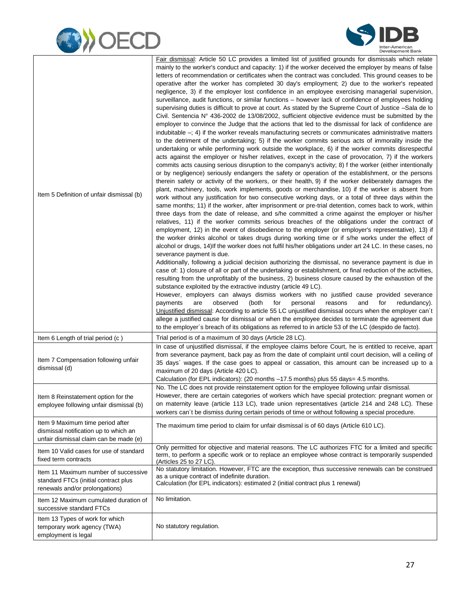



| Item 5 Definition of unfair dismissal (b)                                                                           | Fair dismissal: Article 50 LC provides a limited list of justified grounds for dismissals which relate<br>mainly to the worker's conduct and capacity: 1) if the worker deceived the employer by means of false<br>letters of recommendation or certificates when the contract was concluded. This ground ceases to be<br>operative after the worker has completed 30 day's employment; 2) due to the worker's repeated<br>negligence, 3) if the employer lost confidence in an employee exercising managerial supervision,<br>surveillance, audit functions, or similar functions - however lack of confidence of employees holding<br>supervising duties is difficult to prove at court. As stated by the Supreme Court of Justice -Sala de lo<br>Civil. Sentencia $N^{\circ}$ 436-2002 de 13/08/2002, sufficient objective evidence must be submitted by the<br>employer to convince the Judge that the actions that led to the dismissal for lack of confidence are<br>indubitable $-$ ; 4) if the worker reveals manufacturing secrets or communicates administrative matters<br>to the detriment of the undertaking; 5) if the worker commits serious acts of immorality inside the<br>undertaking or while performing work outside the workplace, 6) if the worker commits disrespectful<br>acts against the employer or his/her relatives, except in the case of provocation, 7) if the workers<br>commits acts causing serious disruption to the company's activity; 8) f the worker (either intentionally<br>or by negligence) seriously endangers the safety or operation of the establishment, or the persons<br>therein safety or activity of the workers, or their health, 9) if the worker deliberately damages the<br>plant, machinery, tools, work implements, goods or merchandise, 10) if the worker is absent from<br>work without any justification for two consecutive working days, or a total of three days within the<br>same months; 11) if the worker, after imprisonment or pre-trial detention, comes back to work, within<br>three days from the date of release, and s/he committed a crime against the employer or his/her<br>relatives, 11) if the worker commits serious breaches of the obligations under the contract of<br>employment, 12) in the event of disobedience to the employer (or employer's representative), 13) if<br>the worker drinks alcohol or takes drugs during working time or if s/he works under the effect of<br>alcohol or drugs, 14) If the worker does not fulfil his/her obligations under art 24 LC. In these cases, no<br>severance payment is due.<br>Additionally, following a judicial decision authorizing the dismissal, no severance payment is due in<br>case of: 1) closure of all or part of the undertaking or establishment, or final reduction of the activities,<br>resulting from the unprofitably of the business, 2) business closure caused by the exhaustion of the<br>substance exploited by the extractive industry (article 49 LC).<br>However, employers can always dismiss workers with no justified cause provided severance<br>personal<br>payments<br>are<br>observed<br>(both<br>for<br>reasons<br>and<br>for<br>redundancy).<br>Unjustified dismissal: According to article 55 LC unjustified dismissal occurs when the employer can't<br>allege a justified cause for dismissal or when the employee decides to terminate the agreement due<br>to the employer's breach of its obligations as referred to in article 53 of the LC (despido de facto). |
|---------------------------------------------------------------------------------------------------------------------|-----------------------------------------------------------------------------------------------------------------------------------------------------------------------------------------------------------------------------------------------------------------------------------------------------------------------------------------------------------------------------------------------------------------------------------------------------------------------------------------------------------------------------------------------------------------------------------------------------------------------------------------------------------------------------------------------------------------------------------------------------------------------------------------------------------------------------------------------------------------------------------------------------------------------------------------------------------------------------------------------------------------------------------------------------------------------------------------------------------------------------------------------------------------------------------------------------------------------------------------------------------------------------------------------------------------------------------------------------------------------------------------------------------------------------------------------------------------------------------------------------------------------------------------------------------------------------------------------------------------------------------------------------------------------------------------------------------------------------------------------------------------------------------------------------------------------------------------------------------------------------------------------------------------------------------------------------------------------------------------------------------------------------------------------------------------------------------------------------------------------------------------------------------------------------------------------------------------------------------------------------------------------------------------------------------------------------------------------------------------------------------------------------------------------------------------------------------------------------------------------------------------------------------------------------------------------------------------------------------------------------------------------------------------------------------------------------------------------------------------------------------------------------------------------------------------------------------------------------------------------------------------------------------------------------------------------------------------------------------------------------------------------------------------------------------------------------------------------------------------------------------------------------------------------------------------------------------------------------------------------------------------------------------------------------------------------------------------------------------------------------------------------------------------------------------------------------------------------------------------------------------------------------------------------------|
| Item 6 Length of trial period (c)                                                                                   | Trial period is of a maximum of 30 days (Article 28 LC).                                                                                                                                                                                                                                                                                                                                                                                                                                                                                                                                                                                                                                                                                                                                                                                                                                                                                                                                                                                                                                                                                                                                                                                                                                                                                                                                                                                                                                                                                                                                                                                                                                                                                                                                                                                                                                                                                                                                                                                                                                                                                                                                                                                                                                                                                                                                                                                                                                                                                                                                                                                                                                                                                                                                                                                                                                                                                                                                                                                                                                                                                                                                                                                                                                                                                                                                                                                                                                                                                            |
| Item 7 Compensation following unfair<br>dismissal (d)                                                               | In case of unjustified dismissal, if the employee claims before Court, he is entitled to receive, apart<br>from severance payment, back pay as from the date of complaint until court decision, will a ceiling of<br>35 days' wages. If the case goes to appeal or cassation, this amount can be increased up to a<br>maximum of 20 days (Article 420 LC).<br>Calculation (for EPL indicators): (20 months -17.5 months) plus 55 days= 4.5 months.                                                                                                                                                                                                                                                                                                                                                                                                                                                                                                                                                                                                                                                                                                                                                                                                                                                                                                                                                                                                                                                                                                                                                                                                                                                                                                                                                                                                                                                                                                                                                                                                                                                                                                                                                                                                                                                                                                                                                                                                                                                                                                                                                                                                                                                                                                                                                                                                                                                                                                                                                                                                                                                                                                                                                                                                                                                                                                                                                                                                                                                                                                  |
| Item 8 Reinstatement option for the<br>employee following unfair dismissal (b)                                      | No. The LC does not provide reinstatement option for the employee following unfair dismissal.<br>However, there are certain categories of workers which have special protection: pregnant women or<br>on maternity leave (article 113 LC), trade union representatives (article 214 and 248 LC). These<br>workers can't be dismiss during certain periods of time or without following a special procedure.                                                                                                                                                                                                                                                                                                                                                                                                                                                                                                                                                                                                                                                                                                                                                                                                                                                                                                                                                                                                                                                                                                                                                                                                                                                                                                                                                                                                                                                                                                                                                                                                                                                                                                                                                                                                                                                                                                                                                                                                                                                                                                                                                                                                                                                                                                                                                                                                                                                                                                                                                                                                                                                                                                                                                                                                                                                                                                                                                                                                                                                                                                                                         |
| Item 9 Maximum time period after<br>dismissal notification up to which an<br>unfair dismissal claim can be made (e) | The maximum time period to claim for unfair dismissal is of 60 days (Article 610 LC).                                                                                                                                                                                                                                                                                                                                                                                                                                                                                                                                                                                                                                                                                                                                                                                                                                                                                                                                                                                                                                                                                                                                                                                                                                                                                                                                                                                                                                                                                                                                                                                                                                                                                                                                                                                                                                                                                                                                                                                                                                                                                                                                                                                                                                                                                                                                                                                                                                                                                                                                                                                                                                                                                                                                                                                                                                                                                                                                                                                                                                                                                                                                                                                                                                                                                                                                                                                                                                                               |
| Item 10 Valid cases for use of standard<br>fixed term contracts                                                     | Only permitted for objective and material reasons. The LC authorizes FTC for a limited and specific<br>term, to perform a specific work or to replace an employee whose contract is temporarily suspended<br>(Articles 25 to 27 LC).                                                                                                                                                                                                                                                                                                                                                                                                                                                                                                                                                                                                                                                                                                                                                                                                                                                                                                                                                                                                                                                                                                                                                                                                                                                                                                                                                                                                                                                                                                                                                                                                                                                                                                                                                                                                                                                                                                                                                                                                                                                                                                                                                                                                                                                                                                                                                                                                                                                                                                                                                                                                                                                                                                                                                                                                                                                                                                                                                                                                                                                                                                                                                                                                                                                                                                                |
| Item 11 Maximum number of successive<br>standard FTCs (initial contract plus<br>renewals and/or prolongations)      | No statutory limitation. However, FTC are the exception, thus successive renewals can be construed<br>as a unique contract of indefinite duration.<br>Calculation (for EPL indicators): estimated 2 (initial contract plus 1 renewal)                                                                                                                                                                                                                                                                                                                                                                                                                                                                                                                                                                                                                                                                                                                                                                                                                                                                                                                                                                                                                                                                                                                                                                                                                                                                                                                                                                                                                                                                                                                                                                                                                                                                                                                                                                                                                                                                                                                                                                                                                                                                                                                                                                                                                                                                                                                                                                                                                                                                                                                                                                                                                                                                                                                                                                                                                                                                                                                                                                                                                                                                                                                                                                                                                                                                                                               |
| Item 12 Maximum cumulated duration of<br>successive standard FTCs                                                   | No limitation.                                                                                                                                                                                                                                                                                                                                                                                                                                                                                                                                                                                                                                                                                                                                                                                                                                                                                                                                                                                                                                                                                                                                                                                                                                                                                                                                                                                                                                                                                                                                                                                                                                                                                                                                                                                                                                                                                                                                                                                                                                                                                                                                                                                                                                                                                                                                                                                                                                                                                                                                                                                                                                                                                                                                                                                                                                                                                                                                                                                                                                                                                                                                                                                                                                                                                                                                                                                                                                                                                                                                      |
| Item 13 Types of work for which<br>temporary work agency (TWA)<br>employment is legal                               | No statutory regulation.                                                                                                                                                                                                                                                                                                                                                                                                                                                                                                                                                                                                                                                                                                                                                                                                                                                                                                                                                                                                                                                                                                                                                                                                                                                                                                                                                                                                                                                                                                                                                                                                                                                                                                                                                                                                                                                                                                                                                                                                                                                                                                                                                                                                                                                                                                                                                                                                                                                                                                                                                                                                                                                                                                                                                                                                                                                                                                                                                                                                                                                                                                                                                                                                                                                                                                                                                                                                                                                                                                                            |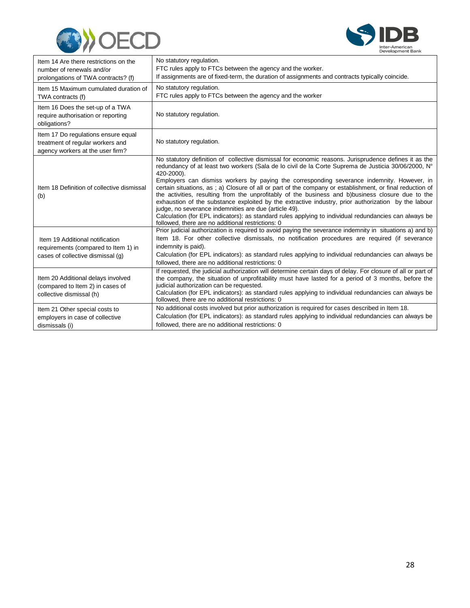



| Item 14 Are there restrictions on the<br>number of renewals and/or<br>prolongations of TWA contracts? (f)    | No statutory regulation.<br>FTC rules apply to FTCs between the agency and the worker.<br>If assignments are of fixed-term, the duration of assignments and contracts typically coincide.                                                                                                                                                                                                                                                                                                                                                                                                                                                                                                                                                                                                                                                                                |
|--------------------------------------------------------------------------------------------------------------|--------------------------------------------------------------------------------------------------------------------------------------------------------------------------------------------------------------------------------------------------------------------------------------------------------------------------------------------------------------------------------------------------------------------------------------------------------------------------------------------------------------------------------------------------------------------------------------------------------------------------------------------------------------------------------------------------------------------------------------------------------------------------------------------------------------------------------------------------------------------------|
| Item 15 Maximum cumulated duration of<br>TWA contracts (f)                                                   | No statutory regulation.<br>FTC rules apply to FTCs between the agency and the worker                                                                                                                                                                                                                                                                                                                                                                                                                                                                                                                                                                                                                                                                                                                                                                                    |
| Item 16 Does the set-up of a TWA<br>require authorisation or reporting<br>obligations?                       | No statutory regulation.                                                                                                                                                                                                                                                                                                                                                                                                                                                                                                                                                                                                                                                                                                                                                                                                                                                 |
| Item 17 Do regulations ensure equal<br>treatment of regular workers and<br>agency workers at the user firm?  | No statutory regulation.                                                                                                                                                                                                                                                                                                                                                                                                                                                                                                                                                                                                                                                                                                                                                                                                                                                 |
| Item 18 Definition of collective dismissal<br>(b)                                                            | No statutory definition of collective dismissal for economic reasons. Jurisprudence defines it as the<br>redundancy of at least two workers (Sala de lo civil de la Corte Suprema de Justicia 30/06/2000, N°<br>420-2000).<br>Employers can dismiss workers by paying the corresponding severance indemnity. However, in<br>certain situations, as ; a) Closure of all or part of the company or establishment, or final reduction of<br>the activities, resulting from the unprofitably of the business and b)business closure due to the<br>exhaustion of the substance exploited by the extractive industry, prior authorization by the labour<br>judge, no severance indemnities are due (article 49).<br>Calculation (for EPL indicators): as standard rules applying to individual redundancies can always be<br>followed, there are no additional restrictions: 0 |
| Item 19 Additional notification<br>requirements (compared to Item 1) in<br>cases of collective dismissal (q) | Prior judicial authorization is required to avoid paying the severance indemnity in situations a) and b)<br>Item 18. For other collective dismissals, no notification procedures are required (if severance<br>indemnity is paid).<br>Calculation (for EPL indicators): as standard rules applying to individual redundancies can always be<br>followed, there are no additional restrictions: 0                                                                                                                                                                                                                                                                                                                                                                                                                                                                         |
| Item 20 Additional delays involved<br>(compared to Item 2) in cases of<br>collective dismissal (h)           | If requested, the judicial authorization will determine certain days of delay. For closure of all or part of<br>the company, the situation of unprofitability must have lasted for a period of 3 months, before the<br>judicial authorization can be requested.<br>Calculation (for EPL indicators): as standard rules applying to individual redundancies can always be<br>followed, there are no additional restrictions: 0                                                                                                                                                                                                                                                                                                                                                                                                                                            |
| Item 21 Other special costs to<br>employers in case of collective<br>dismissals (i)                          | No additional costs involved but prior authorization is required for cases described in Item 18.<br>Calculation (for EPL indicators): as standard rules applying to individual redundancies can always be<br>followed, there are no additional restrictions; 0                                                                                                                                                                                                                                                                                                                                                                                                                                                                                                                                                                                                           |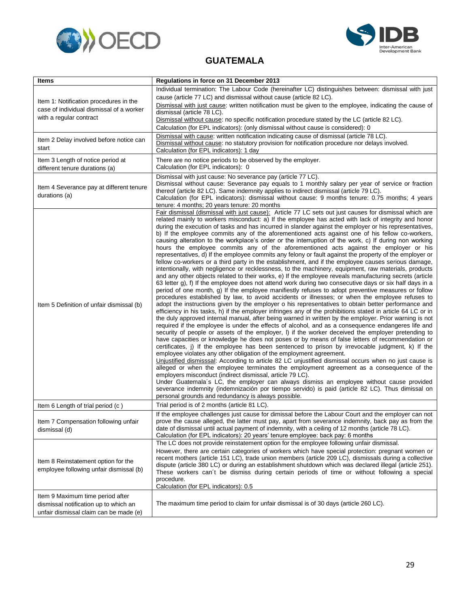



#### **GUATEMALA**

<span id="page-31-0"></span>

| Items                                                                                                               | Regulations in force on 31 December 2013                                                                                                                                                                                                                                                                                                                                                                                                                                                                                                                                                                                                                                                                                                                                                                                                                                                                                                                                                                                                                                                                                                                                                                                                                                                                                                                                                                                                                                                                                                                                                                                                                                                                                                                                                                                                                                                                                                                                                                                                                                                                                                                                                                                                                                                                                                                                                                                                                                                                                                                                                                                                                                                                                                  |
|---------------------------------------------------------------------------------------------------------------------|-------------------------------------------------------------------------------------------------------------------------------------------------------------------------------------------------------------------------------------------------------------------------------------------------------------------------------------------------------------------------------------------------------------------------------------------------------------------------------------------------------------------------------------------------------------------------------------------------------------------------------------------------------------------------------------------------------------------------------------------------------------------------------------------------------------------------------------------------------------------------------------------------------------------------------------------------------------------------------------------------------------------------------------------------------------------------------------------------------------------------------------------------------------------------------------------------------------------------------------------------------------------------------------------------------------------------------------------------------------------------------------------------------------------------------------------------------------------------------------------------------------------------------------------------------------------------------------------------------------------------------------------------------------------------------------------------------------------------------------------------------------------------------------------------------------------------------------------------------------------------------------------------------------------------------------------------------------------------------------------------------------------------------------------------------------------------------------------------------------------------------------------------------------------------------------------------------------------------------------------------------------------------------------------------------------------------------------------------------------------------------------------------------------------------------------------------------------------------------------------------------------------------------------------------------------------------------------------------------------------------------------------------------------------------------------------------------------------------------------------|
| Item 1: Notification procedures in the<br>case of individual dismissal of a worker<br>with a regular contract       | Individual termination: The Labour Code (hereinafter LC) distinguishes between: dismissal with just<br>cause (article 77 LC) and dismissal without cause (article 82 LC).<br>Dismissal with just cause: written notification must be given to the employee, indicating the cause of<br>dismissal (article 78 LC).<br>Dismissal without cause: no specific notification procedure stated by the LC (article 82 LC).                                                                                                                                                                                                                                                                                                                                                                                                                                                                                                                                                                                                                                                                                                                                                                                                                                                                                                                                                                                                                                                                                                                                                                                                                                                                                                                                                                                                                                                                                                                                                                                                                                                                                                                                                                                                                                                                                                                                                                                                                                                                                                                                                                                                                                                                                                                        |
| Item 2 Delay involved before notice can<br>start                                                                    | Calculation (for EPL indicators): (only dismissal without cause is considered): 0<br>Dismissal with cause: written notification indicating cause of dismissal (article 78 LC).<br>Dismissal without cause: no statutory provision for notification procedure nor delays involved.<br>Calculation (for EPL indicators): 1 day                                                                                                                                                                                                                                                                                                                                                                                                                                                                                                                                                                                                                                                                                                                                                                                                                                                                                                                                                                                                                                                                                                                                                                                                                                                                                                                                                                                                                                                                                                                                                                                                                                                                                                                                                                                                                                                                                                                                                                                                                                                                                                                                                                                                                                                                                                                                                                                                              |
| Item 3 Length of notice period at<br>different tenure durations (a)                                                 | There are no notice periods to be observed by the employer.<br>Calculation (for EPL indicators): 0                                                                                                                                                                                                                                                                                                                                                                                                                                                                                                                                                                                                                                                                                                                                                                                                                                                                                                                                                                                                                                                                                                                                                                                                                                                                                                                                                                                                                                                                                                                                                                                                                                                                                                                                                                                                                                                                                                                                                                                                                                                                                                                                                                                                                                                                                                                                                                                                                                                                                                                                                                                                                                        |
| Item 4 Severance pay at different tenure<br>durations (a)                                                           | Dismissal with just cause: No severance pay (article 77 LC).<br>Dismissal without cause: Severance pay equals to 1 monthly salary per year of service or fraction<br>thereof (article 82 LC). Same indemnity applies to indirect dismissal (article 79 LC).<br>Calculation (for EPL indicators): dismissal without cause: 9 months tenure: 0.75 months; 4 years<br>tenure: 4 months; 20 years tenure: 20 months                                                                                                                                                                                                                                                                                                                                                                                                                                                                                                                                                                                                                                                                                                                                                                                                                                                                                                                                                                                                                                                                                                                                                                                                                                                                                                                                                                                                                                                                                                                                                                                                                                                                                                                                                                                                                                                                                                                                                                                                                                                                                                                                                                                                                                                                                                                           |
| Item 5 Definition of unfair dismissal (b)                                                                           | Fair dismissal (dismissal with just cause): Article 77 LC sets out just causes for dismissal which are<br>related mainly to workers misconduct: a) If the employee has acted with lack of integrity and honor<br>during the execution of tasks and has incurred in slander against the employer or his representatives,<br>b) If the employee commits any of the aforementioned acts against one of his fellow co-workers,<br>causing alteration to the workplace's order or the interruption of the work, c) If during non working<br>hours the employee commits any of the aforementioned acts against the employer or his<br>representatives, d) If the employee commits any felony or fault against the property of the employer or<br>fellow co-workers or a third party in the establishment, and if the employee causes serious damage,<br>intentionally, with negligence or recklessness, to the machinery, equipment, raw materials, products<br>and any other objects related to their works, e) If the employee reveals manufacturing secrets (article<br>63 letter g), f) If the employee does not attend work during two consecutive days or six half days in a<br>period of one month, g) If the employee manifiestly refuses to adopt preventive measures or follow<br>procedures established by law, to avoid accidents or illnesses; or when the employee refuses to<br>adopt the instructions given by the employer o his representatives to obtain better performance and<br>efficiency in his tasks, h) if the employer infringes any of the prohibitions stated in article 64 LC or in<br>the duly approved internal manual, after being warned in written by the employer. Prior warning is not<br>required if the employee is under the effects of alcohol, and as a consequence endangeres life and<br>security of people or assets of the employer, I) if the worker deceived the employer pretending to<br>have capacities or knowledge he does not poses or by means of false letters of recommendation or<br>certificates, i) If the employee has been sentenced to prison by irrevocable judgment, k) If the<br>employee violates any other obligation of the employment agreement.<br>Unjustified dismisssal: According to article 82 LC unjustified dismissal occurs when no just cause is<br>alleged or when the employee terminates the employment agreement as a consequence of the<br>employers misconduct (indirect dismissal, article 79 LC).<br>Under Guatemala's LC, the employer can always dismiss an employee without cause provided<br>severance indemnity (indemnización por tiempo servido) is paid (article 82 LC). Thus dimissal on<br>personal grounds and redundancy is always possible. |
| Item 6 Length of trial period (c)                                                                                   | Trial period is of 2 months (article 81 LC).                                                                                                                                                                                                                                                                                                                                                                                                                                                                                                                                                                                                                                                                                                                                                                                                                                                                                                                                                                                                                                                                                                                                                                                                                                                                                                                                                                                                                                                                                                                                                                                                                                                                                                                                                                                                                                                                                                                                                                                                                                                                                                                                                                                                                                                                                                                                                                                                                                                                                                                                                                                                                                                                                              |
| Item 7 Compensation following unfair<br>dismissal (d)                                                               | If the employee challenges just cause for dimissal before the Labour Court and the employer can not<br>prove the cause alleged, the latter must pay, apart from severance indemnity, back pay as from the<br>date of dismissal until actual payment of indemnity, with a ceiling of 12 months (article 78 LC).<br>Calculation (for EPL indicators): 20 years' tenure employee: back pay: 6 months                                                                                                                                                                                                                                                                                                                                                                                                                                                                                                                                                                                                                                                                                                                                                                                                                                                                                                                                                                                                                                                                                                                                                                                                                                                                                                                                                                                                                                                                                                                                                                                                                                                                                                                                                                                                                                                                                                                                                                                                                                                                                                                                                                                                                                                                                                                                         |
| Item 8 Reinstatement option for the<br>employee following unfair dismissal (b)                                      | The LC does not provide reinstatement option for the employee following unfair dismissal.<br>However, there are certain categories of workers which have special protection: pregnant women or<br>recent mothers (article 151 LC), trade union members (article 209 LC), dismissals during a collective<br>dispute (article 380 LC) or during an establishment shutdown which was declared illegal (article 251).<br>These workers can't be dismiss during certain periods of time or without following a special<br>procedure.<br>Calculation (for EPL indicators): 0.5                                                                                                                                                                                                                                                                                                                                                                                                                                                                                                                                                                                                                                                                                                                                                                                                                                                                                                                                                                                                                                                                                                                                                                                                                                                                                                                                                                                                                                                                                                                                                                                                                                                                                                                                                                                                                                                                                                                                                                                                                                                                                                                                                                  |
| Item 9 Maximum time period after<br>dismissal notification up to which an<br>unfair dismissal claim can be made (e) | The maximum time period to claim for unfair dismissal is of 30 days (article 260 LC).                                                                                                                                                                                                                                                                                                                                                                                                                                                                                                                                                                                                                                                                                                                                                                                                                                                                                                                                                                                                                                                                                                                                                                                                                                                                                                                                                                                                                                                                                                                                                                                                                                                                                                                                                                                                                                                                                                                                                                                                                                                                                                                                                                                                                                                                                                                                                                                                                                                                                                                                                                                                                                                     |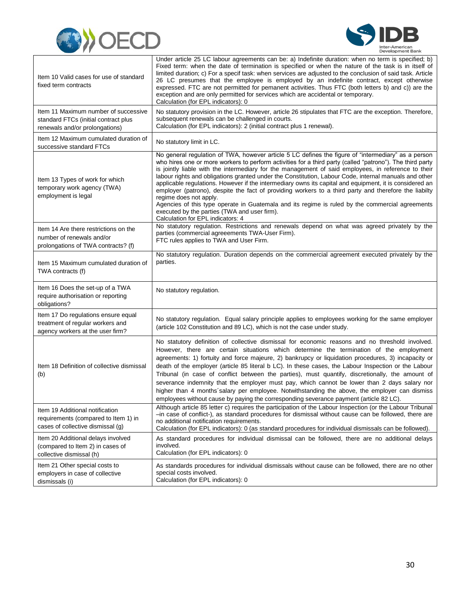



| Item 10 Valid cases for use of standard<br>fixed term contracts                                                | Under article 25 LC labour agreements can be: a) Indefinite duration: when no term is specified; b)<br>Fixed term: when the date of termination is specified or when the nature of the task is in itself of<br>limited duration; c) For a specif task: when services are adjusted to the conclusion of said task. Article<br>26 LC presumes that the employee is employed by an indefinite contract, except otherwise<br>expressed. FTC are not permitted for pemanent activities. Thus FTC (both letters b) and c)) are the<br>exception and are only permitted for services which are accidental or temporary.<br>Calculation (for EPL indicators): 0                                                                                                                                                                                                                |
|----------------------------------------------------------------------------------------------------------------|------------------------------------------------------------------------------------------------------------------------------------------------------------------------------------------------------------------------------------------------------------------------------------------------------------------------------------------------------------------------------------------------------------------------------------------------------------------------------------------------------------------------------------------------------------------------------------------------------------------------------------------------------------------------------------------------------------------------------------------------------------------------------------------------------------------------------------------------------------------------|
| Item 11 Maximum number of successive<br>standard FTCs (initial contract plus<br>renewals and/or prolongations) | No statutory provision in the LC. However, article 26 stipulates that FTC are the exception. Therefore,<br>subsequent renewals can be challenged in courts.<br>Calculation (for EPL indicators): 2 (initial contract plus 1 renewal).                                                                                                                                                                                                                                                                                                                                                                                                                                                                                                                                                                                                                                  |
| Item 12 Maximum cumulated duration of<br>successive standard FTCs                                              | No statutory limit in LC.                                                                                                                                                                                                                                                                                                                                                                                                                                                                                                                                                                                                                                                                                                                                                                                                                                              |
| Item 13 Types of work for which<br>temporary work agency (TWA)<br>employment is legal                          | No general regulation of TWA, however article 5 LC defines the figure of "intermediary" as a person<br>who hires one or more workers to perform activities for a third party (called "patrono"). The third party<br>is jointly liable with the intermediary for the management of said employees, in reference to their<br>labour rights and obligations granted under the Constitution, Labour Code, internal manuals and other<br>applicable regulations. However if the intermediary owns its capital and equipment, it is considered an<br>employer (patrono), despite the fact of providing workers to a third party and therefore the liabilty<br>regime does not apply.<br>Agencies of this type operate in Guatemala and its regime is ruled by the commercial agreements<br>executed by the parties (TWA and user firm).<br>Calculation for EPL indicators: 4 |
| Item 14 Are there restrictions on the<br>number of renewals and/or<br>prolongations of TWA contracts? (f)      | No statutory regulation. Restrictions and renewals depend on what was agreed privately by the<br>parties (commercial agreeements TWA-User Firm).<br>FTC rules applies to TWA and User Firm.                                                                                                                                                                                                                                                                                                                                                                                                                                                                                                                                                                                                                                                                            |
| Item 15 Maximum cumulated duration of<br>TWA contracts (f)                                                     | No statutory regulation. Duration depends on the commercial agreement executed privately by the<br>parties.                                                                                                                                                                                                                                                                                                                                                                                                                                                                                                                                                                                                                                                                                                                                                            |
| Item 16 Does the set-up of a TWA<br>require authorisation or reporting<br>obligations?                         | No statutory regulation.                                                                                                                                                                                                                                                                                                                                                                                                                                                                                                                                                                                                                                                                                                                                                                                                                                               |
| Item 17 Do regulations ensure equal<br>treatment of regular workers and<br>agency workers at the user firm?    | No statutory regulation. Equal salary principle applies to employees working for the same employer<br>(article 102 Constitution and 89 LC), which is not the case under study.                                                                                                                                                                                                                                                                                                                                                                                                                                                                                                                                                                                                                                                                                         |
| Item 18 Definition of collective dismissal<br>(b)                                                              | No statutory definition of collective dismissal for economic reasons and no threshold involved.<br>However, there are certain situations which determine the termination of the employment<br>agreements: 1) fortuity and force majeure, 2) bankrupcy or liquidation procedures, 3) incapacity or<br>death of the employer (article 85 literal b LC). In these cases, the Labour Inspection or the Labour<br>Tribunal (in case of conflict between the parties), must quantify, discretionally, the amount of<br>severance indemnity that the employer must pay, which cannot be lower than 2 days salary nor<br>higher than 4 months salary per employee. Notwithstanding the above, the employer can dismiss<br>employees without cause by paying the corresponding severance payment (article 82 LC).                                                               |
| Item 19 Additional notification<br>requirements (compared to Item 1) in<br>cases of collective dismissal (g)   | Although article 85 letter c) requires the participation of the Labour Inspection (or the Labour Tribunal<br>-in case of conflict-), as standard procedures for dismissal without cause can be followed, there are<br>no additional notification requirements.<br>Calculation (for EPL indicators): 0 (as standard procedures for individual dismissals can be followed).                                                                                                                                                                                                                                                                                                                                                                                                                                                                                              |
| Item 20 Additional delays involved<br>(compared to Item 2) in cases of<br>collective dismissal (h)             | As standard procedures for individual dismissal can be followed, there are no additional delays<br>involved.<br>Calculation (for EPL indicators): 0                                                                                                                                                                                                                                                                                                                                                                                                                                                                                                                                                                                                                                                                                                                    |
| Item 21 Other special costs to<br>employers in case of collective<br>dismissals (i)                            | As standards procedures for individual dismissals without cause can be followed, there are no other<br>special costs involved.<br>Calculation (for EPL indicators): 0                                                                                                                                                                                                                                                                                                                                                                                                                                                                                                                                                                                                                                                                                                  |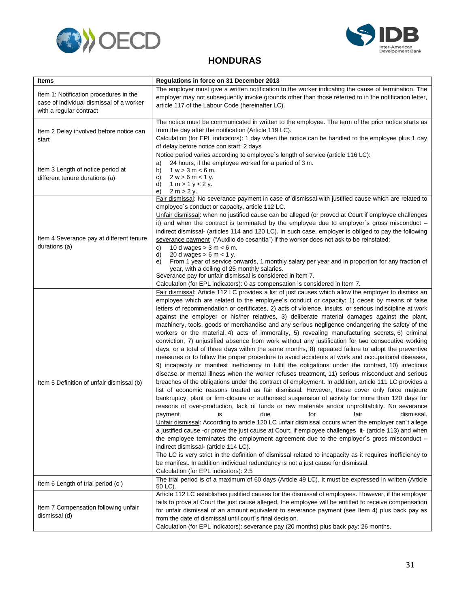



#### **HONDURAS**

<span id="page-33-0"></span>

| <b>Items</b>                                                                                                  | Regulations in force on 31 December 2013                                                                                                                                                                                                                                                                                                                                                                                                                                                                                                                                                                                                                                                                                                                                                                                                                                                                                                                                                                                                                                                                                                                                                                                                                                                                                                                                                                                                                                                                                                                                                                                                                                                                                                                                                                                                                                                                                                                                                                                                                                                                                                                                                                                 |
|---------------------------------------------------------------------------------------------------------------|--------------------------------------------------------------------------------------------------------------------------------------------------------------------------------------------------------------------------------------------------------------------------------------------------------------------------------------------------------------------------------------------------------------------------------------------------------------------------------------------------------------------------------------------------------------------------------------------------------------------------------------------------------------------------------------------------------------------------------------------------------------------------------------------------------------------------------------------------------------------------------------------------------------------------------------------------------------------------------------------------------------------------------------------------------------------------------------------------------------------------------------------------------------------------------------------------------------------------------------------------------------------------------------------------------------------------------------------------------------------------------------------------------------------------------------------------------------------------------------------------------------------------------------------------------------------------------------------------------------------------------------------------------------------------------------------------------------------------------------------------------------------------------------------------------------------------------------------------------------------------------------------------------------------------------------------------------------------------------------------------------------------------------------------------------------------------------------------------------------------------------------------------------------------------------------------------------------------------|
| Item 1: Notification procedures in the<br>case of individual dismissal of a worker<br>with a regular contract | The employer must give a written notification to the worker indicating the cause of termination. The<br>employer may not subsequently invoke grounds other than those referred to in the notification letter,<br>article 117 of the Labour Code (hereinafter LC).                                                                                                                                                                                                                                                                                                                                                                                                                                                                                                                                                                                                                                                                                                                                                                                                                                                                                                                                                                                                                                                                                                                                                                                                                                                                                                                                                                                                                                                                                                                                                                                                                                                                                                                                                                                                                                                                                                                                                        |
| Item 2 Delay involved before notice can<br>start                                                              | The notice must be communicated in written to the employee. The term of the prior notice starts as<br>from the day after the notification (Article 119 LC).<br>Calculation (for EPL indicators): 1 day when the notice can be handled to the employee plus 1 day<br>of delay before notice con start: 2 days                                                                                                                                                                                                                                                                                                                                                                                                                                                                                                                                                                                                                                                                                                                                                                                                                                                                                                                                                                                                                                                                                                                                                                                                                                                                                                                                                                                                                                                                                                                                                                                                                                                                                                                                                                                                                                                                                                             |
| Item 3 Length of notice period at<br>different tenure durations (a)                                           | Notice period varies according to employee's length of service (article 116 LC):<br>24 hours, if the employee worked for a period of 3 m.<br>a)<br>$1 w > 3 m < 6 m$ .<br>b)<br>$2 w > 6 m < 1 v$ .<br>C)<br>d)<br>$1 m > 1 y < 2 y$ .<br>2 m > 2 y.<br>e)                                                                                                                                                                                                                                                                                                                                                                                                                                                                                                                                                                                                                                                                                                                                                                                                                                                                                                                                                                                                                                                                                                                                                                                                                                                                                                                                                                                                                                                                                                                                                                                                                                                                                                                                                                                                                                                                                                                                                               |
| Item 4 Severance pay at different tenure<br>durations (a)                                                     | Fair dismissal: No severance payment in case of dismissal with justified cause which are related to<br>employee's conduct or capacity, article 112 LC.<br>Unfair dismissal: when no justified cause can be alleged (or proved at Court if employee challenges<br>it) and when the contract is terminated by the employee due to employer's gross misconduct $-$<br>indirect dismissal- (articles 114 and 120 LC). In such case, employer is obliged to pay the following<br>severance payment ("Auxilio de cesantía") if the worker does not ask to be reinstated:<br>10 d wages $> 3$ m $< 6$ m.<br>C)<br>d)<br>20 d wages $> 6$ m $< 1$ y.<br>From 1 year of service onwards, 1 monthly salary per year and in proportion for any fraction of<br>e)<br>year, with a ceiling of 25 monthly salaries.<br>Severance pay for unfair dismissal is considered in item 7.<br>Calculation (for EPL indicators): 0 as compensation is considered in Item 7.                                                                                                                                                                                                                                                                                                                                                                                                                                                                                                                                                                                                                                                                                                                                                                                                                                                                                                                                                                                                                                                                                                                                                                                                                                                                     |
| Item 5 Definition of unfair dismissal (b)                                                                     | Fair dismissal: Article 112 LC provides a list of just causes which allow the employer to dismiss an<br>employee which are related to the employee's conduct or capacity: 1) deceit by means of false<br>letters of recommendation or certificates, 2) acts of violence, insults, or serious indiscipline at work<br>against the employer or his/her relatives, 3) deliberate material damages against the plant,<br>machinery, tools, goods or merchandise and any serious negligence endangering the safety of the<br>workers or the material, 4) acts of immorality, 5) revealing manufacturing secrets, 6) criminal<br>conviction, 7) unjustified absence from work without any justification for two consecutive working<br>days, or a total of three days within the same months, 8) repeated failure to adopt the preventive<br>measures or to follow the proper procedure to avoid accidents at work and occupational diseases,<br>9) incapacity or manifest inefficiency to fulfil the obligations under the contract, 10) infectious<br>disease or mental illness when the worker refuses treatment, 11) serious misconduct and serious<br>breaches of the obligations under the contract of employment. In addition, article 111 LC provides a<br>list of economic reasons treated as fair dismissal. However, these cover only force majeure<br>bankruptcy, plant or firm-closure or authorised suspension of activity for more than 120 days for<br>reasons of over-production, lack of funds or raw materials and/or unprofitability. No severance<br>dismissal.<br>payment<br>is<br>due<br>for<br>fair<br>Unfair dismissal: According to article 120 LC unfair dismissal occurs when the employer can't allege<br>a justified cause -or prove the just cause at Court, if employee challenges it- (article 113) and when<br>the employee terminates the employment agreement due to the employer's gross misconduct -<br>indirect dismissal- (article 114 LC).<br>The LC is very strict in the definition of dismissal related to incapacity as it requires inefficiency to<br>be manifest. In addition individual redundancy is not a just cause for dismissal.<br>Calculation (for EPL indicators): 2.5 |
| Item 6 Length of trial period (c)                                                                             | The trial period is of a maximum of 60 days (Article 49 LC). It must be expressed in written (Article<br>50 LC).                                                                                                                                                                                                                                                                                                                                                                                                                                                                                                                                                                                                                                                                                                                                                                                                                                                                                                                                                                                                                                                                                                                                                                                                                                                                                                                                                                                                                                                                                                                                                                                                                                                                                                                                                                                                                                                                                                                                                                                                                                                                                                         |
| Item 7 Compensation following unfair<br>dismissal (d)                                                         | Article 112 LC establishes justified causes for the dismissal of employees. However, if the employer<br>fails to prove at Court the just cause alleged, the employee will be entitled to receive compensation<br>for unfair dismissal of an amount equivalent to severance payment (see Item 4) plus back pay as<br>from the date of dismissal until court's final decision.<br>Calculation (for EPL indicators): severance pay (20 months) plus back pay: 26 months.                                                                                                                                                                                                                                                                                                                                                                                                                                                                                                                                                                                                                                                                                                                                                                                                                                                                                                                                                                                                                                                                                                                                                                                                                                                                                                                                                                                                                                                                                                                                                                                                                                                                                                                                                    |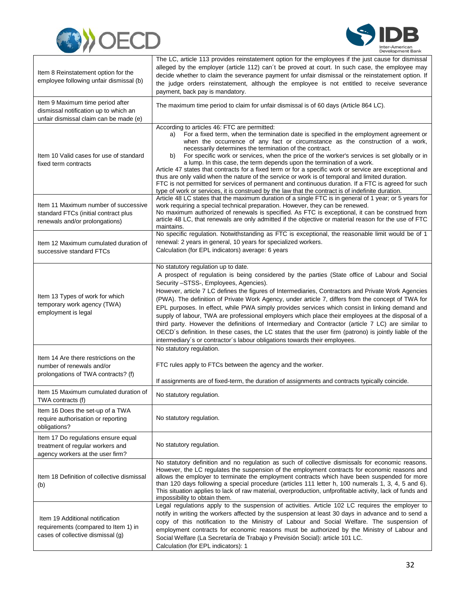



| Item 8 Reinstatement option for the<br>employee following unfair dismissal (b)                                      | The LC, article 113 provides reinstatement option for the employees if the just cause for dismissal<br>alleged by the employer (article 112) can't be proved at court. In such case, the employee may<br>decide whether to claim the severance payment for unfair dismissal or the reinstatement option. If<br>the judge orders reinstatement, although the employee is not entitled to receive severance<br>payment, back pay is mandatory.                                                                                                                                                                                                                                                                                                                                                                                                                                                         |
|---------------------------------------------------------------------------------------------------------------------|------------------------------------------------------------------------------------------------------------------------------------------------------------------------------------------------------------------------------------------------------------------------------------------------------------------------------------------------------------------------------------------------------------------------------------------------------------------------------------------------------------------------------------------------------------------------------------------------------------------------------------------------------------------------------------------------------------------------------------------------------------------------------------------------------------------------------------------------------------------------------------------------------|
| Item 9 Maximum time period after<br>dismissal notification up to which an<br>unfair dismissal claim can be made (e) | The maximum time period to claim for unfair dismissal is of 60 days (Article 864 LC).                                                                                                                                                                                                                                                                                                                                                                                                                                                                                                                                                                                                                                                                                                                                                                                                                |
| Item 10 Valid cases for use of standard<br>fixed term contracts                                                     | According to articles 46: FTC are permitted:<br>For a fixed term, when the termination date is specified in the employment agreement or<br>a)<br>when the occurrence of any fact or circumstance as the construction of a work,<br>necessarily determines the termination of the contract.<br>For specific work or services, when the price of the worker's services is set globally or in<br>b)<br>a lump. In this case, the term depends upon the termination of a work.<br>Article 47 states that contracts for a fixed term or for a specific work or service are exceptional and<br>thus are only valid when the nature of the service or work is of temporal and limited duration.<br>FTC is not permitted for services of permanent and continuous duration. If a FTC is agreed for such<br>type of work or services, it is construed by the law that the contract is of indefinite duration. |
| Item 11 Maximum number of successive<br>standard FTCs (initial contract plus<br>renewals and/or prolongations)      | Article 48 LC states that the maximum duration of a single FTC is in general of 1 year; or 5 years for<br>work requiring a special technical preparation. However, they can be renewed.<br>No maximum authorized of renewals is specified. As FTC is exceptional, it can be construed from<br>article 48 LC, that renewals are only admitted if the objective or material reason for the use of FTC<br>maintains.                                                                                                                                                                                                                                                                                                                                                                                                                                                                                    |
| Item 12 Maximum cumulated duration of<br>successive standard FTCs                                                   | No specific regulation. Notwithstanding as FTC is exceptional, the reasonable limit would be of 1<br>renewal: 2 years in general, 10 years for specialized workers.<br>Calculation (for EPL indicators) average: 6 years                                                                                                                                                                                                                                                                                                                                                                                                                                                                                                                                                                                                                                                                             |
| Item 13 Types of work for which<br>temporary work agency (TWA)<br>employment is legal                               | No statutory regulation up to date.<br>A prospect of regulation is being considered by the parties (State office of Labour and Social<br>Security -STSS-, Employees, Agencies).<br>However, article 7 LC defines the figures of Intermediaries, Contractors and Private Work Agencies<br>(PWA). The definition of Private Work Agency, under article 7, differs from the concept of TWA for<br>EPL purposes. In effect, while PWA simply provides services which consist in linking demand and<br>supply of labour, TWA are professional employers which place their employees at the disposal of a<br>third party. However the definitions of Intermediary and Contractor (article 7 LC) are similar to<br>OECD's definition. In these cases, the LC states that the user firm (patrono) is jointly liable of the<br>intermediary's or contractor's labour obligations towards their employees.     |
| Item 14 Are there restrictions on the<br>number of renewals and/or<br>prolongations of TWA contracts? (f)           | No statutory regulation.<br>FTC rules apply to FTCs between the agency and the worker.<br>If assignments are of fixed-term, the duration of assignments and contracts typically coincide.                                                                                                                                                                                                                                                                                                                                                                                                                                                                                                                                                                                                                                                                                                            |
| Item 15 Maximum cumulated duration of<br>TWA contracts (f)                                                          | No statutory regulation.                                                                                                                                                                                                                                                                                                                                                                                                                                                                                                                                                                                                                                                                                                                                                                                                                                                                             |
| Item 16 Does the set-up of a TWA<br>require authorisation or reporting<br>obligations?                              | No statutory regulation.                                                                                                                                                                                                                                                                                                                                                                                                                                                                                                                                                                                                                                                                                                                                                                                                                                                                             |
| Item 17 Do regulations ensure equal<br>treatment of regular workers and<br>agency workers at the user firm?         | No statutory regulation.                                                                                                                                                                                                                                                                                                                                                                                                                                                                                                                                                                                                                                                                                                                                                                                                                                                                             |
| Item 18 Definition of collective dismissal<br>(b)                                                                   | No statutory definition and no regulation as such of collective dismissals for economic reasons.<br>However, the LC regulates the suspension of the employment contracts for economic reasons and<br>allows the employer to terminate the employment contracts which have been suspended for more<br>than 120 days following a special procedure (articles 111 letter h, 100 numerals 1, 3, 4, 5 and 6).<br>This situation applies to lack of raw material, overproduction, unfprofitable activity, lack of funds and<br>impossibility to obtain them.                                                                                                                                                                                                                                                                                                                                               |
| Item 19 Additional notification<br>requirements (compared to Item 1) in<br>cases of collective dismissal (g)        | Legal regulations apply to the suspension of activities. Article 102 LC requires the employer to<br>notify in writing the workers affected by the suspension at least 30 days in advance and to send a<br>copy of this notification to the Ministry of Labour and Social Welfare. The suspension of<br>employment contracts for economic reasons must be authorized by the Ministry of Labour and<br>Social Welfare (La Secretaría de Trabajo y Previsión Social): article 101 LC.<br>Calculation (for EPL indicators): 1                                                                                                                                                                                                                                                                                                                                                                            |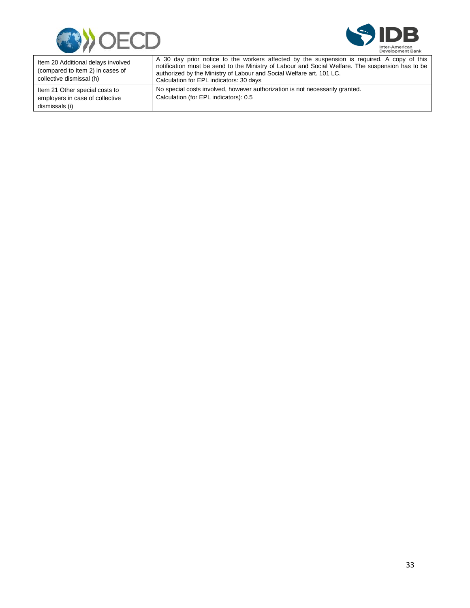



| Item 20 Additional delays involved<br>(compared to Item 2) in cases of<br>collective dismissal (h) | A 30 day prior notice to the workers affected by the suspension is required. A copy of this<br>notification must be send to the Ministry of Labour and Social Welfare. The suspension has to be<br>authorized by the Ministry of Labour and Social Welfare art. 101 LC.<br>Calculation for EPL indicators: 30 days |
|----------------------------------------------------------------------------------------------------|--------------------------------------------------------------------------------------------------------------------------------------------------------------------------------------------------------------------------------------------------------------------------------------------------------------------|
| Item 21 Other special costs to<br>employers in case of collective<br>dismissals (i)                | No special costs involved, however authorization is not necessarily granted.<br>Calculation (for EPL indicators): 0.5                                                                                                                                                                                              |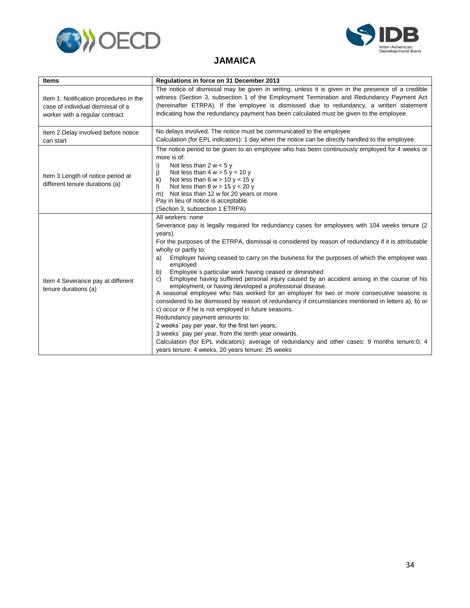



#### **JAMAICA**

<span id="page-36-0"></span>

| <b>Items</b>                                                                                                  | Regulations in force on 31 December 2013                                                                                                                                                                                                                                                                                                                                                                                                                                                                                                                                                                                                                                                                                                                                                                                                                                                                                                                                                                                                                                                                                                                                   |
|---------------------------------------------------------------------------------------------------------------|----------------------------------------------------------------------------------------------------------------------------------------------------------------------------------------------------------------------------------------------------------------------------------------------------------------------------------------------------------------------------------------------------------------------------------------------------------------------------------------------------------------------------------------------------------------------------------------------------------------------------------------------------------------------------------------------------------------------------------------------------------------------------------------------------------------------------------------------------------------------------------------------------------------------------------------------------------------------------------------------------------------------------------------------------------------------------------------------------------------------------------------------------------------------------|
| Item 1: Notification procedures in the<br>case of individual dismissal of a<br>worker with a regular contract | The notice of dismissal may be given in writing, unless it is given in the presence of a credible<br>witness (Section 3, subsection 1 of the Employment Termination and Redundancy Payment Act<br>(hereinafter ETRPA). If the employee is dismissed due to redundancy, a written statement<br>indicating how the redundancy payment has been calculated must be given to the employee.                                                                                                                                                                                                                                                                                                                                                                                                                                                                                                                                                                                                                                                                                                                                                                                     |
| Item 2 Delay involved before notice<br>can start                                                              | No delays involved. The notice must be communicated to the employee<br>Calculation (for EPL indicators): 1 day when the notice can be directly handled to the employee.                                                                                                                                                                                                                                                                                                                                                                                                                                                                                                                                                                                                                                                                                                                                                                                                                                                                                                                                                                                                    |
| Item 3 Length of notice period at<br>different tenure durations (a)                                           | The notice period to be given to an employee who has been continuously employed for 4 weeks or<br>more is of:<br>Not less than $2 w < 5 y$<br>i)<br>Not less than $4 w > 5 y < 10 y$<br>j)<br>Not less than $6 w > 10 y < 15 y$<br>k)<br>Not less than $8 w > 15 y < 20 y$<br>I)<br>Not less than 12 w for 20 years or more<br>m)<br>Pay in lieu of notice is acceptable.<br>(Section 3, subsection 1 ETRPA)                                                                                                                                                                                                                                                                                                                                                                                                                                                                                                                                                                                                                                                                                                                                                               |
| Item 4 Severance pay at different<br>tenure durations (a)                                                     | All workers: none<br>Severance pay is legally required for redundancy cases for employees with 104 weeks tenure (2)<br>years).<br>For the purposes of the ETRPA, dismissal is considered by reason of redundancy if it is attributable<br>wholly or partly to:<br>Employer having ceased to carry on the business for the purposes of which the employee was<br>a)<br>employed<br>Employee's particular work having ceased or diminished<br>b)<br>Employee having suffered personal injury caused by an accident arising in the course of his<br>C)<br>employment, or having developed a professional disease.<br>A seasonal employee who has worked for an employer for two or more consecutive seasons is<br>considered to be dismissed by reason of redundancy if circumstances mentioned in letters a), b) or<br>c) occur or if he is not employed in future seasons.<br>Redundancy payment amounts to:<br>2 weeks' pay per year, for the first ten years;<br>3 weeks' pay per year, from the tenth year onwards.<br>Calculation (for EPL indicators): average of redundancy and other cases: 9 months tenure:0; 4<br>years tenure: 4 weeks, 20 years tenure: 25 weeks |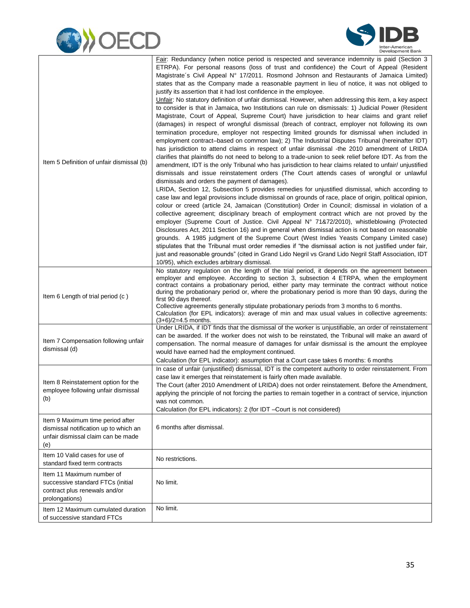



|                                                                                                                        | Fair: Redundancy (when notice period is respected and severance indemnity is paid (Section 3<br>ETRPA). For personal reasons (loss of trust and confidence) the Court of Appeal (Resident                                                                                                                       |
|------------------------------------------------------------------------------------------------------------------------|-----------------------------------------------------------------------------------------------------------------------------------------------------------------------------------------------------------------------------------------------------------------------------------------------------------------|
|                                                                                                                        | Magistrate's Civil Appeal N° 17/2011. Rosmond Johnson and Restaurants of Jamaica Limited)<br>states that as the Company made a reasonable payment in lieu of notice, it was not obliged to<br>justify its assertion that it had lost confidence in the employee.                                                |
|                                                                                                                        | Unfair: No statutory definition of unfair dismissal. However, when addressing this item, a key aspect<br>to consider is that in Jamaica, two Institutions can rule on dismissals: 1) Judicial Power (Resident                                                                                                   |
|                                                                                                                        | Magistrate, Court of Appeal, Supreme Court) have jurisdiction to hear claims and grant relief<br>(damages) in respect of wrongful dismissal (breach of contract, employer not following its own                                                                                                                 |
|                                                                                                                        | termination procedure, employer not respecting limited grounds for dismissal when included in<br>employment contract-based on common law); 2) The Industrial Disputes Tribunal (hereinafter IDT)                                                                                                                |
|                                                                                                                        | has jurisdiction to attend claims in respect of unfair dismissal -the 2010 amendment of LRIDA                                                                                                                                                                                                                   |
| Item 5 Definition of unfair dismissal (b)                                                                              | clarifies that plaintiffs do not need to belong to a trade-union to seek relief before IDT. As from the<br>amendment, IDT is the only Tribunal who has jurisdiction to hear claims related to unfair/ unjustified<br>dismissals and issue reinstatement orders (The Court attends cases of wrongful or unlawful |
|                                                                                                                        | dismissals and orders the payment of damages).<br>LRIDA, Section 12, Subsection 5 provides remedies for unjustified dismissal, which according to                                                                                                                                                               |
|                                                                                                                        | case law and legal provisions include dismissal on grounds of race, place of origin, political opinion,<br>colour or creed (article 24, Jamaican (Constitution) Order in Council; dismissal in violation of a                                                                                                   |
|                                                                                                                        | collective agreement; disciplinary breach of employment contract which are not proved by the<br>employer (Supreme Court of Justice. Civil Appeal N° 71&72/2010), whistleblowing (Protected<br>Disclosures Act, 2011 Section 16) and in general when dismissal action is not based on reasonable                 |
|                                                                                                                        | grounds. A 1985 judgment of the Supreme Court (West Indies Yeasts Company Limited case)                                                                                                                                                                                                                         |
|                                                                                                                        | stipulates that the Tribunal must order remedies if "the dismissal action is not justified under fair,<br>just and reasonable grounds" (cited in Grand Lido Negril vs Grand Lido Negril Staff Association, IDT<br>10/95), which excludes arbitrary dismissal.                                                   |
|                                                                                                                        | No statutory regulation on the length of the trial period, it depends on the agreement between<br>employer and employee. According to section 3, subsection 4 ETRPA, when the employment                                                                                                                        |
| Item 6 Length of trial period (c)                                                                                      | contract contains a probationary period, either party may terminate the contract without notice<br>during the probationary period or, where the probationary period is more than 90 days, during the                                                                                                            |
|                                                                                                                        | first 90 days thereof.<br>Collective agreements generally stipulate probationary periods from 3 months to 6 months.                                                                                                                                                                                             |
|                                                                                                                        | Calculation (for EPL indicators): average of min and max usual values in collective agreements:<br>$(3+6)/2=4.5$ months.                                                                                                                                                                                        |
|                                                                                                                        | Under LRIDA, if IDT finds that the dismissal of the worker is unjustifiable, an order of reinstatement<br>can be awarded. If the worker does not wish to be reinstated, the Tribunal will make an award of                                                                                                      |
| Item 7 Compensation following unfair<br>dismissal (d)                                                                  | compensation. The normal measure of damages for unfair dismissal is the amount the employee<br>would have earned had the employment continued.                                                                                                                                                                  |
|                                                                                                                        | Calculation (for EPL indicator): assumption that a Court case takes 6 months: 6 months                                                                                                                                                                                                                          |
|                                                                                                                        | In case of unfair (unjustified) dismissal, IDT is the competent authority to order reinstatement. From<br>case law it emerges that reinstatement is fairly often made available.                                                                                                                                |
| Item 8 Reinstatement option for the<br>employee following unfair dismissal                                             | The Court (after 2010 Amendment of LRIDA) does not order reinstatement. Before the Amendment,                                                                                                                                                                                                                   |
| (b)                                                                                                                    | applying the principle of not forcing the parties to remain together in a contract of service, injunction<br>was not common.                                                                                                                                                                                    |
|                                                                                                                        | Calculation (for EPL indicators): 2 (for IDT -Court is not considered)                                                                                                                                                                                                                                          |
| Item 9 Maximum time period after<br>dismissal notification up to which an<br>unfair dismissal claim can be made<br>(e) | 6 months after dismissal.                                                                                                                                                                                                                                                                                       |
| Item 10 Valid cases for use of                                                                                         |                                                                                                                                                                                                                                                                                                                 |
| standard fixed term contracts                                                                                          | No restrictions.                                                                                                                                                                                                                                                                                                |
| Item 11 Maximum number of<br>successive standard FTCs (initial                                                         | No limit.                                                                                                                                                                                                                                                                                                       |
| contract plus renewals and/or<br>prolongations)                                                                        |                                                                                                                                                                                                                                                                                                                 |
| Item 12 Maximum cumulated duration<br>of successive standard FTCs                                                      | No limit.                                                                                                                                                                                                                                                                                                       |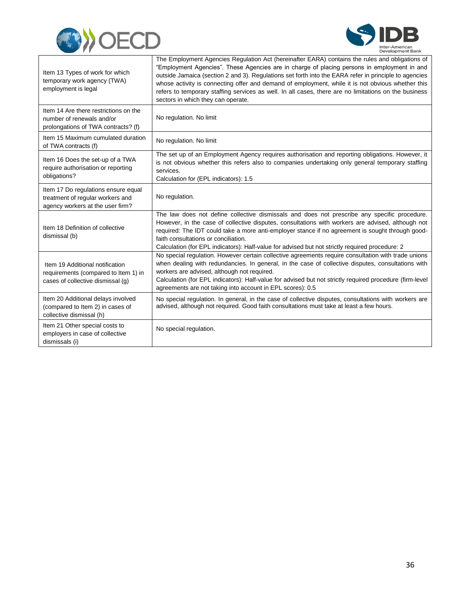



| Item 13 Types of work for which<br>temporary work agency (TWA)<br>employment is legal                        | The Employment Agencies Regulation Act (hereinafter EARA) contains the rules and obligations of<br>"Employment Agencies". These Agencies are in charge of placing persons in employment in and<br>outside Jamaica (section 2 and 3). Regulations set forth into the EARA refer in principle to agencies<br>whose activity is connecting offer and demand of employment, while it is not obvious whether this<br>refers to temporary staffing services as well. In all cases, there are no limitations on the business<br>sectors in which they can operate. |
|--------------------------------------------------------------------------------------------------------------|-------------------------------------------------------------------------------------------------------------------------------------------------------------------------------------------------------------------------------------------------------------------------------------------------------------------------------------------------------------------------------------------------------------------------------------------------------------------------------------------------------------------------------------------------------------|
| Item 14 Are there restrictions on the<br>number of renewals and/or<br>prolongations of TWA contracts? (f)    | No regulation. No limit                                                                                                                                                                                                                                                                                                                                                                                                                                                                                                                                     |
| Item 15 Maximum cumulated duration<br>of TWA contracts (f)                                                   | No regulation. No limit                                                                                                                                                                                                                                                                                                                                                                                                                                                                                                                                     |
| Item 16 Does the set-up of a TWA<br>require authorisation or reporting<br>obligations?                       | The set up of an Employment Agency requires authorisation and reporting obligations. However, it<br>is not obvious whether this refers also to companies undertaking only general temporary staffing<br>services.<br>Calculation for (EPL indicators): 1.5                                                                                                                                                                                                                                                                                                  |
| Item 17 Do regulations ensure equal<br>treatment of regular workers and<br>agency workers at the user firm?  | No regulation.                                                                                                                                                                                                                                                                                                                                                                                                                                                                                                                                              |
| Item 18 Definition of collective<br>dismissal (b)                                                            | The law does not define collective dismissals and does not prescribe any specific procedure.<br>However, in the case of collective disputes, consultations with workers are advised, although not<br>required: The IDT could take a more anti-employer stance if no agreement is sought through good-<br>faith consultations or conciliation.<br>Calculation (for EPL indicators): Half-value for advised but not strictly required procedure: 2                                                                                                            |
| Item 19 Additional notification<br>requirements (compared to Item 1) in<br>cases of collective dismissal (g) | No special regulation. However certain collective agreements reguire consultation with trade unions<br>when dealing with redundancies. In general, in the case of collective disputes, consultations with<br>workers are advised, although not required.<br>Calculation (for EPL indicators): Half-value for advised but not strictly required procedure (firm-level<br>agreements are not taking into account in EPL scores): 0.5                                                                                                                          |
| Item 20 Additional delays involved<br>(compared to Item 2) in cases of<br>collective dismissal (h)           | No special regulation. In general, in the case of collective disputes, consultations with workers are<br>advised, although not required. Good faith consultations must take at least a few hours.                                                                                                                                                                                                                                                                                                                                                           |
| Item 21 Other special costs to<br>employers in case of collective<br>dismissals (i)                          | No special regulation.                                                                                                                                                                                                                                                                                                                                                                                                                                                                                                                                      |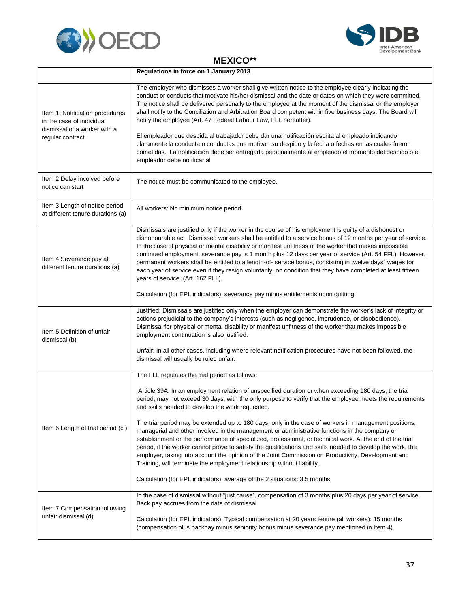



#### **MEXICO\*\***

<span id="page-39-0"></span>

|                                                                                                                  | Regulations in force on 1 January 2013                                                                                                                                                                                                                                                                                                                                                                                                                                                                                                                                                                                                                                                                      |
|------------------------------------------------------------------------------------------------------------------|-------------------------------------------------------------------------------------------------------------------------------------------------------------------------------------------------------------------------------------------------------------------------------------------------------------------------------------------------------------------------------------------------------------------------------------------------------------------------------------------------------------------------------------------------------------------------------------------------------------------------------------------------------------------------------------------------------------|
| Item 1: Notification procedures<br>in the case of individual<br>dismissal of a worker with a<br>regular contract | The employer who dismisses a worker shall give written notice to the employee clearly indicating the<br>conduct or conducts that motivate his/her dismissal and the date or dates on which they were committed.<br>The notice shall be delivered personally to the employee at the moment of the dismissal or the employer<br>shall notify to the Conciliation and Arbitration Board competent within five business days. The Board will<br>notify the employee (Art. 47 Federal Labour Law, FLL hereafter).                                                                                                                                                                                                |
|                                                                                                                  | El empleador que despida al trabajador debe dar una notificación escrita al empleado indicando<br>claramente la conducta o conductas que motivan su despido y la fecha o fechas en las cuales fueron<br>cometidas. La notificación debe ser entregada personalmente al empleado el momento del despido o el<br>empleador debe notificar al                                                                                                                                                                                                                                                                                                                                                                  |
| Item 2 Delay involved before<br>notice can start                                                                 | The notice must be communicated to the employee.                                                                                                                                                                                                                                                                                                                                                                                                                                                                                                                                                                                                                                                            |
| Item 3 Length of notice period<br>at different tenure durations (a)                                              | All workers: No minimum notice period.                                                                                                                                                                                                                                                                                                                                                                                                                                                                                                                                                                                                                                                                      |
| Item 4 Severance pay at<br>different tenure durations (a)                                                        | Dismissals are justified only if the worker in the course of his employment is guilty of a dishonest or<br>dishonourable act. Dismissed workers shall be entitled to a service bonus of 12 months per year of service.<br>In the case of physical or mental disability or manifest unfitness of the worker that makes impossible<br>continued employment, severance pay is 1 month plus 12 days per year of service (Art. 54 FFL). However,<br>permanent workers shall be entitled to a length-of- service bonus, consisting in twelve days' wages for<br>each year of service even if they resign voluntarily, on condition that they have completed at least fifteen<br>years of service. (Art. 162 FLL). |
|                                                                                                                  | Calculation (for EPL indicators): severance pay minus entitlements upon quitting.                                                                                                                                                                                                                                                                                                                                                                                                                                                                                                                                                                                                                           |
| Item 5 Definition of unfair<br>dismissal (b)                                                                     | Justified: Dismissals are justified only when the employer can demonstrate the worker's lack of integrity or<br>actions prejudicial to the company's interests (such as negligence, imprudence, or disobedience).<br>Dismissal for physical or mental disability or manifest unfitness of the worker that makes impossible<br>employment continuation is also justified.                                                                                                                                                                                                                                                                                                                                    |
|                                                                                                                  | Unfair: In all other cases, including where relevant notification procedures have not been followed, the<br>dismissal will usually be ruled unfair.                                                                                                                                                                                                                                                                                                                                                                                                                                                                                                                                                         |
|                                                                                                                  | The FLL regulates the trial period as follows:                                                                                                                                                                                                                                                                                                                                                                                                                                                                                                                                                                                                                                                              |
| Item 6 Length of trial period (c)                                                                                | Article 39A: In an employment relation of unspecified duration or when exceeding 180 days, the trial<br>period, may not exceed 30 days, with the only purpose to verify that the employee meets the requirements<br>and skills needed to develop the work requested.                                                                                                                                                                                                                                                                                                                                                                                                                                        |
|                                                                                                                  | The trial period may be extended up to 180 days, only in the case of workers in management positions,<br>managerial and other involved in the management or administrative functions in the company or<br>establishment or the performance of specialized, professional, or technical work. At the end of the trial<br>period, if the worker cannot prove to satisfy the qualifications and skills needed to develop the work, the<br>employer, taking into account the opinion of the Joint Commission on Productivity, Development and<br>Training, will terminate the employment relationship without liability.                                                                                         |
|                                                                                                                  | Calculation (for EPL indicators): average of the 2 situations: 3.5 months                                                                                                                                                                                                                                                                                                                                                                                                                                                                                                                                                                                                                                   |
| Item 7 Compensation following                                                                                    | In the case of dismissal without "just cause", compensation of 3 months plus 20 days per year of service.<br>Back pay accrues from the date of dismissal.                                                                                                                                                                                                                                                                                                                                                                                                                                                                                                                                                   |
| unfair dismissal (d)                                                                                             | Calculation (for EPL indicators): Typical compensation at 20 years tenure (all workers): 15 months<br>(compensation plus backpay minus seniority bonus minus severance pay mentioned in Item 4).                                                                                                                                                                                                                                                                                                                                                                                                                                                                                                            |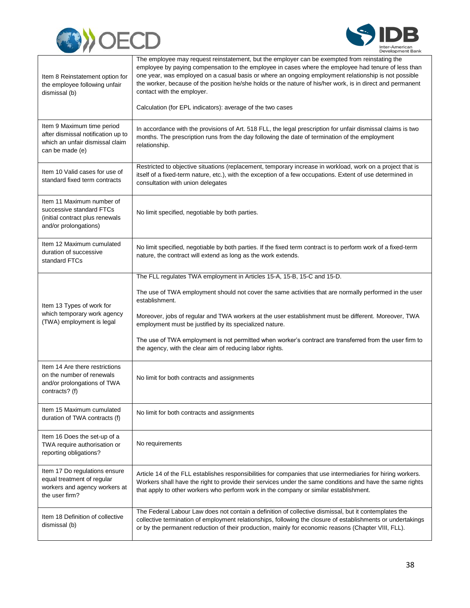



| Item 8 Reinstatement option for<br>the employee following unfair<br>dismissal (b)                                      | The employee may request reinstatement, but the employer can be exempted from reinstating the<br>employee by paying compensation to the employee in cases where the employee had tenure of less than<br>one year, was employed on a casual basis or where an ongoing employment relationship is not possible<br>the worker, because of the position he/she holds or the nature of his/her work, is in direct and permanent<br>contact with the employer. |
|------------------------------------------------------------------------------------------------------------------------|----------------------------------------------------------------------------------------------------------------------------------------------------------------------------------------------------------------------------------------------------------------------------------------------------------------------------------------------------------------------------------------------------------------------------------------------------------|
|                                                                                                                        | Calculation (for EPL indicators): average of the two cases                                                                                                                                                                                                                                                                                                                                                                                               |
| Item 9 Maximum time period<br>after dismissal notification up to<br>which an unfair dismissal claim<br>can be made (e) | In accordance with the provisions of Art. 518 FLL, the legal prescription for unfair dismissal claims is two<br>months. The prescription runs from the day following the date of termination of the employment<br>relationship.                                                                                                                                                                                                                          |
| Item 10 Valid cases for use of<br>standard fixed term contracts                                                        | Restricted to objective situations (replacement, temporary increase in workload, work on a project that is<br>itself of a fixed-term nature, etc.), with the exception of a few occupations. Extent of use determined in<br>consultation with union delegates                                                                                                                                                                                            |
| Item 11 Maximum number of<br>successive standard FTCs<br>(initial contract plus renewals<br>and/or prolongations)      | No limit specified, negotiable by both parties.                                                                                                                                                                                                                                                                                                                                                                                                          |
| Item 12 Maximum cumulated<br>duration of successive<br>standard FTCs                                                   | No limit specified, negotiable by both parties. If the fixed term contract is to perform work of a fixed-term<br>nature, the contract will extend as long as the work extends.                                                                                                                                                                                                                                                                           |
|                                                                                                                        | The FLL regulates TWA employment in Articles 15-A, 15-B, 15-C and 15-D.                                                                                                                                                                                                                                                                                                                                                                                  |
| Item 13 Types of work for                                                                                              | The use of TWA employment should not cover the same activities that are normally performed in the user<br>establishment.                                                                                                                                                                                                                                                                                                                                 |
| which temporary work agency<br>(TWA) employment is legal                                                               | Moreover, jobs of regular and TWA workers at the user establishment must be different. Moreover, TWA<br>employment must be justified by its specialized nature.                                                                                                                                                                                                                                                                                          |
|                                                                                                                        | The use of TWA employment is not permitted when worker's contract are transferred from the user firm to<br>the agency, with the clear aim of reducing labor rights.                                                                                                                                                                                                                                                                                      |
| Item 14 Are there restrictions<br>on the number of renewals<br>and/or prolongations of TWA<br>contracts? (f)           | No limit for both contracts and assignments                                                                                                                                                                                                                                                                                                                                                                                                              |
| Item 15 Maximum cumulated<br>duration of TWA contracts (f)                                                             | No limit for both contracts and assignments                                                                                                                                                                                                                                                                                                                                                                                                              |
| Item 16 Does the set-up of a<br>TWA require authorisation or<br>reporting obligations?                                 | No requirements                                                                                                                                                                                                                                                                                                                                                                                                                                          |
| Item 17 Do regulations ensure<br>equal treatment of regular<br>workers and agency workers at<br>the user firm?         | Article 14 of the FLL establishes responsibilities for companies that use intermediaries for hiring workers.<br>Workers shall have the right to provide their services under the same conditions and have the same rights<br>that apply to other workers who perform work in the company or similar establishment.                                                                                                                                       |
| Item 18 Definition of collective<br>dismissal (b)                                                                      | The Federal Labour Law does not contain a definition of collective dismissal, but it contemplates the<br>collective termination of employment relationships, following the closure of establishments or undertakings<br>or by the permanent reduction of their production, mainly for economic reasons (Chapter VIII, FLL).                                                                                                                              |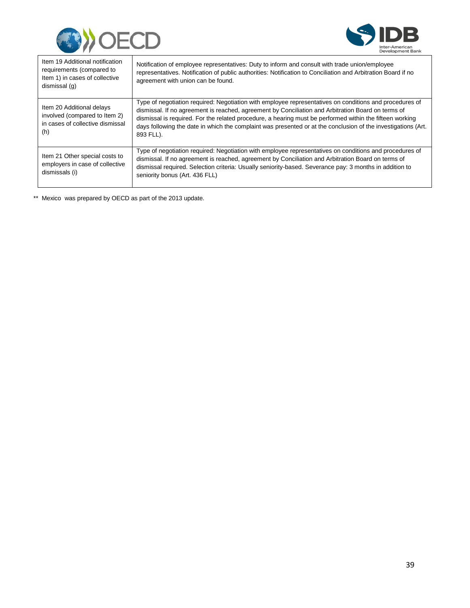



| Item 19 Additional notification<br>requirements (compared to<br>Item 1) in cases of collective<br>dismissal (g) | Notification of employee representatives: Duty to inform and consult with trade union/employee<br>representatives. Notification of public authorities: Notification to Conciliation and Arbitration Board if no<br>agreement with union can be found.                                                                                                                                                                                                   |
|-----------------------------------------------------------------------------------------------------------------|---------------------------------------------------------------------------------------------------------------------------------------------------------------------------------------------------------------------------------------------------------------------------------------------------------------------------------------------------------------------------------------------------------------------------------------------------------|
| Item 20 Additional delays<br>involved (compared to Item 2)<br>in cases of collective dismissal<br>(h)           | Type of negotiation required: Negotiation with employee representatives on conditions and procedures of<br>dismissal. If no agreement is reached, agreement by Conciliation and Arbitration Board on terms of<br>dismissal is required. For the related procedure, a hearing must be performed within the fifteen working<br>days following the date in which the complaint was presented or at the conclusion of the investigations (Art.<br>893 FLL). |
| Item 21 Other special costs to<br>employers in case of collective<br>dismissals (i)                             | Type of negotiation required: Negotiation with employee representatives on conditions and procedures of<br>dismissal. If no agreement is reached, agreement by Conciliation and Arbitration Board on terms of<br>dismissal required. Selection criteria: Usually seniority-based. Severance pay: 3 months in addition to<br>seniority bonus (Art. 436 FLL)                                                                                              |

\*\* Mexico was prepared by OECD as part of the 2013 update.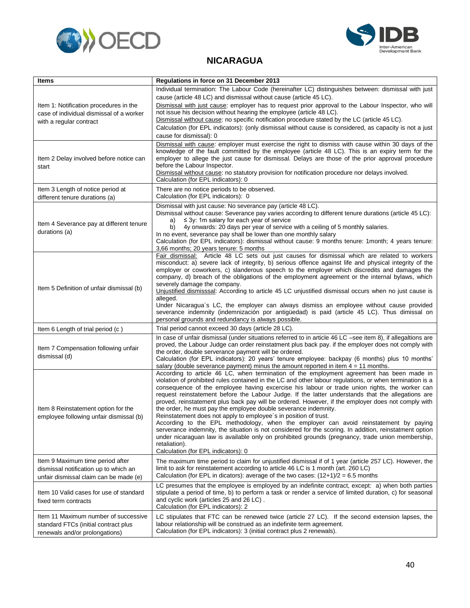



#### **NICARAGUA**

<span id="page-42-0"></span>

| <b>Items</b>                              | Regulations in force on 31 December 2013                                                                                                                                                                            |
|-------------------------------------------|---------------------------------------------------------------------------------------------------------------------------------------------------------------------------------------------------------------------|
|                                           | Individual termination: The Labour Code (hereinafter LC) distinguishes between: dismissal with just                                                                                                                 |
|                                           | cause (article 48 LC) and dismissal without cause (article 45 LC).                                                                                                                                                  |
| Item 1: Notification procedures in the    | Dismissal with just cause: employer has to request prior approval to the Labour Inspector, who will                                                                                                                 |
| case of individual dismissal of a worker  | not issue his decision without hearing the employee (article 48 LC).                                                                                                                                                |
| with a regular contract                   | Dismissal without cause: no specific notification procedure stated by the LC (article 45 LC).                                                                                                                       |
|                                           | Calculation (for EPL indicators): (only dismissal without cause is considered, as capacity is not a just                                                                                                            |
|                                           | cause for dismissal): 0                                                                                                                                                                                             |
|                                           | Dismissal with cause: employer must exercise the right to dismiss with cause within 30 days of the                                                                                                                  |
| Item 2 Delay involved before notice can   | knowledge of the fault committed by the employee (article 48 LC). This is an expiry term for the<br>employer to allege the just cause for dismissal. Delays are those of the prior approval procedure               |
| start                                     | before the Labour Inspector.                                                                                                                                                                                        |
|                                           | Dismissal without cause: no statutory provision for notification procedure nor delays involved.                                                                                                                     |
|                                           | Calculation (for EPL indicators): 0                                                                                                                                                                                 |
| Item 3 Length of notice period at         | There are no notice periods to be observed.                                                                                                                                                                         |
| different tenure durations (a)            | Calculation (for EPL indicators): 0                                                                                                                                                                                 |
|                                           | Dismissal with just cause: No severance pay (article 48 LC).                                                                                                                                                        |
|                                           | Dismissal without cause: Severance pay varies according to different tenure durations (article 45 LC):                                                                                                              |
| Item 4 Severance pay at different tenure  | $\leq$ 3y: 1m salary for each year of service<br>a)                                                                                                                                                                 |
| durations (a)                             | 4y onwards: 20 days per year of service with a ceiling of 5 monthly salaries.<br>b)<br>In no event, severance pay shall be lower than one monthly salary                                                            |
|                                           | Calculation (for EPL indicators): dismissal without cause: 9 months tenure: 1month; 4 years tenure:                                                                                                                 |
|                                           | 3,66 months; 20 years tenure: 5 months                                                                                                                                                                              |
|                                           | Fair dismissal: Article 48 LC sets out just causes for dismissal which are related to workers                                                                                                                       |
|                                           | misconduct: a) severe lack of integrity, b) serious offence against life and physical integrity of the                                                                                                              |
|                                           | employer or coworkers, c) slanderous speech to the employer which discredits and damages the                                                                                                                        |
|                                           | company, d) breach of the obligations of the employment agreement or the internal bylaws, which<br>severely damage the company.                                                                                     |
| Item 5 Definition of unfair dismissal (b) | Unjustified dismisssal: According to article 45 LC unjustified dismissal occurs when no just cause is                                                                                                               |
|                                           | alleged.                                                                                                                                                                                                            |
|                                           | Under Nicaragua's LC, the employer can always dismiss an employee without cause provided                                                                                                                            |
|                                           | severance indemnity (indemnización por antigüedad) is paid (article 45 LC). Thus dimissal on                                                                                                                        |
|                                           | personal grounds and redundancy is always possible.                                                                                                                                                                 |
| Item 6 Length of trial period (c)         | Trial period cannot exceed 30 days (article 28 LC).                                                                                                                                                                 |
|                                           | In case of unfair dismissal (under situations referred to in article 46 LC -see item 8), if allegaltions are<br>proved, the Labour Judge can order reinstatment plus back pay. if the employer does not comply with |
| Item 7 Compensation following unfair      | the order, double serverance payment will be ordered.                                                                                                                                                               |
| dismissal (d)                             | Calculation (for EPL indicators): 20 years' tenure employee: backpay (6 months) plus 10 months'                                                                                                                     |
|                                           | salary (double severance payment) minus the amount reported in item $4 = 11$ months.                                                                                                                                |
|                                           | According to article 46 LC, when termination of the employment agreement has been made in                                                                                                                           |
|                                           | violation of prohibited rules contained in the LC and other labour regulations, or when termination is a                                                                                                            |
|                                           | consequence of the employee having excercise his labour or trade union rights, the worker can<br>request reinstatement before the Labour Judge. If the latter understands that the allegations are                  |
| Item 8 Reinstatement option for the       | proved, reinstatement plus back pay will be ordered. However, if the employer does not comply with                                                                                                                  |
|                                           | the order, he must pay the employee double severance indemnity.                                                                                                                                                     |
| employee following unfair dismissal (b)   | Reinstatement does not apply to employee's in position of trust.                                                                                                                                                    |
|                                           | According to the EPL methodology, when the employer can avoid reinstatement by paying                                                                                                                               |
|                                           | serverance indemnity, the situation is not considered for the scoring. In addition, reinstatment option                                                                                                             |
|                                           | under nicaraguan law is available only on prohibited grounds (pregnancy, trade union membership,<br>retaliation).                                                                                                   |
|                                           | Calculation (for EPL indicators): 0                                                                                                                                                                                 |
| Item 9 Maximum time period after          | The maximum time period to claim for unjustified dismissal if of 1 year (article 257 LC). However, the                                                                                                              |
| dismissal notification up to which an     | limit to ask for reinstatement according to article 46 LC is 1 month (art. 260 LC)                                                                                                                                  |
| unfair dismissal claim can be made (e)    | Calculation (for EPL in dicators): average of the two cases: $(12+1)/2 = 6.5$ months                                                                                                                                |
|                                           | LC presumes that the employee is employed by an indefinite contract, except: a) when both parties                                                                                                                   |
| Item 10 Valid cases for use of standard   | stipulate a period of time, b) to perform a task or render a service of limited duration, c) for seasonal                                                                                                           |
| fixed term contracts                      | and cyclic work (articles 25 and 26 LC).                                                                                                                                                                            |
|                                           | Calculation (for EPL indicators): 2                                                                                                                                                                                 |
| Item 11 Maximum number of successive      | LC stipulates that FTC can be renewed twice (article 27 LC). If the second extension lapses, the                                                                                                                    |
| standard FTCs (initial contract plus      | labour relationship will be construed as an indefinite term agreement.<br>Calculation (for EPL indicators): 3 (initial contract plus 2 renewals).                                                                   |
| renewals and/or prolongations)            |                                                                                                                                                                                                                     |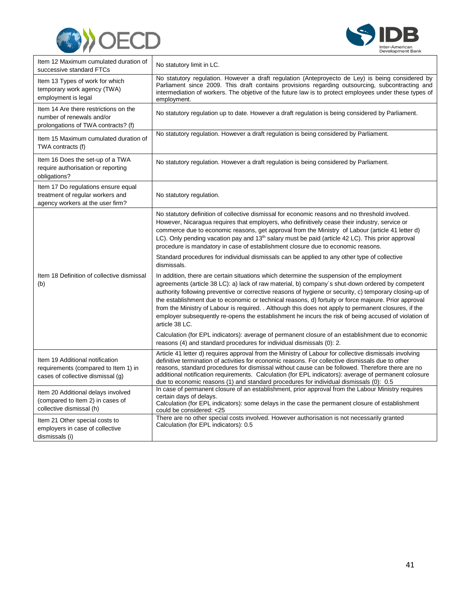



| Item 12 Maximum cumulated duration of<br>successive standard FTCs                                            | No statutory limit in LC.                                                                                                                                                                                                                                                                                                                                                                                                                                                                                                                                                                                                                            |
|--------------------------------------------------------------------------------------------------------------|------------------------------------------------------------------------------------------------------------------------------------------------------------------------------------------------------------------------------------------------------------------------------------------------------------------------------------------------------------------------------------------------------------------------------------------------------------------------------------------------------------------------------------------------------------------------------------------------------------------------------------------------------|
| Item 13 Types of work for which<br>temporary work agency (TWA)<br>employment is legal                        | No statutory regulation. However a draft regulation (Anteproyecto de Ley) is being considered by<br>Parliament since 2009. This draft contains provisions regarding outsourcing, subcontracting and<br>intermediation of workers. The objetive of the future law is to protect employees under these types of<br>employment.                                                                                                                                                                                                                                                                                                                         |
| Item 14 Are there restrictions on the<br>number of renewals and/or<br>prolongations of TWA contracts? (f)    | No statutory regulation up to date. However a draft regulation is being considered by Parliament.                                                                                                                                                                                                                                                                                                                                                                                                                                                                                                                                                    |
| Item 15 Maximum cumulated duration of<br>TWA contracts (f)                                                   | No statutory regulation. However a draft regulation is being considered by Parliament.                                                                                                                                                                                                                                                                                                                                                                                                                                                                                                                                                               |
| Item 16 Does the set-up of a TWA<br>require authorisation or reporting<br>obligations?                       | No statutory regulation. However a draft regulation is being considered by Parliament.                                                                                                                                                                                                                                                                                                                                                                                                                                                                                                                                                               |
| Item 17 Do regulations ensure equal<br>treatment of regular workers and<br>agency workers at the user firm?  | No statutory regulation.                                                                                                                                                                                                                                                                                                                                                                                                                                                                                                                                                                                                                             |
| Item 18 Definition of collective dismissal<br>(b)                                                            | No statutory definition of collective dismissal for economic reasons and no threshold involved.<br>However, Nicaragua requires that employers, who definitively cease their industry, service or<br>commerce due to economic reasons, get approval from the Ministry of Labour (article 41 letter d)<br>LC). Only pending vacation pay and $13th$ salary must be paid (article 42 LC). This prior approval<br>procedure is mandatory in case of establishment closure due to economic reasons.                                                                                                                                                       |
|                                                                                                              | Standard procedures for individual dismissals can be applied to any other type of collective<br>dismissals.                                                                                                                                                                                                                                                                                                                                                                                                                                                                                                                                          |
|                                                                                                              | In addition, there are certain situations which determine the suspension of the employment<br>agreements (article 38 LC): a) lack of raw material, b) company's shut-down ordered by competent<br>authority following preventive or corrective reasons of hygiene or security, c) temporary closing-up of<br>the establishment due to economic or technical reasons, d) fortuity or force majeure. Prior approval<br>from the Ministry of Labour is required. . Although this does not apply to permanent closures, if the<br>employer subsequently re-opens the establishment he incurs the risk of being accused of violation of<br>article 38 LC. |
|                                                                                                              | Calculation (for EPL indicators): average of permanent closure of an establishment due to economic<br>reasons (4) and standard procedures for individual dismissals (0): 2.                                                                                                                                                                                                                                                                                                                                                                                                                                                                          |
| Item 19 Additional notification<br>requirements (compared to Item 1) in<br>cases of collective dismissal (g) | Article 41 letter d) requires approval from the Ministry of Labour for collective dismissals involving<br>definitive termination of activities for economic reasons. For collective dismissals due to other<br>reasons, standard procedures for dismissal without cause can be followed. Therefore there are no<br>additional notification requirements. Calculation (for EPL indicators): average of permanent colosure<br>due to economic reasons (1) and standard procedures for individual dismissals (0): 0.5                                                                                                                                   |
| Item 20 Additional delays involved<br>(compared to Item 2) in cases of<br>collective dismissal (h)           | In case of permanent closure of an establishment, prior approval from the Labour Ministry requires<br>certain days of delays.<br>Calculation (for EPL indicators): some delays in the case the permanent closure of establishment<br>could be considered: < 25                                                                                                                                                                                                                                                                                                                                                                                       |
| Item 21 Other special costs to<br>employers in case of collective<br>dismissals (i)                          | There are no other special costs involved. However authorisation is not necessarily granted<br>Calculation (for EPL indicators): 0.5                                                                                                                                                                                                                                                                                                                                                                                                                                                                                                                 |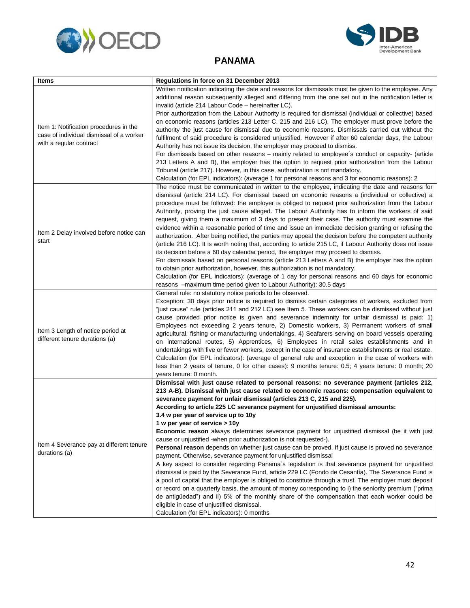



#### **PANAMA**

<span id="page-44-0"></span>

| <b>Items</b>                                                                                                  | Regulations in force on 31 December 2013                                                                                                                                                                   |
|---------------------------------------------------------------------------------------------------------------|------------------------------------------------------------------------------------------------------------------------------------------------------------------------------------------------------------|
| Item 1: Notification procedures in the<br>case of individual dismissal of a worker<br>with a regular contract | Written notification indicating the date and reasons for dismissals must be given to the employee. Any                                                                                                     |
|                                                                                                               | additional reason subsequently alleged and differing from the one set out in the notification letter is                                                                                                    |
|                                                                                                               | invalid (article 214 Labour Code – hereinafter LC).                                                                                                                                                        |
|                                                                                                               | Prior authorization from the Labour Authority is required for dismissal (individual or collective) based                                                                                                   |
|                                                                                                               | on economic reasons (articles 213 Letter C, 215 and 216 LC). The employer must prove before the                                                                                                            |
|                                                                                                               | authority the just cause for dismissal due to economic reasons. Dismissals carried out without the                                                                                                         |
|                                                                                                               | fulfilment of said procedure is considered unjustified. However if after 60 calendar days, the Labour                                                                                                      |
|                                                                                                               | Authority has not issue its decision, the employer may proceed to dismiss.                                                                                                                                 |
|                                                                                                               | For dismissals based on other reasons – mainly related to employee's conduct or capacity- (article                                                                                                         |
|                                                                                                               | 213 Letters A and B), the employer has the option to request prior authorization from the Labour                                                                                                           |
|                                                                                                               | Tribunal (article 217). However, in this case, authorization is not mandatory.                                                                                                                             |
|                                                                                                               | Calculation (for EPL indicators): (average 1 for personal reasons and 3 for economic reasons): 2                                                                                                           |
|                                                                                                               | The notice must be communicated in written to the employee, indicating the date and reasons for                                                                                                            |
|                                                                                                               | dismissal (article 214 LC). For dismissal based on economic reasons a (individual or collective) a                                                                                                         |
|                                                                                                               | procedure must be followed: the employer is obliged to request prior authorization from the Labour                                                                                                         |
|                                                                                                               | Authority, proving the just cause alleged. The Labour Authority has to inform the workers of said                                                                                                          |
|                                                                                                               | request, giving them a maximum of 3 days to present their case. The authority must examine the                                                                                                             |
| Item 2 Delay involved before notice can                                                                       | evidence within a reasonable period of time and issue an immediate decision granting or refusing the                                                                                                       |
| start                                                                                                         | authorization. After being notified, the parties may appeal the decision before the competent authority                                                                                                    |
|                                                                                                               | (article 216 LC). It is worth noting that, according to article 215 LC, if Labour Authority does not issue                                                                                                 |
|                                                                                                               | its decision before a 60 day calendar period, the employer may proceed to dismiss.                                                                                                                         |
|                                                                                                               | For dismissals based on personal reasons (article 213 Letters A and B) the employer has the option                                                                                                         |
|                                                                                                               | to obtain prior authorization, however, this authorization is not mandatory.                                                                                                                               |
|                                                                                                               | Calculation (for EPL indicators): (average of 1 day for personal reasons and 60 days for economic                                                                                                          |
|                                                                                                               | reasons -maximum time period given to Labour Authority): 30.5 days                                                                                                                                         |
|                                                                                                               | General rule: no statutory notice periods to be observed.                                                                                                                                                  |
|                                                                                                               | Exception: 30 days prior notice is required to dismiss certain categories of workers, excluded from<br>"just cause" rule (articles 211 and 212 LC) see Item 5. These workers can be dismissed without just |
|                                                                                                               | cause provided prior notice is given and severance indemnity for unfair dismissal is paid: 1)                                                                                                              |
|                                                                                                               | Employees not exceeding 2 years tenure, 2) Domestic workers, 3) Permanent workers of small                                                                                                                 |
| Item 3 Length of notice period at                                                                             | agricultural, fishing or manufacturing undertakings, 4) Seafarers serving on board vessels operating                                                                                                       |
| different tenure durations (a)                                                                                | on international routes, 5) Apprentices, 6) Employees in retail sales establishments and in                                                                                                                |
|                                                                                                               | undertakings with five or fewer workers, except in the case of insurance establishments or real estate.                                                                                                    |
|                                                                                                               | Calculation (for EPL indicators): (average of general rule and exception in the case of workers with                                                                                                       |
|                                                                                                               | less than 2 years of tenure, 0 for other cases): 9 months tenure: 0.5; 4 years tenure: 0 month; 20                                                                                                         |
|                                                                                                               | years tenure: 0 month.                                                                                                                                                                                     |
|                                                                                                               | Dismissal with just cause related to personal reasons: no severance payment (articles 212,                                                                                                                 |
|                                                                                                               | 213 A-B). Dismissal with just cause related to economic reasons: compensation equivalent to                                                                                                                |
|                                                                                                               | severance payment for unfair dismissal (articles 213 C, 215 and 225).                                                                                                                                      |
|                                                                                                               | According to article 225 LC severance payment for unjustified dismissal amounts:                                                                                                                           |
|                                                                                                               | 3.4 w per year of service up to 10y                                                                                                                                                                        |
|                                                                                                               | 1 w per year of service > 10y                                                                                                                                                                              |
| Item 4 Severance pay at different tenure<br>durations (a)                                                     | <b>Economic reason</b> always determines severance payment for unjustified dismissal (be it with just                                                                                                      |
|                                                                                                               | cause or unjustified -when prior authorization is not requested-).                                                                                                                                         |
|                                                                                                               | Personal reason depends on whether just cause can be proved. If just cause is proved no severance                                                                                                          |
|                                                                                                               | payment. Otherwise, severance payment for unjustified dismissal                                                                                                                                            |
|                                                                                                               | A key aspect to consider regarding Panama's legislation is that severance payment for unjustified                                                                                                          |
|                                                                                                               | dismissal is paid by the Severance Fund, article 229 LC (Fondo de Cesantía). The Severance Fund is                                                                                                         |
|                                                                                                               | a pool of capital that the employer is obliged to constitute through a trust. The employer must deposit                                                                                                    |
|                                                                                                               | or record on a quarterly basis, the amount of money corresponding to i) the seniority premium ("prima                                                                                                      |
|                                                                                                               | de antigüedad") and ii) 5% of the monthly share of the compensation that each worker could be                                                                                                              |
|                                                                                                               | eligible in case of unjustified dismissal.                                                                                                                                                                 |
|                                                                                                               | Calculation (for EPL indicators): 0 months                                                                                                                                                                 |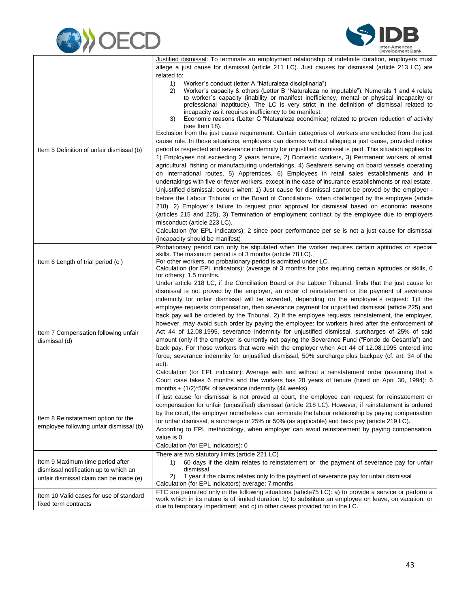



|                                                                           | Justified dismissal: To terminate an employment relationship of indefinite duration, employers must       |
|---------------------------------------------------------------------------|-----------------------------------------------------------------------------------------------------------|
|                                                                           | allege a just cause for dismissal (article 211 LC). Just causes for dismissal (article 213 LC) are        |
|                                                                           | related to:                                                                                               |
|                                                                           | Worker's conduct (letter A "Naturaleza disciplinaria")<br>1)                                              |
|                                                                           | Worker's capacity & others (Letter B "Naturaleza no imputable"). Numerals 1 and 4 relate<br>2)            |
|                                                                           | to worker's capacity (inability or manifest inefficiency, mental or physical incapacity or                |
|                                                                           | professional inaptitude). The LC is very strict in the definition of dismissal related to                 |
|                                                                           | incapacity as it requires inefficiency to be manifest.                                                    |
|                                                                           | 3)<br>Economic reasons (Letter C "Naturaleza económica) related to proven reduction of activity           |
|                                                                           | (see Item 18).                                                                                            |
| Item 5 Definition of unfair dismissal (b)                                 | Exclusion from the just cause requirement: Certain categories of workers are excluded from the just       |
|                                                                           | cause rule. In those situations, employers can dismiss without alleging a just cause, provided notice     |
|                                                                           | period is respected and severance indemnity for unjustified dismissal is paid. This situation applies to: |
|                                                                           | 1) Employees not exceeding 2 years tenure, 2) Domestic workers, 3) Permanent workers of small             |
|                                                                           | agricultural, fishing or manufacturing undertakings, 4) Seafarers serving on board vessels operating      |
|                                                                           | on international routes, 5) Apprentices, 6) Employees in retail sales establishments and in               |
|                                                                           | undertakings with five or fewer workers, except in the case of insurance establishments or real estate.   |
|                                                                           | Unjustified dismissal: occurs when: 1) Just cause for dismissal cannot be proved by the employer -        |
|                                                                           | before the Labour Tribunal or the Board of Conciliation-, when challenged by the employee (article        |
|                                                                           |                                                                                                           |
|                                                                           | 218). 2) Employer's failure to request prior approval for dismissal based on economic reasons             |
|                                                                           | (articles 215 and 225), 3) Termination of employment contract by the employee due to employers            |
|                                                                           | misconduct (article 223 LC).                                                                              |
|                                                                           | Calculation (for EPL indicators): 2 since poor performance per se is not a just cause for dismissal       |
|                                                                           | (incapacity should be manifest)                                                                           |
|                                                                           | Probationary period can only be stipulated when the worker requires certain aptitudes or special          |
|                                                                           | skills. The maximum period is of 3 months (article 78 LC).                                                |
| Item 6 Length of trial period (c)                                         | For other workers, no probationary period is admitted under LC.                                           |
|                                                                           | Calculation (for EPL indicators): (average of 3 months for jobs requiring certain aptitudes or skills, 0  |
|                                                                           | for others): 1.5 months.                                                                                  |
|                                                                           | Under article 218 LC, if the Conciliation Board or the Labour Tribunal, finds that the just cause for     |
|                                                                           | dismissal is not proved by the employer, an order of reinstatement or the payment of severance            |
|                                                                           | indemnity for unfair dismissal will be awarded, depending on the employee's request: 1) If the            |
|                                                                           | employee requests compensation, then severance payment for unjustified dismissal (article 225) and        |
|                                                                           | back pay will be ordered by the Tribunal. 2) If the employee requests reinstatement, the employer,        |
|                                                                           | however, may avoid such order by paying the employee: for workers hired after the enforcement of          |
| Item 7 Compensation following unfair                                      | Act 44 of 12.08.1995, severance indemnity for unjustified dismissal, surcharges of 25% of said            |
| dismissal (d)                                                             | amount (only if the employer is currently not paying the Severance Fund ("Fondo de Cesantía") and         |
|                                                                           | back pay. For those workers that were with the employer when Act 44 of 12.08.1995 entered into            |
|                                                                           | force, severance indemnity for unjustified dismissal, 50% surcharge plus backpay (cf. art. 34 of the      |
|                                                                           | act).                                                                                                     |
|                                                                           | Calculation (for EPL indicator): Average with and without a reinstatement order (assuming that a          |
|                                                                           | Court case takes 6 months and the workers has 20 years of tenure (hired on April 30, 1994): 6             |
|                                                                           | months $+$ (1/2)*50% of severance indemnity (44 weeks).                                                   |
|                                                                           | If just cause for dismissal is not proved at court, the employee can request for reinstatement or         |
|                                                                           |                                                                                                           |
|                                                                           | compensation for unfair (unjustified) dismissal (article 218 LC). However, if reinstatement is ordered    |
| Item 8 Reinstatement option for the                                       | by the court, the employer nonetheless can terminate the labour relationship by paying compensation       |
| employee following unfair dismissal (b)                                   | for unfair dismissal, a surcharge of 25% or 50% (as applicable) and back pay (article 219 LC).            |
|                                                                           | According to EPL methodology, when employer can avoid reinstatement by paying compensation,               |
|                                                                           | value is 0.                                                                                               |
|                                                                           | Calculation (for EPL indicators): 0                                                                       |
| Item 9 Maximum time period after<br>dismissal notification up to which an | There are two statutory limits (article 221 LC)                                                           |
|                                                                           | 60 days if the claim relates to reinstatement or the payment of severance pay for unfair<br>1)            |
|                                                                           | dismissal                                                                                                 |
| unfair dismissal claim can be made (e)                                    | 1 year if the claims relates only to the payment of severance pay for unfair dismissal<br>2)              |
|                                                                           | Calculation (for EPL indicators) average: 7 months                                                        |
| Item 10 Valid cases for use of standard                                   | FTC are permitted only in the following situations (article75 LC): a) to provide a service or perform a   |
| fixed term contracts                                                      | work which in its nature is of limited duration, b) to substitute an employee on leave, on vacation, or   |
|                                                                           | due to temporary impediment; and c) in other cases provided for in the LC.                                |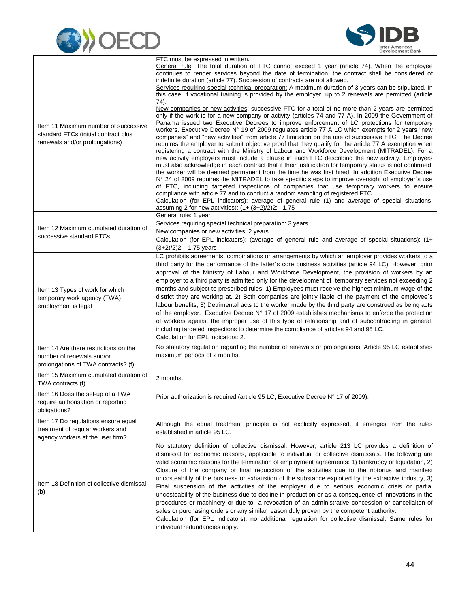



| Item 11 Maximum number of successive<br>standard FTCs (initial contract plus<br>renewals and/or prolongations) | FTC must be expressed in written.<br>General rule: The total duration of FTC cannot exceed 1 year (article 74). When the employee<br>continues to render services beyond the date of termination, the contract shall be considered of<br>indefinite duration (article 77). Succession of contracts are not allowed.<br>Services requiring special technical preparation: A maximum duration of 3 years can be stipulated. In<br>this case, if vocational training is provided by the employer, up to 2 renewals are permitted (article<br>74).<br>New companies or new activities: successive FTC for a total of no more than 2 years are permitted<br>only if the work is for a new company or activity (articles 74 and 77 A). In 2009 the Government of<br>Panama issued two Executive Decrees to improve enforcement of LC protections for temporary<br>workers. Executive Decree N° 19 of 2009 regulates article 77 A LC which exempts for 2 years "new<br>companies" and "new activities" from article 77 limitation on the use of successive FTC. The Decree<br>requires the employer to submit objective proof that they qualify for the article 77 A exemption when<br>registering a contract with the Ministry of Labour and Workforce Development (MITRADEL). For a<br>new activity employers must include a clause in each FTC describing the new activity. Employers<br>must also acknowledge in each contract that if their justification for temporary status is not confirmed,<br>the worker will be deemed permanent from the time he was first hired. In addition Executive Decree<br>N° 24 of 2009 requires the MITRADEL to take specific steps to improve oversight of employer's use<br>of FTC, including targeted inspections of companies that use temporary workers to ensure<br>compliance with article 77 and to conduct a random sampling of registered FTC.<br>Calculation (for EPL indicators): average of general rule (1) and average of special situations,<br>assuming 2 for new activities): $(1 + (3+2)/2)2$ : 1.75 |
|----------------------------------------------------------------------------------------------------------------|--------------------------------------------------------------------------------------------------------------------------------------------------------------------------------------------------------------------------------------------------------------------------------------------------------------------------------------------------------------------------------------------------------------------------------------------------------------------------------------------------------------------------------------------------------------------------------------------------------------------------------------------------------------------------------------------------------------------------------------------------------------------------------------------------------------------------------------------------------------------------------------------------------------------------------------------------------------------------------------------------------------------------------------------------------------------------------------------------------------------------------------------------------------------------------------------------------------------------------------------------------------------------------------------------------------------------------------------------------------------------------------------------------------------------------------------------------------------------------------------------------------------------------------------------------------------------------------------------------------------------------------------------------------------------------------------------------------------------------------------------------------------------------------------------------------------------------------------------------------------------------------------------------------------------------------------------------------------------------------------------------------------------------------------------------|
| Item 12 Maximum cumulated duration of<br>successive standard FTCs                                              | General rule: 1 year.<br>Services requiring special technical preparation: 3 years.<br>New companies or new activities: 2 years.<br>Calculation (for EPL indicators): (average of general rule and average of special situations): (1+<br>$(3+2)/2$ )2: 1.75 years                                                                                                                                                                                                                                                                                                                                                                                                                                                                                                                                                                                                                                                                                                                                                                                                                                                                                                                                                                                                                                                                                                                                                                                                                                                                                                                                                                                                                                                                                                                                                                                                                                                                                                                                                                                     |
| Item 13 Types of work for which<br>temporary work agency (TWA)<br>employment is legal                          | LC prohibits agreements, combinations or arrangements by which an employer provides workers to a<br>third party for the performance of the latter's core business activities (article 94 LC). However, prior<br>approval of the Ministry of Labour and Workforce Development, the provision of workers by an<br>employer to a third party is admitted only for the development of temporary services not exceeding 2<br>months and subject to prescribed rules: 1) Employees must receive the highest minimum wage of the<br>district they are working at. 2) Both companies are jointly liable of the payment of the employee's<br>labour benefits, 3) Detrimental acts to the worker made by the third party are construed as being acts<br>of the employer. Executive Decree N° 17 of 2009 establishes mechanisms to enforce the protection<br>of workers against the improper use of this type of relationship and of subcontracting in general,<br>including targeted inspections to determine the compliance of articles 94 and 95 LC.<br>Calculation for EPL indicators: 2.                                                                                                                                                                                                                                                                                                                                                                                                                                                                                                                                                                                                                                                                                                                                                                                                                                                                                                                                                                     |
| Item 14 Are there restrictions on the<br>number of renewals and/or<br>prolongations of TWA contracts? (f)      | No statutory regulation regarding the number of renewals or prolongations. Article 95 LC establishes<br>maximum periods of 2 months.                                                                                                                                                                                                                                                                                                                                                                                                                                                                                                                                                                                                                                                                                                                                                                                                                                                                                                                                                                                                                                                                                                                                                                                                                                                                                                                                                                                                                                                                                                                                                                                                                                                                                                                                                                                                                                                                                                                   |
| Item 15 Maximum cumulated duration of<br>TWA contracts (f)                                                     | 2 months.                                                                                                                                                                                                                                                                                                                                                                                                                                                                                                                                                                                                                                                                                                                                                                                                                                                                                                                                                                                                                                                                                                                                                                                                                                                                                                                                                                                                                                                                                                                                                                                                                                                                                                                                                                                                                                                                                                                                                                                                                                              |
| Item 16 Does the set-up of a TWA<br>require authorisation or reporting<br>obligations?                         | Prior authorization is required (article 95 LC, Executive Decree N° 17 of 2009).                                                                                                                                                                                                                                                                                                                                                                                                                                                                                                                                                                                                                                                                                                                                                                                                                                                                                                                                                                                                                                                                                                                                                                                                                                                                                                                                                                                                                                                                                                                                                                                                                                                                                                                                                                                                                                                                                                                                                                       |
| Item 17 Do regulations ensure equal<br>treatment of regular workers and<br>agency workers at the user firm?    | Although the equal treatment principle is not explicitly expressed, it emerges from the rules<br>established in article 95 LC.                                                                                                                                                                                                                                                                                                                                                                                                                                                                                                                                                                                                                                                                                                                                                                                                                                                                                                                                                                                                                                                                                                                                                                                                                                                                                                                                                                                                                                                                                                                                                                                                                                                                                                                                                                                                                                                                                                                         |
| Item 18 Definition of collective dismissal<br>(b)                                                              | No statutory definition of collective dismissal. However, article 213 LC provides a definition of<br>dismissal for economic reasons, applicable to individual or collective dismissals. The following are<br>valid economic reasons for the termination of employment agreements: 1) bankrupcy or liquidation, 2)<br>Closure of the company or final reducction of the activities due to the notorius and manifest<br>uncosteability of the business or exhaustion of the substance exploited by the extractive industry, 3)<br>Final suspension of the activities of the employer due to serious economic crisis or partial<br>uncosteability of the business due to decline in production or as a consequence of innovations in the<br>procedures or machinery or due to a revocation of an administrative concession or cancellaiton of<br>sales or purchasing orders or any similar reason duly proven by the competent authority.<br>Calculation (for EPL indicators): no additional regulation for collective dismissal. Same rules for<br>individual redundancies apply.                                                                                                                                                                                                                                                                                                                                                                                                                                                                                                                                                                                                                                                                                                                                                                                                                                                                                                                                                                        |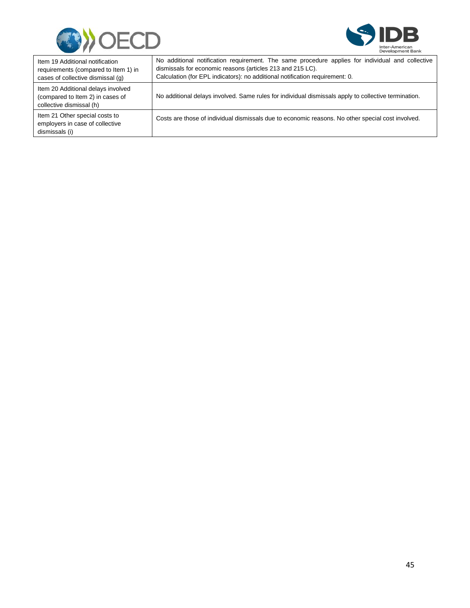



| Item 19 Additional notification<br>requirements (compared to Item 1) in<br>cases of collective dismissal (g) | No additional notification requirement. The same procedure applies for individual and collective<br>dismissals for economic reasons (articles 213 and 215 LC).<br>Calculation (for EPL indicators): no additional notification requirement: 0. |
|--------------------------------------------------------------------------------------------------------------|------------------------------------------------------------------------------------------------------------------------------------------------------------------------------------------------------------------------------------------------|
| Item 20 Additional delays involved<br>(compared to Item 2) in cases of<br>collective dismissal (h)           | No additional delays involved. Same rules for individual dismissals apply to collective termination.                                                                                                                                           |
| Item 21 Other special costs to<br>employers in case of collective<br>dismissals (i)                          | Costs are those of individual dismissals due to economic reasons. No other special cost involved.                                                                                                                                              |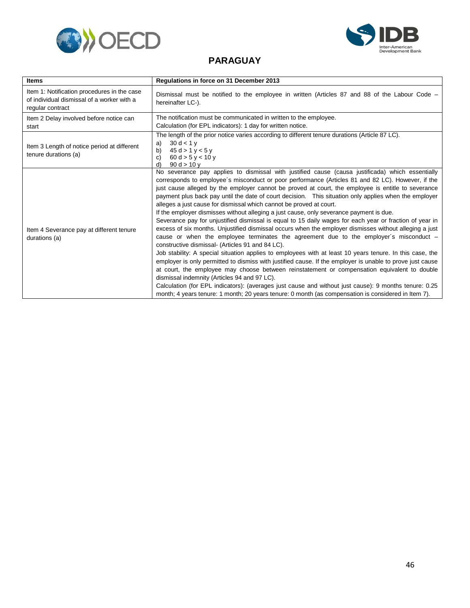<span id="page-48-0"></span>



#### **PARAGUAY**

| <b>Items</b>                                                                                                  | Regulations in force on 31 December 2013                                                                                                                                                                                                                                                                                                                                                                                                                                                                                                                                                                                                                                                                                                                                                                                                                                                                                                                                                                                                                                                                                                                                                                                                                                                                                                                                                                                                                                                                                                           |
|---------------------------------------------------------------------------------------------------------------|----------------------------------------------------------------------------------------------------------------------------------------------------------------------------------------------------------------------------------------------------------------------------------------------------------------------------------------------------------------------------------------------------------------------------------------------------------------------------------------------------------------------------------------------------------------------------------------------------------------------------------------------------------------------------------------------------------------------------------------------------------------------------------------------------------------------------------------------------------------------------------------------------------------------------------------------------------------------------------------------------------------------------------------------------------------------------------------------------------------------------------------------------------------------------------------------------------------------------------------------------------------------------------------------------------------------------------------------------------------------------------------------------------------------------------------------------------------------------------------------------------------------------------------------------|
| Item 1: Notification procedures in the case<br>of individual dismissal of a worker with a<br>regular contract | Dismissal must be notified to the employee in written (Articles 87 and 88 of the Labour Code –<br>hereinafter LC-).                                                                                                                                                                                                                                                                                                                                                                                                                                                                                                                                                                                                                                                                                                                                                                                                                                                                                                                                                                                                                                                                                                                                                                                                                                                                                                                                                                                                                                |
| Item 2 Delay involved before notice can<br>start                                                              | The notification must be communicated in written to the employee.<br>Calculation (for EPL indicators): 1 day for written notice.                                                                                                                                                                                                                                                                                                                                                                                                                                                                                                                                                                                                                                                                                                                                                                                                                                                                                                                                                                                                                                                                                                                                                                                                                                                                                                                                                                                                                   |
| Item 3 Length of notice period at different<br>tenure durations (a)                                           | The length of the prior notice varies according to different tenure durations (Article 87 LC).<br>30 d < 1 v<br>a)<br>45 d > 1 y < 5 y<br>b)<br>C)<br>60 d > 5 y < 10 y<br>90 d > 10 y<br>d)                                                                                                                                                                                                                                                                                                                                                                                                                                                                                                                                                                                                                                                                                                                                                                                                                                                                                                                                                                                                                                                                                                                                                                                                                                                                                                                                                       |
| Item 4 Severance pay at different tenure<br>durations (a)                                                     | No severance pay applies to dismissal with justified cause (causa justificada) which essentially<br>corresponds to employee's misconduct or poor performance (Articles 81 and 82 LC). However, if the<br>just cause alleged by the employer cannot be proved at court, the employee is entitle to severance<br>payment plus back pay until the date of court decision. This situation only applies when the employer<br>alleges a just cause for dismissal which cannot be proved at court.<br>If the employer dismisses without alleging a just cause, only severance payment is due.<br>Severance pay for unjustified dismissal is equal to 15 daily wages for each year or fraction of year in<br>excess of six months. Unjustified dismissal occurs when the employer dismisses without alleging a just<br>cause or when the employee terminates the agreement due to the employer's misconduct -<br>constructive dismissal- (Articles 91 and 84 LC).<br>Job stability: A special situation applies to employees with at least 10 years tenure. In this case, the<br>employer is only permitted to dismiss with justified cause. If the employer is unable to prove just cause<br>at court, the employee may choose between reinstatement or compensation equivalent to double<br>dismissal indemnity (Articles 94 and 97 LC).<br>Calculation (for EPL indicators): (averages just cause and without just cause): 9 months tenure: 0.25<br>month; 4 years tenure: 1 month; 20 years tenure: 0 month (as compensation is considered in Item 7). |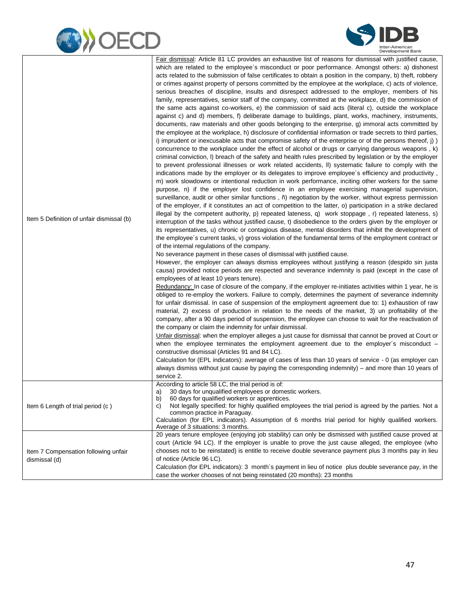



| Item 5 Definition of unfair dismissal (b)             | Fair dismissal: Article 81 LC provides an exhaustive list of reasons for dismissal with justified cause,<br>which are related to the employee's misconduct or poor performance. Amongst others: a) dishonest<br>acts related to the submission of false certificates to obtain a position in the company, b) theft, robbery<br>or crimes against property of persons committed by the employee at the workplace, c) acts of violence,<br>serious breaches of discipline, insults and disrespect addressed to the employer, members of his<br>family, representatives, senior staff of the company, committed at the workplace, d) the commission of<br>the same acts against co-workers, e) the commission of said acts (literal c), outside the workplace<br>against c) and d) members, f) deliberate damage to buildings, plant, works, machinery, instruments,<br>documents, raw materials and other goods belonging to the enterprise, g) immoral acts committed by<br>the employee at the workplace, h) disclosure of confidential information or trade secrets to third parties,<br>i) imprudent or inexcusable acts that compromise safety of the enterprise or of the persons thereof, j) )<br>concurrence to the workplace under the effect of alcohol or drugs or carrying dangerous weapons, k)<br>criminal conviction, I) breach of the safety and health rules prescribed by legislation or by the employer<br>to prevent professional illnesses or work related accidents, II) systematic failure to comply with the<br>indications made by the employer or its delegates to improve employee's efficiency and productivity,<br>m) work slowdowns or intentional reduction in work performance, inciting other workers for the same<br>purpose, n) if the employer lost confidence in an employee exercising managerial supervision,<br>surveillance, audit or other similar functions, n negotiation by the worker, without express permission<br>of the employer, if it constitutes an act of competition to the latter, o) participation in a strike declared<br>illegal by the competent authority, p) repeated lateness, q) work stoppage, r) repeated lateness, s)<br>interruption of the tasks without justified cause, t) disobedience to the orders given by the employer or<br>its representatives, u) chronic or contagious disease, mental disorders that inhibit the development of<br>the employee's current tasks, v) gross violation of the fundamental terms of the employment contract or<br>of the internal regulations of the company.<br>No severance payment in these cases of dismissal with justified cause.<br>However, the employer can always dismiss employees without justifying a reason (despido sin justa<br>causa) provided notice periods are respected and severance indemnity is paid (except in the case of<br>employees of at least 10 years tenure).<br>Redundancy: In case of closure of the company, if the employer re-initiates activities within 1 year, he is<br>obliged to re-employ the workers. Failure to comply, determines the payment of severance indemnity<br>for unfair dismissal. In case of suspension of the employment agreement due to: 1) exhaustion of raw<br>material, 2) excess of production in relation to the needs of the market, 3) un profitability of the<br>company, after a 90 days period of suspension, the employee can choose to wait for the reactivation of<br>the company or claim the indemnity for unfair dismissal.<br>Unfair dismissal: when the employer alleges a just cause for dismissal that cannot be proved at Court or<br>when the employee terminates the employment agreement due to the employer's misconduct $-$<br>constructive dismissal (Articles 91 and 84 LC).<br>Calculation for (EPL indicators): average of cases of less than 10 years of service - 0 (as employer can<br>always dismiss without just cause by paying the corresponding indemnity) – and more than 10 years of<br>service 2. |
|-------------------------------------------------------|---------------------------------------------------------------------------------------------------------------------------------------------------------------------------------------------------------------------------------------------------------------------------------------------------------------------------------------------------------------------------------------------------------------------------------------------------------------------------------------------------------------------------------------------------------------------------------------------------------------------------------------------------------------------------------------------------------------------------------------------------------------------------------------------------------------------------------------------------------------------------------------------------------------------------------------------------------------------------------------------------------------------------------------------------------------------------------------------------------------------------------------------------------------------------------------------------------------------------------------------------------------------------------------------------------------------------------------------------------------------------------------------------------------------------------------------------------------------------------------------------------------------------------------------------------------------------------------------------------------------------------------------------------------------------------------------------------------------------------------------------------------------------------------------------------------------------------------------------------------------------------------------------------------------------------------------------------------------------------------------------------------------------------------------------------------------------------------------------------------------------------------------------------------------------------------------------------------------------------------------------------------------------------------------------------------------------------------------------------------------------------------------------------------------------------------------------------------------------------------------------------------------------------------------------------------------------------------------------------------------------------------------------------------------------------------------------------------------------------------------------------------------------------------------------------------------------------------------------------------------------------------------------------------------------------------------------------------------------------------------------------------------------------------------------------------------------------------------------------------------------------------------------------------------------------------------------------------------------------------------------------------------------------------------------------------------------------------------------------------------------------------------------------------------------------------------------------------------------------------------------------------------------------------------------------------------------------------------------------------------------------------------------------------------------------------------------------------------------------------------------------------------------------------------------------------------------------------------------------------------------------------------------------------------------------------------------------------------------------------------------------------------|
| Item 6 Length of trial period (c)                     | According to article 58 LC, the trial period is of:<br>30 days for unqualified employees or domestic workers.<br>a)<br>b)<br>60 days for qualified workers or apprentices.<br>Not legally specified: for highly qualified employees the trial period is agreed by the parties. Not a<br>C)<br>common practice in Paraguay.<br>Calculation (for EPL indicators). Assumption of 6 months trial period for highly qualified workers.<br>Average of 3 situations: 3 months.                                                                                                                                                                                                                                                                                                                                                                                                                                                                                                                                                                                                                                                                                                                                                                                                                                                                                                                                                                                                                                                                                                                                                                                                                                                                                                                                                                                                                                                                                                                                                                                                                                                                                                                                                                                                                                                                                                                                                                                                                                                                                                                                                                                                                                                                                                                                                                                                                                                                                                                                                                                                                                                                                                                                                                                                                                                                                                                                                                                                                                                                                                                                                                                                                                                                                                                                                                                                                                                                                                                                             |
| Item 7 Compensation following unfair<br>dismissal (d) | 20 years tenure employee (enjoying job stability) can only be dismissed with justified cause proved at<br>court (Article 94 LC). If the employer is unable to prove the just cause alleged, the employee (who<br>chooses not to be reinstated) is entitle to receive double severance payment plus 3 months pay in lieu<br>of notice (Article 96 LC).<br>Calculation (for EPL indicators): 3 month's payment in lieu of notice plus double severance pay, in the<br>case the worker chooses of not being reinstated (20 months): 23 months                                                                                                                                                                                                                                                                                                                                                                                                                                                                                                                                                                                                                                                                                                                                                                                                                                                                                                                                                                                                                                                                                                                                                                                                                                                                                                                                                                                                                                                                                                                                                                                                                                                                                                                                                                                                                                                                                                                                                                                                                                                                                                                                                                                                                                                                                                                                                                                                                                                                                                                                                                                                                                                                                                                                                                                                                                                                                                                                                                                                                                                                                                                                                                                                                                                                                                                                                                                                                                                                          |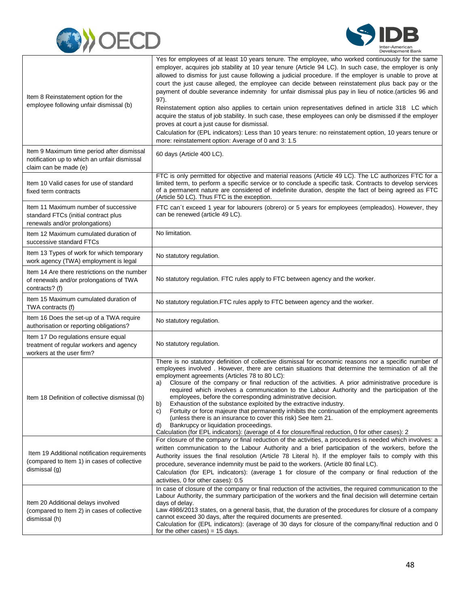



| Item 8 Reinstatement option for the<br>employee following unfair dismissal (b)                                      | Yes for employees of at least 10 years tenure. The employee, who worked continuously for the same<br>employer, acquires job stability at 10 year tenure (Article 94 LC). In such case, the employer is only<br>allowed to dismiss for just cause following a judicial procedure. If the employer is unable to prove at<br>court the just cause alleged, the employee can decide between reinstatement plus back pay or the<br>payment of double severance indemnity for unfair dismissal plus pay in lieu of notice. (articles 96 and<br>97).<br>Reinstatement option also applies to certain union representatives defined in article 318 LC which<br>acquire the status of job stability. In such case, these employees can only be dismissed if the employer<br>proves at court a just cause for dismissal.<br>Calculation for (EPL indicators): Less than 10 years tenure: no reinstatement option, 10 years tenure or<br>more: reinstatement option: Average of 0 and 3: 1.5 |
|---------------------------------------------------------------------------------------------------------------------|-----------------------------------------------------------------------------------------------------------------------------------------------------------------------------------------------------------------------------------------------------------------------------------------------------------------------------------------------------------------------------------------------------------------------------------------------------------------------------------------------------------------------------------------------------------------------------------------------------------------------------------------------------------------------------------------------------------------------------------------------------------------------------------------------------------------------------------------------------------------------------------------------------------------------------------------------------------------------------------|
| Item 9 Maximum time period after dismissal<br>notification up to which an unfair dismissal<br>claim can be made (e) | 60 days (Article 400 LC).                                                                                                                                                                                                                                                                                                                                                                                                                                                                                                                                                                                                                                                                                                                                                                                                                                                                                                                                                         |
| Item 10 Valid cases for use of standard<br>fixed term contracts                                                     | FTC is only permitted for objective and material reasons (Article 49 LC). The LC authorizes FTC for a<br>limited term, to perform a specific service or to conclude a specific task. Contracts to develop services<br>of a permanent nature are considered of indefinite duration, despite the fact of being agreed as FTC<br>(Article 50 LC). Thus FTC is the exception.                                                                                                                                                                                                                                                                                                                                                                                                                                                                                                                                                                                                         |
| Item 11 Maximum number of successive<br>standard FTCs (initial contract plus<br>renewals and/or prolongations)      | FTC can't exceed 1 year for labourers (obrero) or 5 years for employees (empleados). However, they<br>can be renewed (article 49 LC).                                                                                                                                                                                                                                                                                                                                                                                                                                                                                                                                                                                                                                                                                                                                                                                                                                             |
| Item 12 Maximum cumulated duration of<br>successive standard FTCs                                                   | No limitation.                                                                                                                                                                                                                                                                                                                                                                                                                                                                                                                                                                                                                                                                                                                                                                                                                                                                                                                                                                    |
| Item 13 Types of work for which temporary<br>work agency (TWA) employment is legal                                  | No statutory regulation.                                                                                                                                                                                                                                                                                                                                                                                                                                                                                                                                                                                                                                                                                                                                                                                                                                                                                                                                                          |
| Item 14 Are there restrictions on the number<br>of renewals and/or prolongations of TWA<br>contracts? (f)           | No statutory regulation. FTC rules apply to FTC between agency and the worker.                                                                                                                                                                                                                                                                                                                                                                                                                                                                                                                                                                                                                                                                                                                                                                                                                                                                                                    |
| Item 15 Maximum cumulated duration of<br>TWA contracts (f)                                                          | No statutory regulation. FTC rules apply to FTC between agency and the worker.                                                                                                                                                                                                                                                                                                                                                                                                                                                                                                                                                                                                                                                                                                                                                                                                                                                                                                    |
| Item 16 Does the set-up of a TWA require<br>authorisation or reporting obligations?                                 | No statutory regulation.                                                                                                                                                                                                                                                                                                                                                                                                                                                                                                                                                                                                                                                                                                                                                                                                                                                                                                                                                          |
| Item 17 Do regulations ensure equal<br>treatment of regular workers and agency<br>workers at the user firm?         | No statutory regulation.                                                                                                                                                                                                                                                                                                                                                                                                                                                                                                                                                                                                                                                                                                                                                                                                                                                                                                                                                          |
| Item 18 Definition of collective dismissal (b)                                                                      | There is no statutory definition of collective dismissal for economic reasons nor a specific number of<br>employees involved. However, there are certain situations that determine the termination of all the<br>employment agreements (Articles 78 to 80 LC):<br>Closure of the company or final reduction of the activities. A prior administrative procedure is<br>a)<br>required which involves a communication to the Labour Authority and the participation of the<br>employees, before the corresponding administrative decision.<br>Exhaustion of the substance exploited by the extractive industry.<br>b)<br>Fortuity or force majeure that permanently inhibits the continuation of the employment agreements<br>C)<br>(unless there is an insurance to cover this risk) See Item 21.<br>Bankrupcy or liquidation proceedings.<br>d)<br>Calculation (for EPL indicators): (average of 4 for closure/final reduction, 0 for other cases): 2                             |
| Item 19 Additional notification requirements<br>(compared to Item 1) in cases of collective<br>dismissal (g)        | For closure of the company or final reduction of the activities, a procedures is needed which involves: a<br>written communication to the Labour Authority and a brief participation of the workers, before the<br>Authority issues the final resolution (Article 78 Literal h). If the employer fails to comply with this<br>procedure, severance indemnity must be paid to the workers. (Article 80 final LC).<br>Calculation (for EPL indicators): (average 1 for closure of the company or final reduction of the<br>activities, 0 for other cases): 0.5                                                                                                                                                                                                                                                                                                                                                                                                                      |
| Item 20 Additional delays involved<br>(compared to Item 2) in cases of collective<br>dismissal (h)                  | In case of closure of the company or final reduction of the activities, the required communication to the<br>Labour Authority, the summary participation of the workers and the final decision will determine certain<br>days of delay.<br>Law 4986/2013 states, on a general basis, that, the duration of the procedures for closure of a company<br>cannot exceed 30 days, after the required documents are presented.<br>Calculation for (EPL indicators): (average of 30 days for closure of the company/final reduction and 0<br>for the other cases) = $15$ days.                                                                                                                                                                                                                                                                                                                                                                                                           |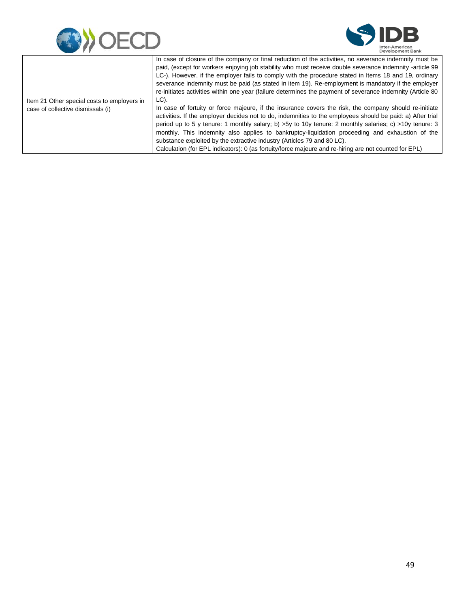



|                                             | In case of closure of the company or final reduction of the activities, no severance indemnity must be      |
|---------------------------------------------|-------------------------------------------------------------------------------------------------------------|
|                                             | paid, (except for workers enjoying job stability who must receive double severance indemnity -article 99    |
|                                             | LC-). However, if the employer fails to comply with the procedure stated in Items 18 and 19, ordinary       |
|                                             | severance indemnity must be paid (as stated in item 19). Re-employment is mandatory if the employer         |
|                                             | re-initiates activities within one year (failure determines the payment of severance indemnity (Article 80) |
| Item 21 Other special costs to employers in | LC).                                                                                                        |
| case of collective dismissals (i)           | In case of fortuity or force majeure, if the insurance covers the risk, the company should re-initiate      |
|                                             | activities. If the employer decides not to do, indemnities to the employees should be paid: a) After trial  |
|                                             | period up to 5 y tenure: 1 monthly salary; b) > 5y to 10y tenure: 2 monthly salaries; c) > 10y tenure: 3    |
|                                             | monthly. This indemnity also applies to bankruptcy-liquidation proceeding and exhaustion of the             |
|                                             | substance exploited by the extractive industry (Articles 79 and 80 LC).                                     |
|                                             | Calculation (for EPL indicators): 0 (as fortuity/force majeure and re-hiring are not counted for EPL)       |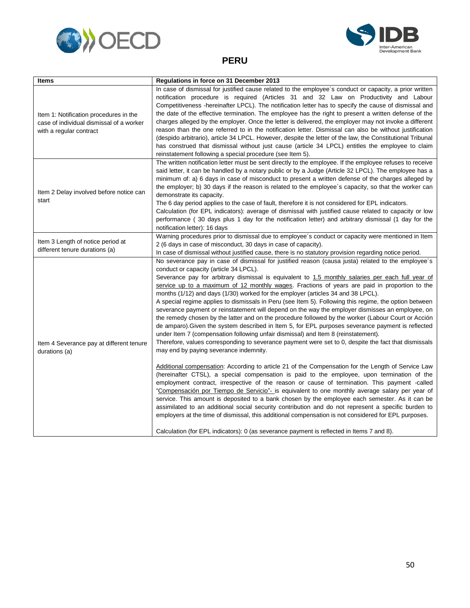<span id="page-52-0"></span>



#### **PERU**

| Items                                                                                                         | Regulations in force on 31 December 2013                                                                                                                                                                                                                                                                                                                                                                                                                                                                                                                                                                                                                                                                                                                                                                                                                                                                                                                                                                                                                                                                                                                                                                                                                                                                                                                                                                                                                                                                                                                                                                                                                                                                                                                                                                                          |
|---------------------------------------------------------------------------------------------------------------|-----------------------------------------------------------------------------------------------------------------------------------------------------------------------------------------------------------------------------------------------------------------------------------------------------------------------------------------------------------------------------------------------------------------------------------------------------------------------------------------------------------------------------------------------------------------------------------------------------------------------------------------------------------------------------------------------------------------------------------------------------------------------------------------------------------------------------------------------------------------------------------------------------------------------------------------------------------------------------------------------------------------------------------------------------------------------------------------------------------------------------------------------------------------------------------------------------------------------------------------------------------------------------------------------------------------------------------------------------------------------------------------------------------------------------------------------------------------------------------------------------------------------------------------------------------------------------------------------------------------------------------------------------------------------------------------------------------------------------------------------------------------------------------------------------------------------------------|
| Item 1: Notification procedures in the<br>case of individual dismissal of a worker<br>with a regular contract | In case of dismissal for justified cause related to the employee's conduct or capacity, a prior written<br>notification procedure is required (Articles 31 and 32 Law on Productivity and Labour<br>Competitiveness - hereinafter LPCL). The notification letter has to specify the cause of dismissal and<br>the date of the effective termination. The employee has the right to present a written defense of the<br>charges alleged by the employer. Once the letter is delivered, the employer may not invoke a different<br>reason than the one referred to in the notification letter. Dismissal can also be without justification<br>(despido arbitrario), article 34 LPCL. However, despite the letter of the law, the Constitutional Tribunal<br>has construed that dismissal without just cause (article 34 LPCL) entitles the employee to claim<br>reinstatement following a special procedure (see Item 5).                                                                                                                                                                                                                                                                                                                                                                                                                                                                                                                                                                                                                                                                                                                                                                                                                                                                                                           |
| Item 2 Delay involved before notice can<br>start                                                              | The written notification letter must be sent directly to the employee. If the employee refuses to receive<br>said letter, it can be handled by a notary public or by a Judge (Article 32 LPCL). The employee has a<br>minimum of: a) 6 days in case of misconduct to present a written defense of the charges alleged by<br>the employer; b) 30 days if the reason is related to the employee's capacity, so that the worker can<br>demonstrate its capacity.<br>The 6 day period applies to the case of fault, therefore it is not considered for EPL indicators.<br>Calculation (for EPL indicators): average of dismissal with justified cause related to capacity or low<br>performance (30 days plus 1 day for the notification letter) and arbitrary dismissal (1 day for the<br>notification letter): 16 days                                                                                                                                                                                                                                                                                                                                                                                                                                                                                                                                                                                                                                                                                                                                                                                                                                                                                                                                                                                                              |
| Item 3 Length of notice period at<br>different tenure durations (a)                                           | Warning procedures prior to dismissal due to employee's conduct or capacity were mentioned in Item<br>2 (6 days in case of misconduct, 30 days in case of capacity).<br>In case of dismissal without justified cause, there is no statutory provision regarding notice period.                                                                                                                                                                                                                                                                                                                                                                                                                                                                                                                                                                                                                                                                                                                                                                                                                                                                                                                                                                                                                                                                                                                                                                                                                                                                                                                                                                                                                                                                                                                                                    |
| Item 4 Severance pay at different tenure<br>durations (a)                                                     | No severance pay in case of dismissal for justified reason (causa justa) related to the employee's<br>conduct or capacity (article 34 LPCL).<br>Severance pay for arbitrary dismissal is equivalent to 1.5 monthly salaries per each full year of<br>service up to a maximum of 12 monthly wages. Fractions of years are paid in proportion to the<br>months (1/12) and days (1/30) worked for the employer (articles 34 and 38 LPCL).<br>A special regime applies to dismissals in Peru (see Item 5). Following this regime, the option between<br>severance payment or reinstatement will depend on the way the employer dismisses an employee, on<br>the remedy chosen by the latter and on the procedure followed by the worker (Labour Court or Acción<br>de amparo). Given the system described in Item 5, for EPL purposes severance payment is reflected<br>under Item 7 (compensation following unfair dismissal) and Item 8 (reinstatement).<br>Therefore, values corresponding to severance payment were set to 0, despite the fact that dismissals<br>may end by paying severance indemnity.<br>Additional compensation: According to article 21 of the Compensation for the Length of Service Law<br>(hereinafter CTSL), a special compensation is paid to the employee, upon termination of the<br>employment contract, irrespective of the reason or cause of termination. This payment -called<br>"Compensación por Tiempo de Servicio"- is equivalent to one monthly average salary per year of<br>service. This amount is deposited to a bank chosen by the employee each semester. As it can be<br>assimilated to an additional social security contribution and do not represent a specific burden to<br>employers at the time of dismissal, this additional compensation is not considered for EPL purposes. |
|                                                                                                               | Calculation (for EPL indicators): 0 (as severance payment is reflected in Items 7 and 8).                                                                                                                                                                                                                                                                                                                                                                                                                                                                                                                                                                                                                                                                                                                                                                                                                                                                                                                                                                                                                                                                                                                                                                                                                                                                                                                                                                                                                                                                                                                                                                                                                                                                                                                                         |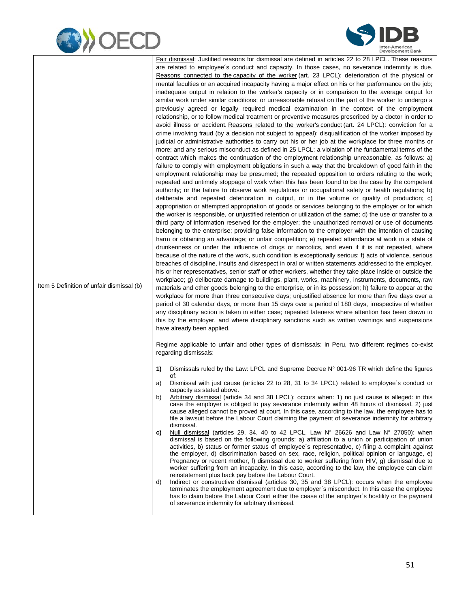



Item 5 Definition of unfair dismissal (b) Fair dismissal: Justified reasons for dismissal are defined in articles 22 to 28 LPCL. These reasons are related to employee´s conduct and capacity. In those cases, no severance indemnity is due. Reasons connected to the capacity of the worker (art. 23 LPCL): deterioration of the physical or mental faculties or an acquired incapacity having a major effect on his or her performance on the job; inadequate output in relation to the worker's capacity or in comparison to the average output for similar work under similar conditions; or unreasonable refusal on the part of the worker to undergo a previously agreed or legally required medical examination in the context of the employment relationship, or to follow medical treatment or preventive measures prescribed by a doctor in order to avoid illness or accident. Reasons related to the worker's conduct (art. 24 LPCL): conviction for a crime involving fraud (by a decision not subject to appeal); disqualification of the worker imposed by judicial or administrative authorities to carry out his or her job at the workplace for three months or more; and any serious misconduct as defined in 25 LPCL: a violation of the fundamental terms of the contract which makes the continuation of the employment relationship unreasonable, as follows: a) failure to comply with employment obligations in such a way that the breakdown of good faith in the employment relationship may be presumed; the repeated opposition to orders relating to the work; repeated and untimely stoppage of work when this has been found to be the case by the competent authority; or the failure to observe work regulations or occupational safety or health regulations; b) deliberate and repeated deterioration in output, or in the volume or quality of production; c) appropriation or attempted appropriation of goods or services belonging to the employer or for which the worker is responsible, or unjustified retention or utilization of the same; d) the use or transfer to a third party of information reserved for the employer; the unauthorized removal or use of documents belonging to the enterprise; providing false information to the employer with the intention of causing harm or obtaining an advantage; or unfair competition; e) repeated attendance at work in a state of drunkenness or under the influence of drugs or narcotics, and even if it is not repeated, where because of the nature of the work, such condition is exceptionally serious; f) acts of violence, serious breaches of discipline, insults and disrespect in oral or written statements addressed to the employer, his or her representatives, senior staff or other workers, whether they take place inside or outside the workplace; g) deliberate damage to buildings, plant, works, machinery, instruments, documents, raw materials and other goods belonging to the enterprise, or in its possession; h) failure to appear at the workplace for more than three consecutive days; unjustified absence for more than five days over a period of 30 calendar days, or more than 15 days over a period of 180 days, irrespective of whether any disciplinary action is taken in either case; repeated lateness where attention has been drawn to this by the employer, and where disciplinary sanctions such as written warnings and suspensions have already been applied.

> Regime applicable to unfair and other types of dismissals: in Peru, two different regimes co-exist regarding dismissals:

- **1)** Dismissals ruled by the Law: LPCL and Supreme Decree N° 001-96 TR which define the figures of:
- a) Dismissal with just cause (articles 22 to 28, 31 to 34 LPCL) related to employee´s conduct or capacity as stated above.
- b) Arbitrary dismissal (article 34 and 38 LPCL): occurs when: 1) no just cause is alleged: in this case the employer is obliged to pay severance indemnity within 48 hours of dismissal. 2) just cause alleged cannot be proved at court. In this case, according to the law, the employee has to file a lawsuit before the Labour Court claiming the payment of severance indemnity for arbitrary dismissal.
- **c)** Null dismissal (articles 29, 34, 40 to 42 LPCL, Law N° 26626 and Law N° 27050): when dismissal is based on the following grounds: a) affiliation to a union or participation of union activities, b) status or former status of employee´s representative, c) filing a complaint against the employer, d) discrimination based on sex, race, religion, political opinion or language, e) Pregnancy or recent mother, f) dismissal due to worker suffering from HIV, g) dismissal due to worker suffering from an incapacity. In this case, according to the law, the employee can claim reinstatement plus back pay before the Labour Court.
- d) Indirect or constructive dismissal (articles 30, 35 and 38 LPCL): occurs when the employee terminates the employment agreement due to employer´s misconduct. In this case the employee has to claim before the Labour Court either the cease of the employer´s hostility or the payment of severance indemnity for arbitrary dismissal.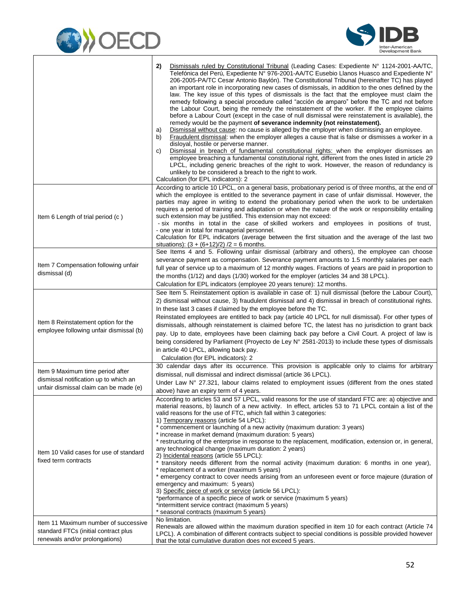



|                                                                                                                     | Dismissals ruled by Constitutional Tribunal (Leading Cases: Expediente N° 1124-2001-AA/TC,<br>2)<br>Telefónica del Perú, Expediente Nº 976-2001-AA/TC Eusebio Llanos Huasco and Expediente Nº<br>206-2005-PA/TC Cesar Antonio Baylón). The Constitutional Tribunal (hereinafter TC) has played<br>an important role in incorporating new cases of dismissals, in addition to the ones defined by the<br>law. The key issue of this types of dismissals is the fact that the employee must claim the<br>remedy following a special procedure called "acción de amparo" before the TC and not before<br>the Labour Court, being the remedy the reinstatement of the worker. If the employee claims<br>before a Labour Court (except in the case of null dismissal were reinstatement is available), the<br>remedy would be the payment of severance indemnity (not reinstatement).<br>Dismissal without cause: no cause is alleged by the employer when dismissing an employee.<br>a)<br>Fraudulent dismissal: when the employer alleges a cause that is false or dismisses a worker in a<br>b)<br>disloyal, hostile or perverse manner.<br>Dismissal in breach of fundamental constitutional rights: when the employer dismisses an<br>C)<br>employee breaching a fundamental constitutional right, different from the ones listed in article 29<br>LPCL, including generic breaches of the right to work. However, the reason of redundancy is<br>unlikely to be considered a breach to the right to work.<br>Calculation (for EPL indicators): 2 |
|---------------------------------------------------------------------------------------------------------------------|---------------------------------------------------------------------------------------------------------------------------------------------------------------------------------------------------------------------------------------------------------------------------------------------------------------------------------------------------------------------------------------------------------------------------------------------------------------------------------------------------------------------------------------------------------------------------------------------------------------------------------------------------------------------------------------------------------------------------------------------------------------------------------------------------------------------------------------------------------------------------------------------------------------------------------------------------------------------------------------------------------------------------------------------------------------------------------------------------------------------------------------------------------------------------------------------------------------------------------------------------------------------------------------------------------------------------------------------------------------------------------------------------------------------------------------------------------------------------------------------------------------------------------------------------|
| Item 6 Length of trial period (c)                                                                                   | According to article 10 LPCL, on a general basis, probationary period is of three months, at the end of<br>which the employee is entitled to the severance payment in case of unfair dismissal. However, the<br>parties may agree in writing to extend the probationary period when the work to be undertaken<br>requires a period of training and adaptation or when the nature of the work or responsibility entailing<br>such extension may be justified. This extension may not exceed:<br>- six months in total in the case of skilled workers and employees in positions of trust,<br>- one year in total for managerial personnel.<br>Calculation for EPL indicators (average between the first situation and the average of the last two<br>situations): $(3 + (6+12)/2)$ /2 = 6 months.                                                                                                                                                                                                                                                                                                                                                                                                                                                                                                                                                                                                                                                                                                                                                  |
| Item 7 Compensation following unfair<br>dismissal (d)                                                               | See Items 4 and 5. Following unfair dismissal (arbitrary and others), the employee can choose<br>severance payment as compensation. Severance payment amounts to 1.5 monthly salaries per each<br>full year of service up to a maximum of 12 monthly wages. Fractions of years are paid in proportion to<br>the months (1/12) and days (1/30) worked for the employer (articles 34 and 38 LPCL).<br>Calculation for EPL indicators (employee 20 years tenure): 12 months.                                                                                                                                                                                                                                                                                                                                                                                                                                                                                                                                                                                                                                                                                                                                                                                                                                                                                                                                                                                                                                                                         |
| Item 8 Reinstatement option for the<br>employee following unfair dismissal (b)                                      | See Item 5. Reinstatement option is available in case of: 1) null dismissal (before the Labour Court),<br>2) dismissal without cause, 3) fraudulent dismissal and 4) dismissal in breach of constitutional rights.<br>In these last 3 cases if claimed by the employee before the TC.<br>Reinstated employees are entitled to back pay (article 40 LPCL for null dismissal). For other types of<br>dismissals, although reinstatement is claimed before TC, the latest has no jurisdiction to grant back<br>pay. Up to date, employees have been claiming back pay before a Civil Court. A project of law is<br>being considered by Parliament (Proyecto de Ley N° 2581-2013) to include these types of dismissals<br>in article 40 LPCL, allowing back pay.<br>Calculation (for EPL indicators): 2                                                                                                                                                                                                                                                                                                                                                                                                                                                                                                                                                                                                                                                                                                                                               |
| Item 9 Maximum time period after<br>dismissal notification up to which an<br>unfair dismissal claim can be made (e) | 30 calendar days after its occurrence. This provision is applicable only to claims for arbitrary<br>dismissal, null dismissal and indirect dismissal (article 36 LPCL).<br>Under Law N° 27.321, labour claims related to employment issues (different from the ones stated<br>above) have an expiry term of 4 years.                                                                                                                                                                                                                                                                                                                                                                                                                                                                                                                                                                                                                                                                                                                                                                                                                                                                                                                                                                                                                                                                                                                                                                                                                              |
| Item 10 Valid cases for use of standard<br>fixed term contracts                                                     | According to articles 53 and 57 LPCL, valid reasons for the use of standard FTC are: a) objective and<br>material reasons, b) launch of a new activity. In effect, articles 53 to 71 LPCL contain a list of the<br>valid reasons for the use of FTC, which fall within 3 categories:<br>1) Temporary reasons (article 54 LPCL):<br>* commencement or launching of a new activity (maximum duration: 3 years)<br>* increase in market demand (maximum duration: 5 years)<br>* restructuring of the enterprise in response to the replacement, modification, extension or, in general,<br>any technological change (maximum duration: 2 years)<br>2) Incidental reasons (article 55 LPCL):<br>* transitory needs different from the normal activity (maximum duration: 6 months in one year),<br>* replacement of a worker (maximum 5 years)<br>* emergency contract to cover needs arising from an unforeseen event or force majeure (duration of<br>emergency and maximum: 5 years)<br>3) Specific piece of work or service (article 56 LPCL):<br>*performance of a specific piece of work or service (maximum 5 years)<br>*intermittent service contract (maximum 5 years)<br>* seasonal contracts (maximum 5 years)                                                                                                                                                                                                                                                                                                                             |
| Item 11 Maximum number of successive<br>standard FTCs (initial contract plus<br>renewals and/or prolongations)      | No limitation.<br>Renewals are allowed within the maximum duration specified in item 10 for each contract (Article 74<br>LPCL). A combination of different contracts subject to special conditions is possible provided however<br>that the total cumulative duration does not exceed 5 years.                                                                                                                                                                                                                                                                                                                                                                                                                                                                                                                                                                                                                                                                                                                                                                                                                                                                                                                                                                                                                                                                                                                                                                                                                                                    |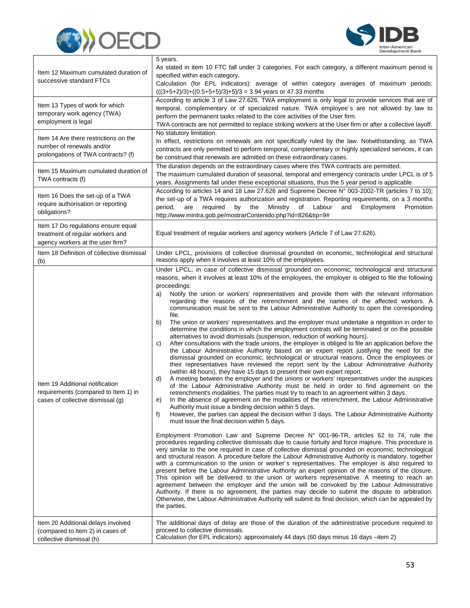



| Item 13 Types of work for which<br>temporal, complementary or of specialized nature. TWA employee's are not allowed by law to<br>temporary work agency (TWA)<br>perform the permanent tasks related to the core activities of the User firm.<br>employment is legal<br>TWA contracts are not permitted to replace striking workers at the User firm or after a collective layoff.<br>No statutory limitation.<br>Item 14 Are there restrictions on the<br>In effect, restrictions on renewals are not specifically ruled by the law. Notwithstanding, as TWA<br>number of renewals and/or<br>contracts are only permitted to perform temporal, complementary or highly specialized services, it can<br>prolongations of TWA contracts? (f)<br>be construed that renewals are admitted on these extraordinary cases.<br>The duration depends on the extraordinary cases where this TWA contracts are permitted.<br>Item 15 Maximum cumulated duration of<br>The maximum cumulated duration of seasonal, temporal and emergency contracts under LPCL is of 5<br>TWA contracts (f)<br>years. Assignments fall under these exceptional situations, thus the 5 year period is applicable.<br>According to articles 14 and 18 Law 27.626 and Supreme Decree N° 003-2002-TR (articles 7 to 10);<br>Item 16 Does the set-up of a TWA<br>the set-up of a TWA requires authorization and registration. Reporting requirements, on a 3 months<br>require authorisation or reporting<br>period,<br>required<br>the<br>Ministry<br>of<br>Labour<br>are<br>by<br>and<br>Employment<br>Promotion<br>obligations?<br>http://www.mintra.gob.pe/mostrarContenido.php?id=826&tip=9#<br>Item 17 Do regulations ensure equal<br>Equal treatment of regular workers and agency workers (Article 7 of Law 27.626).<br>treatment of regular workers and<br>agency workers at the user firm?<br>Under LPCL, provisions of collective dismissal grounded on economic, technological and structural<br>Item 18 Definition of collective dismissal<br>reasons apply when it involves at least 10% of the employees.<br>(b)<br>Under LPCL, in case of collective dismissal grounded on economic, technological and structural<br>reasons, when it involves at least 10% of the employees, the employer is obliged to file the following<br>proceedings:<br>Notify the union or workers' representatives and provide them with the relevant information<br>a)<br>regarding the reasons of the retrenchment and the names of the affected workers. A<br>communication must be sent to the Labour Administrative Authority to open the corresponding<br>file.<br>The union or workers' representatives and the employer must undertake a negotition in order to<br>b)<br>determine the conditions in which the employment contrats will be terminated or on the possible<br>alternatives to avoid dismissals (suspension, reduction of working hours).<br>After consultations with the trade unions, the employer is obliged to file an application before the<br>C)<br>the Labour Administrative Authority based on an expert report justifying the need for the<br>dismissal grounded on economic, technological or structural reasons. Once the employees or<br>their representatives have reviewed the report sent by the Labour Administrative Authority<br>(within 48 hours), they have 15 days to present their own expert report.<br>A meeting between the employer and the unions or workers' representatives under the auspices<br>d)<br>Item 19 Additional notification<br>of the Labour Administrative Authority must be held in order to find agreement on the<br>requirements (compared to Item 1) in<br>retrenchment's modalities. The parties must try to reach to an agreement within 3 days.<br>cases of collective dismissal (g)<br>In the absence of agreement on the modalities of the retrenchment, the Labour Administrative<br>e)<br>Authority must issue a binding decision within 5 days.<br>However, the parties can appeal the decision within 3 days. The Labour Administrative Authority<br>f)<br>must issue the final decision within 5 days.<br>Employment Promotion Law and Supreme Decree $N^{\circ}$ 001-96-TR, articles 62 to 74, rule the<br>procedures regarding collective dismissals due to cause fortuity and force majeure. This procedure is<br>very similar to the one required in case of collective dismissal grounded on economic, technological<br>and structural reason. A procedure before the Labour Administrative Authority is mandatory, together<br>with a communication to the union or worker's representatives. The employer is also required to<br>present before the Labour Administrative Authority an expert opinion of the reasons of the closure.<br>This opinion will be delivered to the union or workers representative. A meeting to reach an<br>agreement between the employer and the union will be convoked by the Labour Administrative<br>Authority. If there is no agreement, the parties may decide to submit the dispute to arbitration.<br>Otherwise, the Labour Administrative Authority will submit its final decision, which can be appealed by<br>the parties.<br>Item 20 Additional delays involved<br>The additional days of delay are those of the duration of the administrative procedure required to<br>proceed to collective dismissals.<br>(compared to Item 2) in cases of<br>Calculation (for EPL indicators): approximately 44 days (60 days minus 16 days -item 2)<br>collective dismissal (h) | Item 12 Maximum cumulated duration of<br>successive standard FTCs | 5 years.<br>As stated in item 10 FTC fall under 3 categories. For each category, a different maximum period is<br>specified within each category.<br>Calculation (for EPL indicators): average of within category averages of maximum periods:<br>$(((3+5+2)/3)+((0.5+5+5)/3)+5)/3 = 3.94$ years or 47.33 months<br>According to article 3 of Law 27.626, TWA employment is only legal to provide services that are of |
|-------------------------------------------------------------------------------------------------------------------------------------------------------------------------------------------------------------------------------------------------------------------------------------------------------------------------------------------------------------------------------------------------------------------------------------------------------------------------------------------------------------------------------------------------------------------------------------------------------------------------------------------------------------------------------------------------------------------------------------------------------------------------------------------------------------------------------------------------------------------------------------------------------------------------------------------------------------------------------------------------------------------------------------------------------------------------------------------------------------------------------------------------------------------------------------------------------------------------------------------------------------------------------------------------------------------------------------------------------------------------------------------------------------------------------------------------------------------------------------------------------------------------------------------------------------------------------------------------------------------------------------------------------------------------------------------------------------------------------------------------------------------------------------------------------------------------------------------------------------------------------------------------------------------------------------------------------------------------------------------------------------------------------------------------------------------------------------------------------------------------------------------------------------------------------------------------------------------------------------------------------------------------------------------------------------------------------------------------------------------------------------------------------------------------------------------------------------------------------------------------------------------------------------------------------------------------------------------------------------------------------------------------------------------------------------------------------------------------------------------------------------------------------------------------------------------------------------------------------------------------------------------------------------------------------------------------------------------------------------------------------------------------------------------------------------------------------------------------------------------------------------------------------------------------------------------------------------------------------------------------------------------------------------------------------------------------------------------------------------------------------------------------------------------------------------------------------------------------------------------------------------------------------------------------------------------------------------------------------------------------------------------------------------------------------------------------------------------------------------------------------------------------------------------------------------------------------------------------------------------------------------------------------------------------------------------------------------------------------------------------------------------------------------------------------------------------------------------------------------------------------------------------------------------------------------------------------------------------------------------------------------------------------------------------------------------------------------------------------------------------------------------------------------------------------------------------------------------------------------------------------------------------------------------------------------------------------------------------------------------------------------------------------------------------------------------------------------------------------------------------------------------------------------------------------------------------------------------------------------------------------------------------------------------------------------------------------------------------------------------------------------------------------------------------------------------------------------------------------------------------------------------------------------------------------------------------------------------------------------------------------------------------------------------------------------------------------------------------------------------------------------------------------------------------------------------------------------------------------------------------------------------------------------------------------------|-------------------------------------------------------------------|------------------------------------------------------------------------------------------------------------------------------------------------------------------------------------------------------------------------------------------------------------------------------------------------------------------------------------------------------------------------------------------------------------------------|
|                                                                                                                                                                                                                                                                                                                                                                                                                                                                                                                                                                                                                                                                                                                                                                                                                                                                                                                                                                                                                                                                                                                                                                                                                                                                                                                                                                                                                                                                                                                                                                                                                                                                                                                                                                                                                                                                                                                                                                                                                                                                                                                                                                                                                                                                                                                                                                                                                                                                                                                                                                                                                                                                                                                                                                                                                                                                                                                                                                                                                                                                                                                                                                                                                                                                                                                                                                                                                                                                                                                                                                                                                                                                                                                                                                                                                                                                                                                                                                                                                                                                                                                                                                                                                                                                                                                                                                                                                                                                                                                                                                                                                                                                                                                                                                                                                                                                                                                                                                                                                                                                                                                                                                                                                                                                                                                                                                                                                                                                                                                                                             |                                                                   |                                                                                                                                                                                                                                                                                                                                                                                                                        |
|                                                                                                                                                                                                                                                                                                                                                                                                                                                                                                                                                                                                                                                                                                                                                                                                                                                                                                                                                                                                                                                                                                                                                                                                                                                                                                                                                                                                                                                                                                                                                                                                                                                                                                                                                                                                                                                                                                                                                                                                                                                                                                                                                                                                                                                                                                                                                                                                                                                                                                                                                                                                                                                                                                                                                                                                                                                                                                                                                                                                                                                                                                                                                                                                                                                                                                                                                                                                                                                                                                                                                                                                                                                                                                                                                                                                                                                                                                                                                                                                                                                                                                                                                                                                                                                                                                                                                                                                                                                                                                                                                                                                                                                                                                                                                                                                                                                                                                                                                                                                                                                                                                                                                                                                                                                                                                                                                                                                                                                                                                                                                             |                                                                   |                                                                                                                                                                                                                                                                                                                                                                                                                        |
|                                                                                                                                                                                                                                                                                                                                                                                                                                                                                                                                                                                                                                                                                                                                                                                                                                                                                                                                                                                                                                                                                                                                                                                                                                                                                                                                                                                                                                                                                                                                                                                                                                                                                                                                                                                                                                                                                                                                                                                                                                                                                                                                                                                                                                                                                                                                                                                                                                                                                                                                                                                                                                                                                                                                                                                                                                                                                                                                                                                                                                                                                                                                                                                                                                                                                                                                                                                                                                                                                                                                                                                                                                                                                                                                                                                                                                                                                                                                                                                                                                                                                                                                                                                                                                                                                                                                                                                                                                                                                                                                                                                                                                                                                                                                                                                                                                                                                                                                                                                                                                                                                                                                                                                                                                                                                                                                                                                                                                                                                                                                                             |                                                                   |                                                                                                                                                                                                                                                                                                                                                                                                                        |
|                                                                                                                                                                                                                                                                                                                                                                                                                                                                                                                                                                                                                                                                                                                                                                                                                                                                                                                                                                                                                                                                                                                                                                                                                                                                                                                                                                                                                                                                                                                                                                                                                                                                                                                                                                                                                                                                                                                                                                                                                                                                                                                                                                                                                                                                                                                                                                                                                                                                                                                                                                                                                                                                                                                                                                                                                                                                                                                                                                                                                                                                                                                                                                                                                                                                                                                                                                                                                                                                                                                                                                                                                                                                                                                                                                                                                                                                                                                                                                                                                                                                                                                                                                                                                                                                                                                                                                                                                                                                                                                                                                                                                                                                                                                                                                                                                                                                                                                                                                                                                                                                                                                                                                                                                                                                                                                                                                                                                                                                                                                                                             |                                                                   |                                                                                                                                                                                                                                                                                                                                                                                                                        |
|                                                                                                                                                                                                                                                                                                                                                                                                                                                                                                                                                                                                                                                                                                                                                                                                                                                                                                                                                                                                                                                                                                                                                                                                                                                                                                                                                                                                                                                                                                                                                                                                                                                                                                                                                                                                                                                                                                                                                                                                                                                                                                                                                                                                                                                                                                                                                                                                                                                                                                                                                                                                                                                                                                                                                                                                                                                                                                                                                                                                                                                                                                                                                                                                                                                                                                                                                                                                                                                                                                                                                                                                                                                                                                                                                                                                                                                                                                                                                                                                                                                                                                                                                                                                                                                                                                                                                                                                                                                                                                                                                                                                                                                                                                                                                                                                                                                                                                                                                                                                                                                                                                                                                                                                                                                                                                                                                                                                                                                                                                                                                             |                                                                   |                                                                                                                                                                                                                                                                                                                                                                                                                        |
|                                                                                                                                                                                                                                                                                                                                                                                                                                                                                                                                                                                                                                                                                                                                                                                                                                                                                                                                                                                                                                                                                                                                                                                                                                                                                                                                                                                                                                                                                                                                                                                                                                                                                                                                                                                                                                                                                                                                                                                                                                                                                                                                                                                                                                                                                                                                                                                                                                                                                                                                                                                                                                                                                                                                                                                                                                                                                                                                                                                                                                                                                                                                                                                                                                                                                                                                                                                                                                                                                                                                                                                                                                                                                                                                                                                                                                                                                                                                                                                                                                                                                                                                                                                                                                                                                                                                                                                                                                                                                                                                                                                                                                                                                                                                                                                                                                                                                                                                                                                                                                                                                                                                                                                                                                                                                                                                                                                                                                                                                                                                                             |                                                                   |                                                                                                                                                                                                                                                                                                                                                                                                                        |
|                                                                                                                                                                                                                                                                                                                                                                                                                                                                                                                                                                                                                                                                                                                                                                                                                                                                                                                                                                                                                                                                                                                                                                                                                                                                                                                                                                                                                                                                                                                                                                                                                                                                                                                                                                                                                                                                                                                                                                                                                                                                                                                                                                                                                                                                                                                                                                                                                                                                                                                                                                                                                                                                                                                                                                                                                                                                                                                                                                                                                                                                                                                                                                                                                                                                                                                                                                                                                                                                                                                                                                                                                                                                                                                                                                                                                                                                                                                                                                                                                                                                                                                                                                                                                                                                                                                                                                                                                                                                                                                                                                                                                                                                                                                                                                                                                                                                                                                                                                                                                                                                                                                                                                                                                                                                                                                                                                                                                                                                                                                                                             |                                                                   |                                                                                                                                                                                                                                                                                                                                                                                                                        |
|                                                                                                                                                                                                                                                                                                                                                                                                                                                                                                                                                                                                                                                                                                                                                                                                                                                                                                                                                                                                                                                                                                                                                                                                                                                                                                                                                                                                                                                                                                                                                                                                                                                                                                                                                                                                                                                                                                                                                                                                                                                                                                                                                                                                                                                                                                                                                                                                                                                                                                                                                                                                                                                                                                                                                                                                                                                                                                                                                                                                                                                                                                                                                                                                                                                                                                                                                                                                                                                                                                                                                                                                                                                                                                                                                                                                                                                                                                                                                                                                                                                                                                                                                                                                                                                                                                                                                                                                                                                                                                                                                                                                                                                                                                                                                                                                                                                                                                                                                                                                                                                                                                                                                                                                                                                                                                                                                                                                                                                                                                                                                             |                                                                   |                                                                                                                                                                                                                                                                                                                                                                                                                        |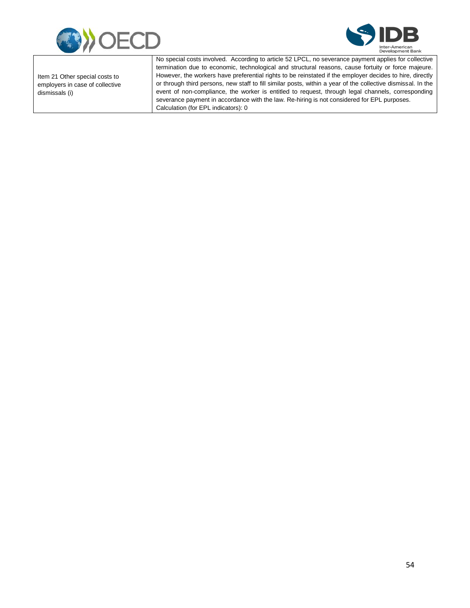



Item 21 Other special costs to employers in case of collective dismissals (i)

No special costs involved. According to article 52 LPCL, no severance payment applies for collective termination due to economic, technological and structural reasons, cause fortuity or force majeure. However, the workers have preferential rights to be reinstated if the employer decides to hire, directly or through third persons, new staff to fill similar posts, within a year of the collective dismissal. In the event of non-compliance, the worker is entitled to request, through legal channels, corresponding severance payment in accordance with the law. Re-hiring is not considered for EPL purposes. Calculation (for EPL indicators): 0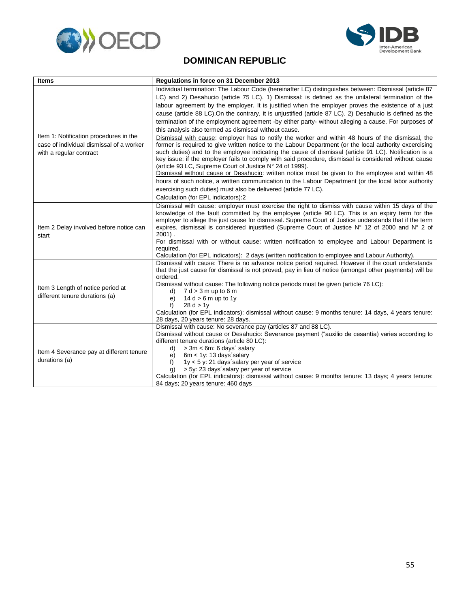



### **DOMINICAN REPUBLIC**

<span id="page-57-0"></span>

| <b>Items</b>                                                                                                  | Regulations in force on 31 December 2013                                                                                                                                                                                                                                                                                                                                                                                                                                                                                                                                                                                                                                                                                                                                                                                                                                                                                                                                                                                                                                                                                                                                                                                                                                                                                                                                                                          |
|---------------------------------------------------------------------------------------------------------------|-------------------------------------------------------------------------------------------------------------------------------------------------------------------------------------------------------------------------------------------------------------------------------------------------------------------------------------------------------------------------------------------------------------------------------------------------------------------------------------------------------------------------------------------------------------------------------------------------------------------------------------------------------------------------------------------------------------------------------------------------------------------------------------------------------------------------------------------------------------------------------------------------------------------------------------------------------------------------------------------------------------------------------------------------------------------------------------------------------------------------------------------------------------------------------------------------------------------------------------------------------------------------------------------------------------------------------------------------------------------------------------------------------------------|
| Item 1: Notification procedures in the<br>case of individual dismissal of a worker<br>with a regular contract | Individual termination: The Labour Code (hereinafter LC) distinguishes between: Dismissal (article 87<br>LC) and 2) Desahucio (article 75 LC). 1) Dismissal: is defined as the unilateral termination of the<br>labour agreement by the employer. It is justified when the employer proves the existence of a just<br>cause (article 88 LC). On the contrary, it is unjustified (article 87 LC). 2) Desahucio is defined as the<br>termination of the employment agreement -by either party- without alleging a cause. For purposes of<br>this analysis also termed as dismissal without cause.<br>Dismissal with cause: employer has to notify the worker and within 48 hours of the dismissal, the<br>former is required to give written notice to the Labour Department (or the local authority excercising<br>such duties) and to the employee indicating the cause of dismissal (article 91 LC). Notification is a<br>key issue: if the employer fails to comply with said procedure, dismissal is considered without cause<br>(article 93 LC, Supreme Court of Justice N° 24 of 1999).<br>Dismissal without cause or Desahucio: written notice must be given to the employee and within 48<br>hours of such notice, a written communication to the Labour Department (or the local labor authority<br>exercising such duties) must also be delivered (article 77 LC).<br>Calculation (for EPL indicators):2 |
| Item 2 Delay involved before notice can<br>start                                                              | Dismissal with cause: employer must exercise the right to dismiss with cause within 15 days of the<br>knowledge of the fault committed by the employee (article 90 LC). This is an expiry term for the<br>employer to allege the just cause for dismissal. Supreme Court of Justice understands that if the term<br>expires, dismissal is considered injustified (Supreme Court of Justice N° 12 of 2000 and N° 2 of<br>$2001$ .<br>For dismissal with or without cause: written notification to employee and Labour Department is<br>required.<br>Calculation (for EPL indicators): 2 days (written notification to employee and Labour Authority).                                                                                                                                                                                                                                                                                                                                                                                                                                                                                                                                                                                                                                                                                                                                                              |
| Item 3 Length of notice period at<br>different tenure durations (a)                                           | Dismissal with cause: There is no advance notice period required. However if the court understands<br>that the just cause for dismissal is not proved, pay in lieu of notice (amongst other payments) will be<br>ordered.<br>Dismissal without cause: The following notice periods must be given (article 76 LC):<br>$7 d > 3 m$ up to 6 m<br>d)<br>$14 d > 6 m$ up to 1y<br>e)<br>f)<br>28 d > 1v<br>Calculation (for EPL indicators): dismissal without cause: 9 months tenure: 14 days, 4 years tenure:<br>28 days, 20 years tenure: 28 days.                                                                                                                                                                                                                                                                                                                                                                                                                                                                                                                                                                                                                                                                                                                                                                                                                                                                  |
| Item 4 Severance pay at different tenure<br>durations (a)                                                     | Dismissal with cause: No severance pay (articles 87 and 88 LC).<br>Dismissal without cause or Desahucio: Severance payment ("auxilio de cesantía) varies according to<br>different tenure durations (article 80 LC):<br>$> 3m < 6m$ : 6 days' salary<br>d)<br>$6m < 1y$ : 13 days salary<br>e)<br>1y < 5 y: 21 days salary per year of service<br>$f$ )<br>> 5y: 23 days salary per year of service<br>a)<br>Calculation (for EPL indicators): dismissal without cause: 9 months tenure: 13 days; 4 years tenure:<br>84 days; 20 years tenure: 460 days                                                                                                                                                                                                                                                                                                                                                                                                                                                                                                                                                                                                                                                                                                                                                                                                                                                           |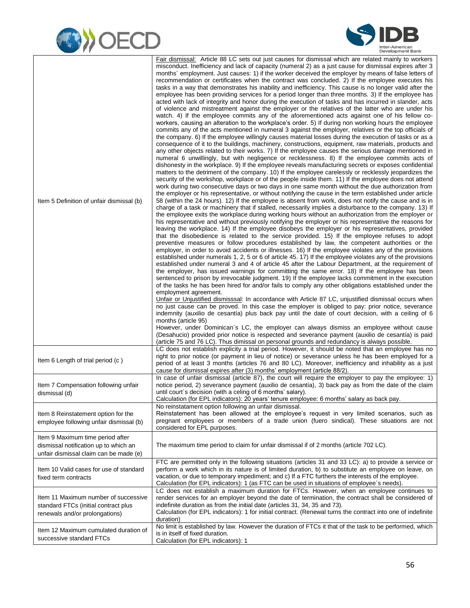



| Item 5 Definition of unfair dismissal (b)                                                                           | Fair dismissal: Article 88 LC sets out just causes for dismissal which are related mainly to workers<br>misconduct. Inefficiency and lack of capacity (numeral 2) as a just cause for dismissal expires after 3<br>months' employment. Just causes: 1) if the worker deceived the employer by means of false letters of<br>recommendation or certificates when the contract was concluded. 2) If the employee executes his<br>tasks in a way that demonstrates his inability and inefficiency. This cause is no longer valid after the<br>employee has been providing services for a period longer than three months. 3) If the employee has<br>acted with lack of integrity and honor during the execution of tasks and has incurred in slander, acts<br>of violence and mistreatment against the employer or the relatives of the latter who are under his<br>watch. 4) If the employee commits any of the aforementioned acts against one of his fellow co-<br>workers, causing an alteration to the workplace's order. 5) If during non working hours the employee<br>commits any of the acts mentioned in numeral 3 against the employer, relatives or the top officials of<br>the company. 6) If the employee willingly causes material losses during the execution of tasks or as a<br>consequence of it to the buildings, machinery, constructions, equipment, raw materials, products and<br>any other objects related to their works. 7) If the employee causes the serious damage mentioned in<br>numeral 6 unwillingly, but with negligence or recklessness. 8) If the employee commits acts of<br>dishonesty in the workplace. 9) If the employee reveals manufacturing secrets or exposes confidential<br>matters to the detriment of the company. 10) If the employee carelessly or recklessly jeopardizes the<br>security of the workshop, workplace or of the people inside them. 11) If the employee does not attend<br>work during two consecutive days or two days in one same month without the due authorization from<br>the employer or his representative, or without notifying the cause in the term established under article<br>58 (within the 24 hours). 12) If the employee is absent from work, does not notify the cause and is in<br>charge of a task or machinery that if stalled, necessarily implies a disturbance to the company. 13) If<br>the employee exits the workplace during working hours without an authorization from the employer or<br>his representative and without previously notifying the employer or his representative the reasons for<br>leaving the workplace. 14) If the employee disobeys the employer or his representatives, provided<br>that the disobedience is related to the service provided. 15) If the employee refuses to adopt<br>preventive measures or follow procedures established by law, the competent authorities or the<br>employer, in order to avoid accidents or illnesses. 16) If the employee violates any of the provisions<br>established under numerals 1, 2, 5 or 6 of article 45. 17) If the employee violates any of the provisions<br>established under numeral 3 and 4 of article 45 after the Labour Department, at the requirement of<br>the employer, has issued warnings for committing the same error. 18) If the employee has been<br>sentenced to prison by irrevocable judgment. 19) If the employee lacks commitment in the execution<br>of the tasks he has been hired for and/or fails to comply any other obligations established under the<br>employment agreement.<br>Unfair or Unjustified dismisssal: In accordance with Article 87 LC, unjustified dismissal occurs when<br>no just cause can be proved. In this case the employer is obliged to pay: prior notice, severance<br>indemnity (auxilio de cesantía) plus back pay until the date of court decision, with a ceiling of 6<br>months (article 95)<br>However, under Dominican's LC, the employer can always dismiss an employee without cause<br>(Desahucio) provided prior notice is respected and severance payment (auxilio de cesantía) is paid<br>(article 75 and 76 LC). Thus dimissal on personal grounds and redundancy is always possible. |
|---------------------------------------------------------------------------------------------------------------------|---------------------------------------------------------------------------------------------------------------------------------------------------------------------------------------------------------------------------------------------------------------------------------------------------------------------------------------------------------------------------------------------------------------------------------------------------------------------------------------------------------------------------------------------------------------------------------------------------------------------------------------------------------------------------------------------------------------------------------------------------------------------------------------------------------------------------------------------------------------------------------------------------------------------------------------------------------------------------------------------------------------------------------------------------------------------------------------------------------------------------------------------------------------------------------------------------------------------------------------------------------------------------------------------------------------------------------------------------------------------------------------------------------------------------------------------------------------------------------------------------------------------------------------------------------------------------------------------------------------------------------------------------------------------------------------------------------------------------------------------------------------------------------------------------------------------------------------------------------------------------------------------------------------------------------------------------------------------------------------------------------------------------------------------------------------------------------------------------------------------------------------------------------------------------------------------------------------------------------------------------------------------------------------------------------------------------------------------------------------------------------------------------------------------------------------------------------------------------------------------------------------------------------------------------------------------------------------------------------------------------------------------------------------------------------------------------------------------------------------------------------------------------------------------------------------------------------------------------------------------------------------------------------------------------------------------------------------------------------------------------------------------------------------------------------------------------------------------------------------------------------------------------------------------------------------------------------------------------------------------------------------------------------------------------------------------------------------------------------------------------------------------------------------------------------------------------------------------------------------------------------------------------------------------------------------------------------------------------------------------------------------------------------------------------------------------------------------------------------------------------------------------------------------------------------------------------------------------------------------------------------------------------------------------------------------------------------------------------------------------------------------------------------------------------------------------------------------------------------------------------------------------------------------------------------------------------------------------------|
| Item 6 Length of trial period (c)                                                                                   | LC does not establish explicity a trial period. However, it should be noted that an employee has no<br>right to prior notice (or payment in lieu of notice) or severance unless he has been employed for a<br>period of at least 3 months (articles 76 and 80 LC). Moreover, inefficiency and inhability as a just<br>cause for dismissal expires after (3) months' employment (article 88/2).                                                                                                                                                                                                                                                                                                                                                                                                                                                                                                                                                                                                                                                                                                                                                                                                                                                                                                                                                                                                                                                                                                                                                                                                                                                                                                                                                                                                                                                                                                                                                                                                                                                                                                                                                                                                                                                                                                                                                                                                                                                                                                                                                                                                                                                                                                                                                                                                                                                                                                                                                                                                                                                                                                                                                                                                                                                                                                                                                                                                                                                                                                                                                                                                                                                                                                                                                                                                                                                                                                                                                                                                                                                                                                                                                                                                                            |
| Item 7 Compensation following unfair<br>dismissal (d)                                                               | In case of unfair dismissal (article 87), the court will require the employer to pay the employee: 1)<br>notice period, 2) severance payment (auxilio de cesantía), 3) back pay as from the date of the claim<br>until court's decision (with a celing of 6 months' salary).<br>Calculation (for EPL indicators): 20 years' tenure employee: 6 months' salary as back pay.                                                                                                                                                                                                                                                                                                                                                                                                                                                                                                                                                                                                                                                                                                                                                                                                                                                                                                                                                                                                                                                                                                                                                                                                                                                                                                                                                                                                                                                                                                                                                                                                                                                                                                                                                                                                                                                                                                                                                                                                                                                                                                                                                                                                                                                                                                                                                                                                                                                                                                                                                                                                                                                                                                                                                                                                                                                                                                                                                                                                                                                                                                                                                                                                                                                                                                                                                                                                                                                                                                                                                                                                                                                                                                                                                                                                                                                |
| Item 8 Reinstatement option for the<br>employee following unfair dismissal (b)                                      | No reinstatament option following an unfair dismissal.<br>Reinstatement has been allowed at the employee's request in very limited scenarios, such as<br>pregnant employees or members of a trade union (fuero sindical). These situations are not<br>considered for EPL purposes.                                                                                                                                                                                                                                                                                                                                                                                                                                                                                                                                                                                                                                                                                                                                                                                                                                                                                                                                                                                                                                                                                                                                                                                                                                                                                                                                                                                                                                                                                                                                                                                                                                                                                                                                                                                                                                                                                                                                                                                                                                                                                                                                                                                                                                                                                                                                                                                                                                                                                                                                                                                                                                                                                                                                                                                                                                                                                                                                                                                                                                                                                                                                                                                                                                                                                                                                                                                                                                                                                                                                                                                                                                                                                                                                                                                                                                                                                                                                        |
| Item 9 Maximum time period after<br>dismissal notification up to which an<br>unfair dismissal claim can be made (e) | The maximum time period to claim for unfair dismissal if of 2 months (article 702 LC).                                                                                                                                                                                                                                                                                                                                                                                                                                                                                                                                                                                                                                                                                                                                                                                                                                                                                                                                                                                                                                                                                                                                                                                                                                                                                                                                                                                                                                                                                                                                                                                                                                                                                                                                                                                                                                                                                                                                                                                                                                                                                                                                                                                                                                                                                                                                                                                                                                                                                                                                                                                                                                                                                                                                                                                                                                                                                                                                                                                                                                                                                                                                                                                                                                                                                                                                                                                                                                                                                                                                                                                                                                                                                                                                                                                                                                                                                                                                                                                                                                                                                                                                    |
| Item 10 Valid cases for use of standard<br>fixed term contracts                                                     | FTC are permitted only in the following situations (articles 31 and 33 LC): a) to provide a service or<br>perform a work which in its nature is of limited duration, b) to substitute an employee on leave, on<br>vacation, or due to temporary impediment; and c) If a FTC furthers the interests of the employee.<br>Calculation (for EPL indicators): 1 (as FTC can be used in situations of employee's needs).                                                                                                                                                                                                                                                                                                                                                                                                                                                                                                                                                                                                                                                                                                                                                                                                                                                                                                                                                                                                                                                                                                                                                                                                                                                                                                                                                                                                                                                                                                                                                                                                                                                                                                                                                                                                                                                                                                                                                                                                                                                                                                                                                                                                                                                                                                                                                                                                                                                                                                                                                                                                                                                                                                                                                                                                                                                                                                                                                                                                                                                                                                                                                                                                                                                                                                                                                                                                                                                                                                                                                                                                                                                                                                                                                                                                        |
| Item 11 Maximum number of successive<br>standard FTCs (initial contract plus<br>renewals and/or prolongations)      | LC does not establish a maximum duration for FTCs. However, when an employee continues to<br>render services for an employer beyond the date of termination, the contract shall be considered of<br>indefinite duration as from the initial date (articles 31, 34, 35 and 73).<br>Calculation (for EPL indicators): 1 for initial contract. (Renewal turns the contract into one of indefinite<br>duration)                                                                                                                                                                                                                                                                                                                                                                                                                                                                                                                                                                                                                                                                                                                                                                                                                                                                                                                                                                                                                                                                                                                                                                                                                                                                                                                                                                                                                                                                                                                                                                                                                                                                                                                                                                                                                                                                                                                                                                                                                                                                                                                                                                                                                                                                                                                                                                                                                                                                                                                                                                                                                                                                                                                                                                                                                                                                                                                                                                                                                                                                                                                                                                                                                                                                                                                                                                                                                                                                                                                                                                                                                                                                                                                                                                                                               |
| Item 12 Maximum cumulated duration of<br>successive standard FTCs                                                   | No limit is established by law. However the duration of FTCs it that of the task to be performed, which<br>is in itself of fixed duration.<br>Calculation (for EPL indicators): 1                                                                                                                                                                                                                                                                                                                                                                                                                                                                                                                                                                                                                                                                                                                                                                                                                                                                                                                                                                                                                                                                                                                                                                                                                                                                                                                                                                                                                                                                                                                                                                                                                                                                                                                                                                                                                                                                                                                                                                                                                                                                                                                                                                                                                                                                                                                                                                                                                                                                                                                                                                                                                                                                                                                                                                                                                                                                                                                                                                                                                                                                                                                                                                                                                                                                                                                                                                                                                                                                                                                                                                                                                                                                                                                                                                                                                                                                                                                                                                                                                                         |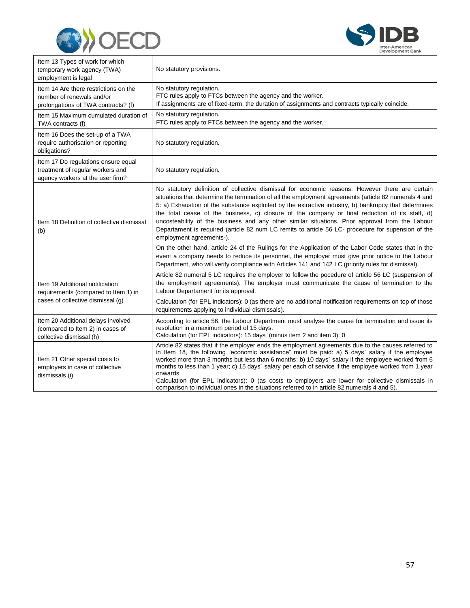



| Item 13 Types of work for which<br>temporary work agency (TWA)<br>employment is legal                        | No statutory provisions.                                                                                                                                                                                                                                                                                                                                                                                                                                                                                                                                                                                                                                |
|--------------------------------------------------------------------------------------------------------------|---------------------------------------------------------------------------------------------------------------------------------------------------------------------------------------------------------------------------------------------------------------------------------------------------------------------------------------------------------------------------------------------------------------------------------------------------------------------------------------------------------------------------------------------------------------------------------------------------------------------------------------------------------|
| Item 14 Are there restrictions on the<br>number of renewals and/or<br>prolongations of TWA contracts? (f)    | No statutory regulation.<br>FTC rules apply to FTCs between the agency and the worker.<br>If assignments are of fixed-term, the duration of assignments and contracts typically coincide.                                                                                                                                                                                                                                                                                                                                                                                                                                                               |
| Item 15 Maximum cumulated duration of<br>TWA contracts (f)                                                   | No statutory regulation.<br>FTC rules apply to FTCs between the agency and the worker.                                                                                                                                                                                                                                                                                                                                                                                                                                                                                                                                                                  |
| Item 16 Does the set-up of a TWA<br>require authorisation or reporting<br>obligations?                       | No statutory regulation.                                                                                                                                                                                                                                                                                                                                                                                                                                                                                                                                                                                                                                |
| Item 17 Do regulations ensure equal<br>treatment of regular workers and<br>agency workers at the user firm?  | No statutory regulation.                                                                                                                                                                                                                                                                                                                                                                                                                                                                                                                                                                                                                                |
| Item 18 Definition of collective dismissal<br>(b)                                                            | No statutory definition of collective dismissal for economic reasons. However there are certain<br>situations that determine the termination of all the employment agreements (article 82 numerals 4 and<br>5: a) Exhaustion of the substance exploited by the extractive industry, b) bankrupcy that determines<br>the total cease of the business, c) closure of the company or final reduction of its staff, d)<br>uncosteability of the business and any other similar situations. Prior approval from the Labour<br>Departament is required (article 82 num LC remits to article 56 LC- procedure for supension of the<br>employment agreements-). |
|                                                                                                              | On the other hand, article 24 of the Rulings for the Application of the Labor Code states that in the<br>event a company needs to reduce its personnel, the employer must give prior notice to the Labour<br>Department, who will verify compliance with Articles 141 and 142 LC (priority rules for dismissal).                                                                                                                                                                                                                                                                                                                                        |
| Item 19 Additional notification<br>requirements (compared to Item 1) in<br>cases of collective dismissal (g) | Article 82 numeral 5 LC requires the employer to follow the pocedure of article 56 LC (suspension of<br>the employment agreements). The employer must communicate the cause of termination to the<br>Labour Departament for its approval.                                                                                                                                                                                                                                                                                                                                                                                                               |
|                                                                                                              | Calculation (for EPL indicators): 0 (as there are no additional notification requirements on top of those<br>requirements applying to individual dismissals).                                                                                                                                                                                                                                                                                                                                                                                                                                                                                           |
| Item 20 Additional delays involved<br>(compared to Item 2) in cases of<br>collective dismissal (h)           | According to article 56, the Labour Department must analyse the cause for termination and issue its<br>resolution in a maximum period of 15 days.<br>Calculation (for EPL indicators): 15 days (minus item 2 and item 3): 0                                                                                                                                                                                                                                                                                                                                                                                                                             |
| Item 21 Other special costs to<br>employers in case of collective<br>dismissals (i)                          | Article 82 states that if the employer ends the employment agreements due to the causes referred to<br>in Item 18, the following "economic assistance" must be paid: a) 5 days' salary if the employee<br>worked more than 3 months but less than 6 months; b) 10 days' salary if the employee worked from 6<br>months to less than 1 year; c) 15 days' salary per each of service if the employee worked from 1 year<br>onwards.<br>Calculation (for EPL indicators): 0 (as costs to employers are lower for collective dismissals in<br>comparison to individual ones in the situations referred to in article 82 numerals 4 and 5).                  |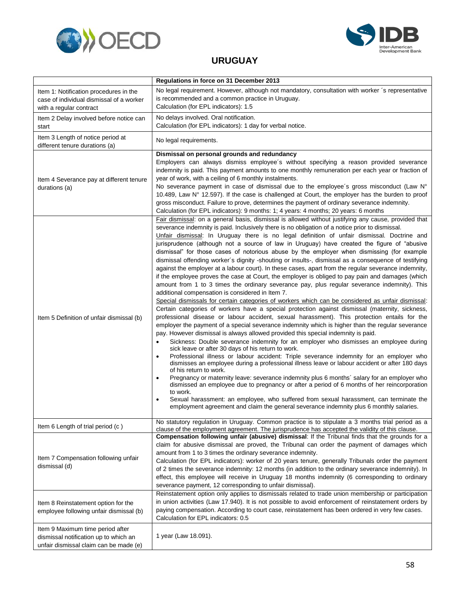



#### **URUGUAY**

<span id="page-60-0"></span>

|                                                                                                                     | Regulations in force on 31 December 2013                                                                                                                                                                                                                                                                                                                                                                                                                                                                                                                                                                                                                                                                                                                                                                                                                                                                                                                                                                                                                                                                                                                                                                                                                                                                                                                                                                                                                                                                                                                                                                                                                                                                                                                                                                                                                                                                                                                                                                                                                                                                                                                                                                                                                                                 |
|---------------------------------------------------------------------------------------------------------------------|------------------------------------------------------------------------------------------------------------------------------------------------------------------------------------------------------------------------------------------------------------------------------------------------------------------------------------------------------------------------------------------------------------------------------------------------------------------------------------------------------------------------------------------------------------------------------------------------------------------------------------------------------------------------------------------------------------------------------------------------------------------------------------------------------------------------------------------------------------------------------------------------------------------------------------------------------------------------------------------------------------------------------------------------------------------------------------------------------------------------------------------------------------------------------------------------------------------------------------------------------------------------------------------------------------------------------------------------------------------------------------------------------------------------------------------------------------------------------------------------------------------------------------------------------------------------------------------------------------------------------------------------------------------------------------------------------------------------------------------------------------------------------------------------------------------------------------------------------------------------------------------------------------------------------------------------------------------------------------------------------------------------------------------------------------------------------------------------------------------------------------------------------------------------------------------------------------------------------------------------------------------------------------------|
| Item 1: Notification procedures in the<br>case of individual dismissal of a worker<br>with a regular contract       | No legal requirement. However, although not mandatory, consultation with worker 's representative<br>is recommended and a common practice in Uruguay.<br>Calculation (for EPL indicators): 1.5                                                                                                                                                                                                                                                                                                                                                                                                                                                                                                                                                                                                                                                                                                                                                                                                                                                                                                                                                                                                                                                                                                                                                                                                                                                                                                                                                                                                                                                                                                                                                                                                                                                                                                                                                                                                                                                                                                                                                                                                                                                                                           |
| Item 2 Delay involved before notice can<br>start                                                                    | No delays involved. Oral notification.<br>Calculation (for EPL indicators): 1 day for verbal notice.                                                                                                                                                                                                                                                                                                                                                                                                                                                                                                                                                                                                                                                                                                                                                                                                                                                                                                                                                                                                                                                                                                                                                                                                                                                                                                                                                                                                                                                                                                                                                                                                                                                                                                                                                                                                                                                                                                                                                                                                                                                                                                                                                                                     |
| Item 3 Length of notice period at<br>different tenure durations (a)                                                 | No legal requirements.                                                                                                                                                                                                                                                                                                                                                                                                                                                                                                                                                                                                                                                                                                                                                                                                                                                                                                                                                                                                                                                                                                                                                                                                                                                                                                                                                                                                                                                                                                                                                                                                                                                                                                                                                                                                                                                                                                                                                                                                                                                                                                                                                                                                                                                                   |
| Item 4 Severance pay at different tenure<br>durations (a)                                                           | Dismissal on personal grounds and redundancy<br>Employers can always dismiss employee's without specifying a reason provided severance<br>indemnity is paid. This payment amounts to one monthly remuneration per each year or fraction of<br>year of work, with a ceiling of 6 monthly instalments.<br>No severance payment in case of dismissal due to the employee's gross misconduct (Law $N^{\circ}$<br>10.489, Law N° 12.597). If the case is challenged at Court, the employer has the burden to proof<br>gross misconduct. Failure to prove, determines the payment of ordinary severance indemnity.<br>Calculation (for EPL indicators): 9 months: 1; 4 years: 4 months; 20 years: 6 months                                                                                                                                                                                                                                                                                                                                                                                                                                                                                                                                                                                                                                                                                                                                                                                                                                                                                                                                                                                                                                                                                                                                                                                                                                                                                                                                                                                                                                                                                                                                                                                     |
| Item 5 Definition of unfair dismissal (b)                                                                           | Fair dismissal: on a general basis, dismissal is allowed without justifying any cause, provided that<br>severance indemnity is paid. Inclusively there is no obligation of a notice prior to dismissal.<br>Unfair dismissal: In Uruguay there is no legal definition of unfair dismissal. Doctrine and<br>jurisprudence (although not a source of law in Uruguay) have created the figure of "abusive<br>dismissal" for those cases of notorious abuse by the employer when dismissing (for example<br>dismissal offending worker's dignity -shouting or insults-, dismissal as a consequence of testifying<br>against the employer at a labour court). In these cases, apart from the regular severance indemnity,<br>if the employee proves the case at Court, the employer is obliged to pay pain and damages (which<br>amount from 1 to 3 times the ordinary severance pay, plus regular severance indemnity). This<br>additional compensation is considered in Item 7.<br>Special dismissals for certain categories of workers which can be considered as unfair dismissal:<br>Certain categories of workers have a special protection against dismissal (maternity, sickness,<br>professional disease or labour accident, sexual harassment). This protection entails for the<br>employer the payment of a special severance indemnity which is higher than the regular severance<br>pay. However dismissal is always allowed provided this special indemnity is paid.<br>Sickness: Double severance indemnity for an employer who dismisses an employee during<br>$\bullet$<br>sick leave or after 30 days of his return to work.<br>Professional illness or labour accident: Triple severance indemnity for an employer who<br>$\bullet$<br>dismisses an employee during a professional illness leave or labour accident or after 180 days<br>of his return to work.<br>Pregnancy or maternity leave: severance indemnity plus 6 months' salary for an employer who<br>$\bullet$<br>dismissed an employee due to pregnancy or after a period of 6 months of her reincorporation<br>to work.<br>Sexual harassment: an employee, who suffered from sexual harassment, can terminate the<br>employment agreement and claim the general severance indemnity plus 6 monthly salaries. |
| Item 6 Length of trial period (c)                                                                                   | No statutory regulation in Uruguay. Common practice is to stipulate a 3 months trial period as a<br>clause of the employment agreement. The jurisprudence has accepted the validity of this clause.                                                                                                                                                                                                                                                                                                                                                                                                                                                                                                                                                                                                                                                                                                                                                                                                                                                                                                                                                                                                                                                                                                                                                                                                                                                                                                                                                                                                                                                                                                                                                                                                                                                                                                                                                                                                                                                                                                                                                                                                                                                                                      |
| Item 7 Compensation following unfair<br>dismissal (d)                                                               | Compensation following unfair (abusive) dismissal: If the Tribunal finds that the grounds for a<br>claim for abusive dismissal are proved, the Tribunal can order the payment of damages which<br>amount from 1 to 3 times the ordinary severance indemnity.<br>Calculation (for EPL indicators): worker of 20 years tenure, generally Tribunals order the payment<br>of 2 times the severance indemnity: 12 months (in addition to the ordinary severance indemnity). In<br>effect, this employee will receive in Uruguay 18 months indemnity (6 corresponding to ordinary<br>severance payment, 12 corresponding to unfair dismissal).<br>Reinstatement option only applies to dismissals related to trade union membership or participation                                                                                                                                                                                                                                                                                                                                                                                                                                                                                                                                                                                                                                                                                                                                                                                                                                                                                                                                                                                                                                                                                                                                                                                                                                                                                                                                                                                                                                                                                                                                           |
| Item 8 Reinstatement option for the<br>employee following unfair dismissal (b)                                      | in union activities (Law 17.940). It is not possible to avoid enforcement of reinstatement orders by<br>paying compensation. According to court case, reinstatement has been ordered in very few cases.<br>Calculation for EPL indicators: 0.5                                                                                                                                                                                                                                                                                                                                                                                                                                                                                                                                                                                                                                                                                                                                                                                                                                                                                                                                                                                                                                                                                                                                                                                                                                                                                                                                                                                                                                                                                                                                                                                                                                                                                                                                                                                                                                                                                                                                                                                                                                           |
| Item 9 Maximum time period after<br>dismissal notification up to which an<br>unfair dismissal claim can be made (e) | 1 year (Law 18.091).                                                                                                                                                                                                                                                                                                                                                                                                                                                                                                                                                                                                                                                                                                                                                                                                                                                                                                                                                                                                                                                                                                                                                                                                                                                                                                                                                                                                                                                                                                                                                                                                                                                                                                                                                                                                                                                                                                                                                                                                                                                                                                                                                                                                                                                                     |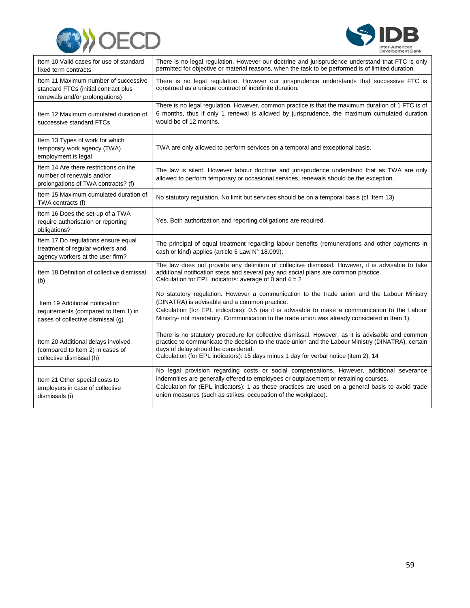



| Item 10 Valid cases for use of standard<br>fixed term contracts                                                | There is no legal regulation. However our doctrine and jurisprudence understand that FTC is only<br>permitted for objective or material reasons, when the task to be performed is of limited duration.                                                                                                                                                    |
|----------------------------------------------------------------------------------------------------------------|-----------------------------------------------------------------------------------------------------------------------------------------------------------------------------------------------------------------------------------------------------------------------------------------------------------------------------------------------------------|
| Item 11 Maximum number of successive<br>standard FTCs (initial contract plus<br>renewals and/or prolongations) | There is no legal regulation. However our jurisprudence understands that successive FTC is<br>construed as a unique contract of indefinite duration.                                                                                                                                                                                                      |
| Item 12 Maximum cumulated duration of<br>successive standard FTCs                                              | There is no legal regulation. However, common practice is that the maximum duration of 1 FTC is of<br>6 months, thus if only 1 renewal is allowed by jurisprudence, the maximum cumulated duration<br>would be of 12 months.                                                                                                                              |
| Item 13 Types of work for which<br>temporary work agency (TWA)<br>employment is legal                          | TWA are only allowed to perform services on a temporal and exceptional basis.                                                                                                                                                                                                                                                                             |
| Item 14 Are there restrictions on the<br>number of renewals and/or<br>prolongations of TWA contracts? (f)      | The law is silent. However labour doctrine and jurisprudence understand that as TWA are only<br>allowed to perform temporary or occasional services, renewals should be the exception.                                                                                                                                                                    |
| Item 15 Maximum cumulated duration of<br>TWA contracts (f)                                                     | No statutory regulation. No limit but services should be on a temporal basis (cf. Item 13)                                                                                                                                                                                                                                                                |
| Item 16 Does the set-up of a TWA<br>require authorisation or reporting<br>obligations?                         | Yes. Both authorization and reporting obligations are required.                                                                                                                                                                                                                                                                                           |
| Item 17 Do regulations ensure equal<br>treatment of regular workers and<br>agency workers at the user firm?    | The principal of equal treatment regarding labour benefits (remunerations and other payments in<br>cash or kind) applies (article 5 Law N° 18.099).                                                                                                                                                                                                       |
| Item 18 Definition of collective dismissal<br>(b)                                                              | The law does not provide any definition of collective dismissal. However, it is advisable to take<br>additional notification steps and several pay and social plans are common practice.<br>Calculation for EPL indicators: average of 0 and $4 = 2$                                                                                                      |
| Item 19 Additional notification<br>requirements (compared to Item 1) in<br>cases of collective dismissal (q)   | No statutory regulation. However a communication to the trade union and the Labour Ministry<br>(DINATRA) is advisable and a common practice.<br>Calculation (for EPL indicators): 0.5 (as it is advisable to make a communication to the Labour<br>Ministry- not mandatory. Communication to the trade union was already considered in Item 1).           |
| Item 20 Additional delays involved<br>(compared to Item 2) in cases of<br>collective dismissal (h)             | There is no statutory procedure for collective dismissal. However, as it is advisable and common<br>practice to communicate the decision to the trade union and the Labour Ministry (DINATRA), certain<br>days of delay should be considered.<br>Calculation (for EPL indicators): 15 days minus 1 day for verbal notice (item 2): 14                     |
| Item 21 Other special costs to<br>employers in case of collective<br>dismissals (i)                            | No legal provision regarding costs or social compensations. However, additional severance<br>indemnities are generally offered to employees or outplacement or retraining courses.<br>Calculation for (EPL indicators): 1 as these practices are used on a general basis to avoid trade<br>union measures (such as strikes, occupation of the workplace). |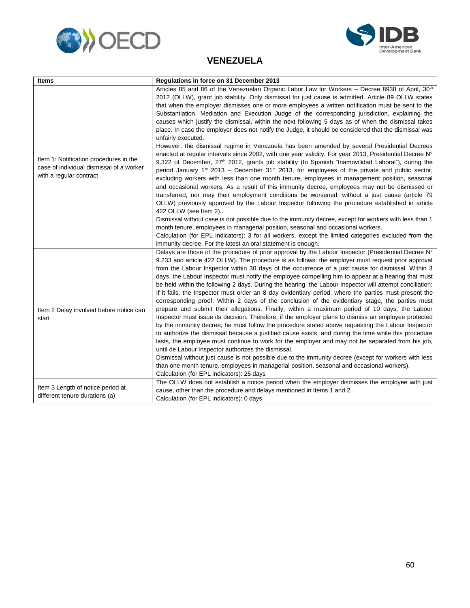



#### **VENEZUELA**

<span id="page-62-0"></span>

| <b>Items</b>                                                                                                  | Regulations in force on 31 December 2013                                                                                                                                                                                                                                                                                                                                                                                                                                                                                                                                                                                                                                                                                                                                                                                                                                                                                                                                                                                                                                                                                                                                                                                                                                                                                                                                                                                                                                                                                                                                                                                                                                                                                                                                                                                                                                                                                     |
|---------------------------------------------------------------------------------------------------------------|------------------------------------------------------------------------------------------------------------------------------------------------------------------------------------------------------------------------------------------------------------------------------------------------------------------------------------------------------------------------------------------------------------------------------------------------------------------------------------------------------------------------------------------------------------------------------------------------------------------------------------------------------------------------------------------------------------------------------------------------------------------------------------------------------------------------------------------------------------------------------------------------------------------------------------------------------------------------------------------------------------------------------------------------------------------------------------------------------------------------------------------------------------------------------------------------------------------------------------------------------------------------------------------------------------------------------------------------------------------------------------------------------------------------------------------------------------------------------------------------------------------------------------------------------------------------------------------------------------------------------------------------------------------------------------------------------------------------------------------------------------------------------------------------------------------------------------------------------------------------------------------------------------------------------|
| Item 1: Notification procedures in the<br>case of individual dismissal of a worker<br>with a regular contract | Articles 85 and 86 of the Venezuelan Organic Labor Law for Workers – Decree 8938 of April, 30 <sup>th</sup><br>2012 (OLLW), grant job stability. Only dismissal for just cause is admitted. Article 89 OLLW states<br>that when the employer dismisses one or more employees a written notification must be sent to the<br>Substantiation, Mediation and Execution Judge of the corresponding jurisdiction, explaining the<br>causes which justify the dismissal, within the next following 5 days as of when the dismissal takes<br>place. In case the employer does not notify the Judge, it should be considered that the dismissal was<br>unfairly executed.<br>However, the dismissal regime in Venezuela has been amended by several Presidential Decrees<br>enacted at regular intervals since 2002, with one year validity. For year 2013, Presidential Decree N°<br>9.322 of December, 27 <sup>th</sup> 2012, grants job stability (In Spanish "Inamovilidad Laboral"), during the<br>period January 1 <sup>st</sup> 2013 - December 31 <sup>st</sup> 2013, for employees of the private and public sector,<br>excluding workers with less than one month tenure, employees in management position, seasonal<br>and occasional workers. As a result of this immunity decree, employees may not be dismissed or<br>transferred, nor may their employment conditions be worsened, without a just cause (article 79<br>OLLW) previously approved by the Labour Inspector following the procedure established in article<br>422 OLLW (see Item 2)<br>Dismissal without case is not possible due to the immunity decree, except for workers with less than 1<br>month tenure, employees in managerial position, seasonal and occasional workers.<br>Calculation (for EPL indicators): 3 for all workers, except the limited categories excluded from the<br>immunity decree. For the latest an oral statement is enough. |
| Item 2 Delay involved before notice can<br>start                                                              | Delays are those of the procedure of prior approval by the Labour Inspector (Presidential Decree N°<br>9.233 and article 422 OLLW). The procedure is as follows: the employer must request prior approval<br>from the Labour Inspector within 30 days of the occurrence of a just cause for dismissal. Within 3<br>days, the Labour Inspector must notify the employee compelling him to appear at a hearing that must<br>be held within the following 2 days. During the hearing, the Labour Inspector will attempt conciliation:<br>If it fails, the Inspector must order an 8 day evidentiary period, where the parties must present the<br>corresponding proof. Within 2 days of the conclusion of the evidentiary stage, the parties must<br>prepare and submit their allegations. Finally, within a maximum period of 10 days, the Labour<br>Inspector must issue its decision. Therefore, if the employer plans to dismiss an employee protected<br>by the immunity decree, he must follow the procedure stated above requesting the Labour Inspector<br>to authorize the dismissal because a justified cause exists, and during the time while this procedure<br>lasts, the employee must continue to work for the employer and may not be separated from his job,<br>until de Labour Inspector authorizes the dismissal.<br>Dismissal without just cause is not possible due to the immunity decree (except for workers with less<br>than one month tenure, employees in managerial position, seasonal and occasional workers).<br>Calculation (for EPL indicators): 25 days<br>The OLLW does not establish a notice period when the employer dismisses the employee with just                                                                                                                                                                                                                                      |
| Item 3 Length of notice period at<br>different tenure durations (a)                                           | cause, other than the procedure and delays mentioned in Items 1 and 2.<br>Calculation (for EPL indicators): 0 days                                                                                                                                                                                                                                                                                                                                                                                                                                                                                                                                                                                                                                                                                                                                                                                                                                                                                                                                                                                                                                                                                                                                                                                                                                                                                                                                                                                                                                                                                                                                                                                                                                                                                                                                                                                                           |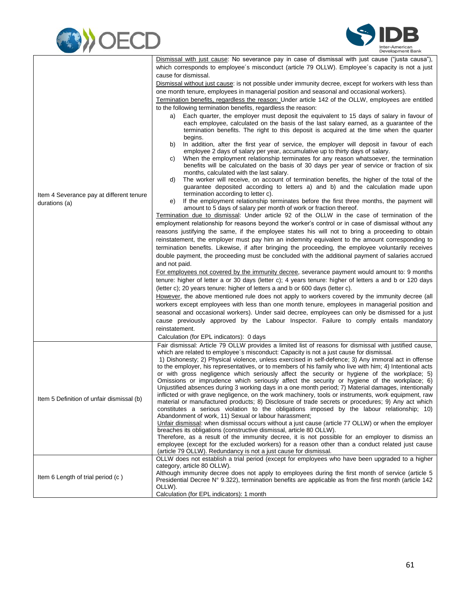



|                                                           | Dismissal with just cause: No severance pay in case of dismissal with just cause ("justa causa"),<br>which corresponds to employee's misconduct (article 79 OLLW). Employee's capacity is not a just                                                                                                      |
|-----------------------------------------------------------|-----------------------------------------------------------------------------------------------------------------------------------------------------------------------------------------------------------------------------------------------------------------------------------------------------------|
|                                                           | cause for dismissal.                                                                                                                                                                                                                                                                                      |
|                                                           | Dismissal without just cause: is not possible under immunity decree, except for workers with less than                                                                                                                                                                                                    |
|                                                           | one month tenure, employees in managerial position and seasonal and occasional workers).                                                                                                                                                                                                                  |
|                                                           | Termination benefits, regardless the reason: Under article 142 of the OLLW, employees are entitled                                                                                                                                                                                                        |
|                                                           | to the following termination benefits, regardless the reason:                                                                                                                                                                                                                                             |
|                                                           | Each quarter, the employer must deposit the equivalent to 15 days of salary in favour of<br>a)<br>each employee, calculated on the basis of the last salary earned, as a guarantee of the<br>termination benefits. The right to this deposit is acquired at the time when the quarter<br>begins.          |
|                                                           | In addition, after the first year of service, the employer will deposit in favour of each<br>b)<br>employee 2 days of salary per year, accumulative up to thirty days of salary.<br>When the employment relationship terminates for any reason whatsoever, the termination<br>C)                          |
|                                                           | benefits will be calculated on the basis of 30 days per year of service or fraction of six<br>months, calculated with the last salary.                                                                                                                                                                    |
|                                                           | The worker will receive, on account of termination benefits, the higher of the total of the<br>d)<br>guarantee deposited according to letters a) and b) and the calculation made upon                                                                                                                     |
| Item 4 Severance pay at different tenure<br>durations (a) | termination according to letter c).<br>If the employment relationship terminates before the first three months, the payment will<br>e)                                                                                                                                                                    |
|                                                           | amount to 5 days of salary per month of work or fraction thereof.<br>Termination due to dismissal: Under article 92 of the OLLW in the case of termination of the                                                                                                                                         |
|                                                           | employment relationship for reasons beyond the worker's control or in case of dismissal without any                                                                                                                                                                                                       |
|                                                           | reasons justifying the same, if the employee states his will not to bring a proceeding to obtain                                                                                                                                                                                                          |
|                                                           | reinstatement, the employer must pay him an indemnity equivalent to the amount corresponding to                                                                                                                                                                                                           |
|                                                           |                                                                                                                                                                                                                                                                                                           |
|                                                           | termination benefits. Likewise, if after bringing the proceeding, the employee voluntarily receives                                                                                                                                                                                                       |
|                                                           | double payment, the proceeding must be concluded with the additional payment of salaries accrued                                                                                                                                                                                                          |
|                                                           | and not paid.                                                                                                                                                                                                                                                                                             |
|                                                           | For employees not covered by the immunity decree, severance payment would amount to: 9 months                                                                                                                                                                                                             |
|                                                           | tenure: higher of letter a or 30 days (letter c); 4 years tenure: higher of letters a and b or 120 days                                                                                                                                                                                                   |
|                                                           | (letter c); 20 years tenure: higher of letters a and b or 600 days (letter c).                                                                                                                                                                                                                            |
|                                                           | However, the above mentioned rule does not apply to workers covered by the immunity decree (all                                                                                                                                                                                                           |
|                                                           | workers except employees with less than one month tenure, employees in managerial position and                                                                                                                                                                                                            |
|                                                           | seasonal and occasional workers). Under said decree, employees can only be dismissed for a just                                                                                                                                                                                                           |
|                                                           | cause previously approved by the Labour Inspector. Failure to comply entails mandatory                                                                                                                                                                                                                    |
|                                                           | reinstatement.                                                                                                                                                                                                                                                                                            |
|                                                           | Calculation (for EPL indicators): 0 days                                                                                                                                                                                                                                                                  |
|                                                           | Fair dismissal: Article 79 OLLW provides a limited list of reasons for dismissal with justified cause,<br>which are related to employee's misconduct: Capacity is not a just cause for dismissal.<br>1) Dishonesty; 2) Physical violence, unless exercised in self-defence; 3) Any immoral act in offense |
|                                                           | to the employer, his representatives, or to members of his family who live with him; 4) Intentional acts                                                                                                                                                                                                  |
|                                                           | or with gross negligence which seriously affect the security or hygiene of the workplace; 5)                                                                                                                                                                                                              |
|                                                           | Omissions or imprudence which seriously affect the security or hygiene of the workplace; 6)                                                                                                                                                                                                               |
|                                                           | Unjustified absences during 3 working days in a one month period; 7) Material damages, intentionally                                                                                                                                                                                                      |
| Item 5 Definition of unfair dismissal (b)                 | inflicted or with grave negligence, on the work machinery, tools or instruments, work equipment, raw                                                                                                                                                                                                      |
|                                                           | material or manufactured products; 8) Disclosure of trade secrets or procedures; 9) Any act which<br>constitutes a serious violation to the obligations imposed by the labour relationship; 10)                                                                                                           |
|                                                           | Abandonment of work, 11) Sexual or labour harassment;                                                                                                                                                                                                                                                     |
|                                                           | Unfair dismissal: when dismissal occurs without a just cause (article 77 OLLW) or when the employer                                                                                                                                                                                                       |
|                                                           | breaches its obligations (constructive dismissal, article 80 OLLW).                                                                                                                                                                                                                                       |
|                                                           | Therefore, as a result of the immunity decree, it is not possible for an employer to dismiss an                                                                                                                                                                                                           |
|                                                           | employee (except for the excluded workers) for a reason other than a conduct related just cause                                                                                                                                                                                                           |
|                                                           | (article 79 OLLW). Redundancy is not a just cause for dismissal.                                                                                                                                                                                                                                          |
|                                                           | OLLW does not establish a trial period (except for employees who have been upgraded to a higher                                                                                                                                                                                                           |
|                                                           | category, article 80 OLLW).<br>Although immunity decree does not apply to employees during the first month of service (article 5                                                                                                                                                                          |
| Item 6 Length of trial period (c)                         | Presidential Decree N° 9.322), termination benefits are applicable as from the first month (article 142)<br>OLLW).                                                                                                                                                                                        |
|                                                           | Calculation (for EPL indicators): 1 month                                                                                                                                                                                                                                                                 |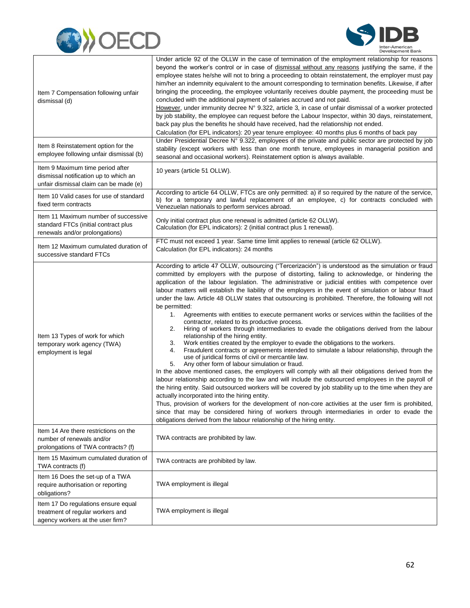



| Item 7 Compensation following unfair<br>dismissal (d)                                                               | Under article 92 of the OLLW in the case of termination of the employment relationship for reasons<br>beyond the worker's control or in case of dismissal without any reasons justifying the same, if the<br>employee states he/she will not to bring a proceeding to obtain reinstatement, the employer must pay<br>him/her an indemnity equivalent to the amount corresponding to termination benefits. Likewise, if after<br>bringing the proceeding, the employee voluntarily receives double payment, the proceeding must be<br>concluded with the additional payment of salaries accrued and not paid.<br>However, under immunity decree N° 9.322, article 3, in case of unfair dismissal of a worker protected<br>by job stability, the employee can request before the Labour Inspector, within 30 days, reinstatement,<br>back pay plus the benefits he should have received, had the relationship not ended.<br>Calculation (for EPL indicators): 20 year tenure employee: 40 months plus 6 months of back pay                                                                                                                                                                                                                                                                                                                                                                                                                                                                                                                                                                                                                                                                                                                                                                                                      |
|---------------------------------------------------------------------------------------------------------------------|-------------------------------------------------------------------------------------------------------------------------------------------------------------------------------------------------------------------------------------------------------------------------------------------------------------------------------------------------------------------------------------------------------------------------------------------------------------------------------------------------------------------------------------------------------------------------------------------------------------------------------------------------------------------------------------------------------------------------------------------------------------------------------------------------------------------------------------------------------------------------------------------------------------------------------------------------------------------------------------------------------------------------------------------------------------------------------------------------------------------------------------------------------------------------------------------------------------------------------------------------------------------------------------------------------------------------------------------------------------------------------------------------------------------------------------------------------------------------------------------------------------------------------------------------------------------------------------------------------------------------------------------------------------------------------------------------------------------------------------------------------------------------------------------------------------------------------|
| Item 8 Reinstatement option for the<br>employee following unfair dismissal (b)                                      | Under Presidential Decree N° 9.322, employees of the private and public sector are protected by job<br>stability (except workers with less than one month tenure, employees in managerial position and<br>seasonal and occasional workers). Reinstatement option is always available.                                                                                                                                                                                                                                                                                                                                                                                                                                                                                                                                                                                                                                                                                                                                                                                                                                                                                                                                                                                                                                                                                                                                                                                                                                                                                                                                                                                                                                                                                                                                         |
| Item 9 Maximum time period after<br>dismissal notification up to which an<br>unfair dismissal claim can be made (e) | 10 years (article 51 OLLW).                                                                                                                                                                                                                                                                                                                                                                                                                                                                                                                                                                                                                                                                                                                                                                                                                                                                                                                                                                                                                                                                                                                                                                                                                                                                                                                                                                                                                                                                                                                                                                                                                                                                                                                                                                                                   |
| Item 10 Valid cases for use of standard<br>fixed term contracts                                                     | According to article 64 OLLW, FTCs are only permitted: a) if so required by the nature of the service,<br>b) for a temporary and lawful replacement of an employee, c) for contracts concluded with<br>Venezuelan nationals to perform services abroad.                                                                                                                                                                                                                                                                                                                                                                                                                                                                                                                                                                                                                                                                                                                                                                                                                                                                                                                                                                                                                                                                                                                                                                                                                                                                                                                                                                                                                                                                                                                                                                       |
| Item 11 Maximum number of successive<br>standard FTCs (initial contract plus<br>renewals and/or prolongations)      | Only initial contract plus one renewal is admitted (article 62 OLLW).<br>Calculation (for EPL indicators): 2 (initial contract plus 1 renewal).                                                                                                                                                                                                                                                                                                                                                                                                                                                                                                                                                                                                                                                                                                                                                                                                                                                                                                                                                                                                                                                                                                                                                                                                                                                                                                                                                                                                                                                                                                                                                                                                                                                                               |
| Item 12 Maximum cumulated duration of<br>successive standard FTCs                                                   | FTC must not exceed 1 year. Same time limit applies to renewal (article 62 OLLW).<br>Calculation (for EPL indicators): 24 months                                                                                                                                                                                                                                                                                                                                                                                                                                                                                                                                                                                                                                                                                                                                                                                                                                                                                                                                                                                                                                                                                                                                                                                                                                                                                                                                                                                                                                                                                                                                                                                                                                                                                              |
| Item 13 Types of work for which<br>temporary work agency (TWA)<br>employment is legal                               | According to article 47 OLLW, outsourcing ("Tercerización") is understood as the simulation or fraud<br>committed by employers with the purpose of distorting, failing to acknowledge, or hindering the<br>application of the labour legislation. The administrative or judicial entities with competence over<br>labour matters will establish the liability of the employers in the event of simulation or labour fraud<br>under the law. Article 48 OLLW states that outsourcing is prohibited. Therefore, the following will not<br>be permitted:<br>Agreements with entities to execute permanent works or services within the facilities of the<br>1.<br>contractor, related to its productive process.<br>Hiring of workers through intermediaries to evade the obligations derived from the labour<br>2.<br>relationship of the hiring entity.<br>Work entities created by the employer to evade the obligations to the workers.<br>3.<br>Fraudulent contracts or agreements intended to simulate a labour relationship, through the<br>4.<br>use of juridical forms of civil or mercantile law.<br>Any other form of labour simulation or fraud.<br>5.<br>In the above mentioned cases, the employers will comply with all their obligations derived from the<br>labour relationship according to the law and will include the outsourced employees in the payroll of<br>the hiring entity. Said outsourced workers will be covered by job stability up to the time when they are<br>actually incorporated into the hiring entity.<br>Thus, provision of workers for the development of non-core activities at the user firm is prohibited,<br>since that may be considered hiring of workers through intermediaries in order to evade the<br>obligations derived from the labour relationship of the hiring entity. |
| Item 14 Are there restrictions on the<br>number of renewals and/or<br>prolongations of TWA contracts? (f)           | TWA contracts are prohibited by law.                                                                                                                                                                                                                                                                                                                                                                                                                                                                                                                                                                                                                                                                                                                                                                                                                                                                                                                                                                                                                                                                                                                                                                                                                                                                                                                                                                                                                                                                                                                                                                                                                                                                                                                                                                                          |
| Item 15 Maximum cumulated duration of<br>TWA contracts (f)                                                          | TWA contracts are prohibited by law.                                                                                                                                                                                                                                                                                                                                                                                                                                                                                                                                                                                                                                                                                                                                                                                                                                                                                                                                                                                                                                                                                                                                                                                                                                                                                                                                                                                                                                                                                                                                                                                                                                                                                                                                                                                          |
| Item 16 Does the set-up of a TWA<br>require authorisation or reporting<br>obligations?                              | TWA employment is illegal                                                                                                                                                                                                                                                                                                                                                                                                                                                                                                                                                                                                                                                                                                                                                                                                                                                                                                                                                                                                                                                                                                                                                                                                                                                                                                                                                                                                                                                                                                                                                                                                                                                                                                                                                                                                     |
| Item 17 Do regulations ensure equal<br>treatment of regular workers and<br>agency workers at the user firm?         | TWA employment is illegal                                                                                                                                                                                                                                                                                                                                                                                                                                                                                                                                                                                                                                                                                                                                                                                                                                                                                                                                                                                                                                                                                                                                                                                                                                                                                                                                                                                                                                                                                                                                                                                                                                                                                                                                                                                                     |